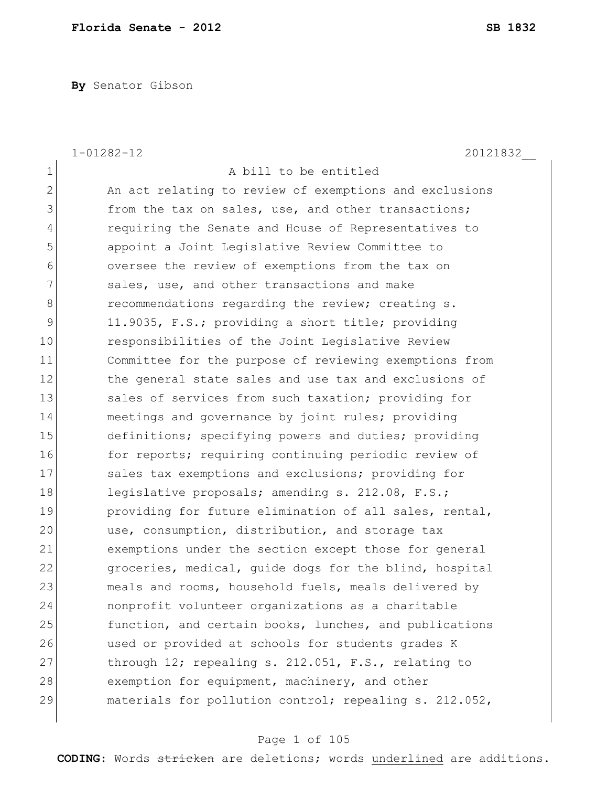**By** Senator Gibson

|                | $1 - 01282 - 12$<br>20121832                           |
|----------------|--------------------------------------------------------|
| $\mathbf 1$    | A bill to be entitled                                  |
| $\overline{2}$ | An act relating to review of exemptions and exclusions |
| 3              | from the tax on sales, use, and other transactions;    |
| $\overline{4}$ | requiring the Senate and House of Representatives to   |
| 5              | appoint a Joint Legislative Review Committee to        |
| 6              | oversee the review of exemptions from the tax on       |
| 7              | sales, use, and other transactions and make            |
| 8              | recommendations regarding the review; creating s.      |
| 9              | 11.9035, F.S.; providing a short title; providing      |
| 10             | responsibilities of the Joint Legislative Review       |
| 11             | Committee for the purpose of reviewing exemptions from |
| 12             | the general state sales and use tax and exclusions of  |
| 13             | sales of services from such taxation; providing for    |
| 14             | meetings and governance by joint rules; providing      |
| 15             | definitions; specifying powers and duties; providing   |
| 16             | for reports; requiring continuing periodic review of   |
| 17             | sales tax exemptions and exclusions; providing for     |
| 18             | legislative proposals; amending s. 212.08, F.S.;       |
| 19             | providing for future elimination of all sales, rental, |
| 20             | use, consumption, distribution, and storage tax        |
| 21             | exemptions under the section except those for general  |
| 22             | groceries, medical, guide dogs for the blind, hospital |
| 23             | meals and rooms, household fuels, meals delivered by   |
| 24             | nonprofit volunteer organizations as a charitable      |
| 25             | function, and certain books, lunches, and publications |
| 26             | used or provided at schools for students grades K      |
| 27             | through $12$ ; repealing s. 212.051, F.S., relating to |
| 28             | exemption for equipment, machinery, and other          |
| 29             | materials for pollution control; repealing s. 212.052, |

# Page 1 of 105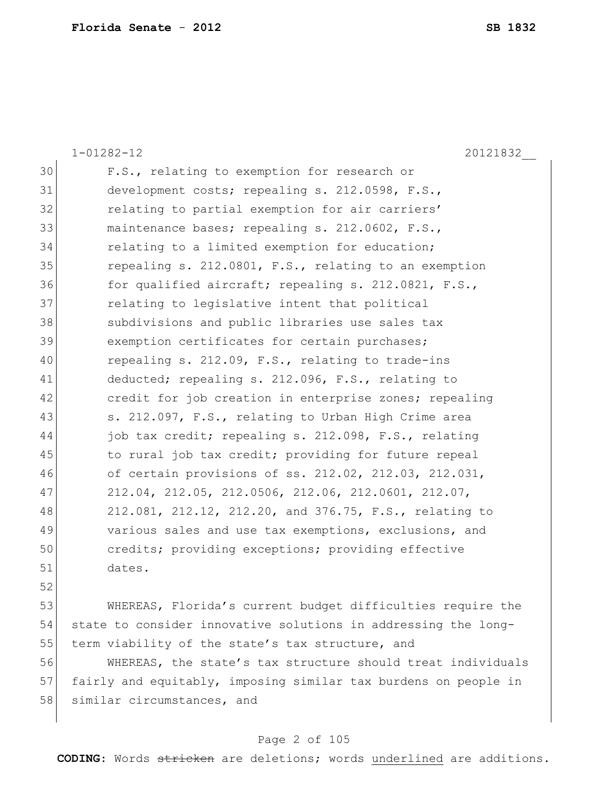|    | 20121832<br>$1 - 01282 - 12$                                    |
|----|-----------------------------------------------------------------|
| 30 | F.S., relating to exemption for research or                     |
| 31 | development costs; repealing s. 212.0598, F.S.,                 |
| 32 | relating to partial exemption for air carriers'                 |
| 33 | maintenance bases; repealing s. 212.0602, F.S.,                 |
| 34 | relating to a limited exemption for education;                  |
| 35 | repealing s. 212.0801, F.S., relating to an exemption           |
| 36 | for qualified aircraft; repealing s. 212.0821, F.S.,            |
| 37 | relating to legislative intent that political                   |
| 38 | subdivisions and public libraries use sales tax                 |
| 39 | exemption certificates for certain purchases;                   |
| 40 | repealing s. 212.09, F.S., relating to trade-ins                |
| 41 | deducted; repealing s. 212.096, F.S., relating to               |
| 42 | credit for job creation in enterprise zones; repealing          |
| 43 | s. 212.097, F.S., relating to Urban High Crime area             |
| 44 | job tax credit; repealing s. 212.098, F.S., relating            |
| 45 | to rural job tax credit; providing for future repeal            |
| 46 | of certain provisions of ss. 212.02, 212.03, 212.031,           |
| 47 | 212.04, 212.05, 212.0506, 212.06, 212.0601, 212.07,             |
| 48 | 212.081, 212.12, 212.20, and 376.75, F.S., relating to          |
| 49 | various sales and use tax exemptions, exclusions, and           |
| 50 | credits; providing exceptions; providing effective              |
| 51 | dates.                                                          |
| 52 |                                                                 |
| 53 | WHEREAS, Florida's current budget difficulties require the      |
| 54 | state to consider innovative solutions in addressing the long-  |
| 55 | term viability of the state's tax structure, and                |
| 56 | WHEREAS, the state's tax structure should treat individuals     |
| 57 | fairly and equitably, imposing similar tax burdens on people in |

58 similar circumstances, and

# Page 2 of 105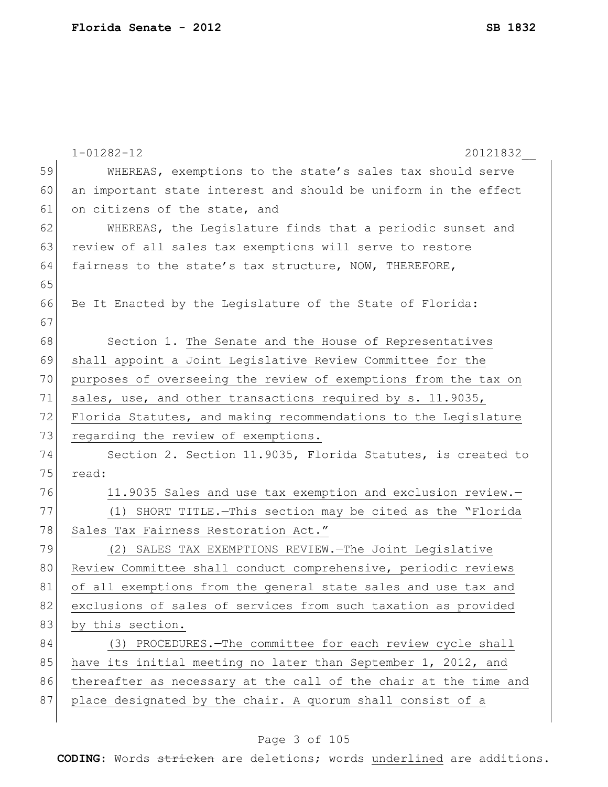|    | $1 - 01282 - 12$<br>20121832                                     |
|----|------------------------------------------------------------------|
| 59 | WHEREAS, exemptions to the state's sales tax should serve        |
| 60 | an important state interest and should be uniform in the effect  |
| 61 | on citizens of the state, and                                    |
| 62 | WHEREAS, the Legislature finds that a periodic sunset and        |
| 63 | review of all sales tax exemptions will serve to restore         |
| 64 | fairness to the state's tax structure, NOW, THEREFORE,           |
| 65 |                                                                  |
| 66 | Be It Enacted by the Legislature of the State of Florida:        |
| 67 |                                                                  |
| 68 | Section 1. The Senate and the House of Representatives           |
| 69 | shall appoint a Joint Legislative Review Committee for the       |
| 70 | purposes of overseeing the review of exemptions from the tax on  |
| 71 | sales, use, and other transactions required by s. 11.9035,       |
| 72 | Florida Statutes, and making recommendations to the Legislature  |
| 73 | regarding the review of exemptions.                              |
| 74 | Section 2. Section 11.9035, Florida Statutes, is created to      |
| 75 | read:                                                            |
| 76 | 11.9035 Sales and use tax exemption and exclusion review.-       |
| 77 | (1) SHORT TITLE. - This section may be cited as the "Florida     |
| 78 | Sales Tax Fairness Restoration Act."                             |
| 79 | (2) SALES TAX EXEMPTIONS REVIEW. The Joint Legislative           |
| 80 | Review Committee shall conduct comprehensive, periodic reviews   |
| 81 | of all exemptions from the general state sales and use tax and   |
| 82 | exclusions of sales of services from such taxation as provided   |
| 83 | by this section.                                                 |
| 84 | (3) PROCEDURES. - The committee for each review cycle shall      |
| 85 | have its initial meeting no later than September 1, 2012, and    |
| 86 | thereafter as necessary at the call of the chair at the time and |
| 87 | place designated by the chair. A quorum shall consist of a       |
|    |                                                                  |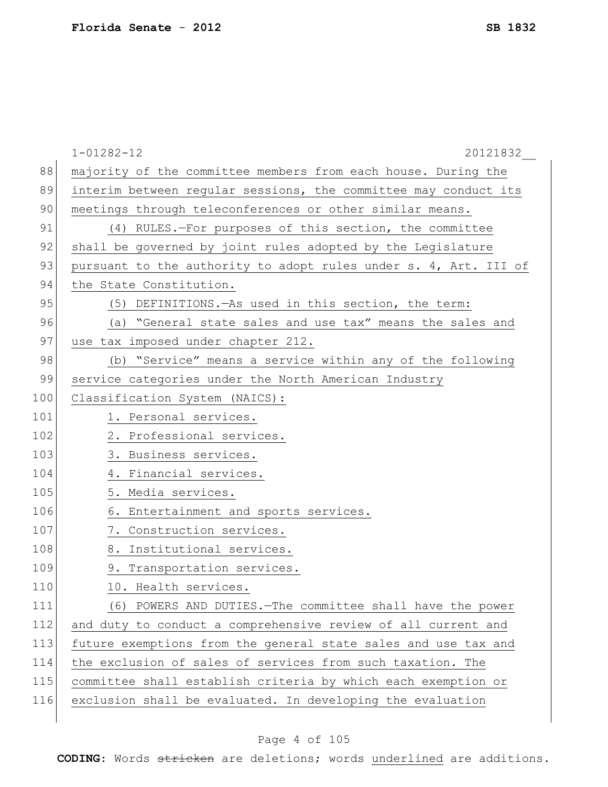|     | $1 - 01282 - 12$<br>20121832                                     |
|-----|------------------------------------------------------------------|
| 88  | majority of the committee members from each house. During the    |
| 89  | interim between regular sessions, the committee may conduct its  |
| 90  | meetings through teleconferences or other similar means.         |
| 91  | (4) RULES.-For purposes of this section, the committee           |
| 92  | shall be governed by joint rules adopted by the Legislature      |
| 93  | pursuant to the authority to adopt rules under s. 4, Art. III of |
| 94  | the State Constitution.                                          |
| 95  | (5) DEFINITIONS. - As used in this section, the term:            |
| 96  | (a) "General state sales and use tax" means the sales and        |
| 97  | use tax imposed under chapter 212.                               |
| 98  | (b) "Service" means a service within any of the following        |
| 99  | service categories under the North American Industry             |
| 100 | Classification System (NAICS):                                   |
| 101 | 1. Personal services.                                            |
| 102 | 2. Professional services.                                        |
| 103 | 3. Business services.                                            |
| 104 | 4. Financial services.                                           |
| 105 | 5. Media services.                                               |
| 106 | 6. Entertainment and sports services.                            |
| 107 | 7. Construction services.                                        |
| 108 | 8. Institutional services.                                       |
| 109 | 9. Transportation services.                                      |
| 110 | 10. Health services.                                             |
| 111 | (6) POWERS AND DUTIES. The committee shall have the power        |
| 112 | and duty to conduct a comprehensive review of all current and    |
| 113 | future exemptions from the general state sales and use tax and   |
| 114 | the exclusion of sales of services from such taxation. The       |
| 115 | committee shall establish criteria by which each exemption or    |
| 116 | exclusion shall be evaluated. In developing the evaluation       |
|     |                                                                  |

# Page 4 of 105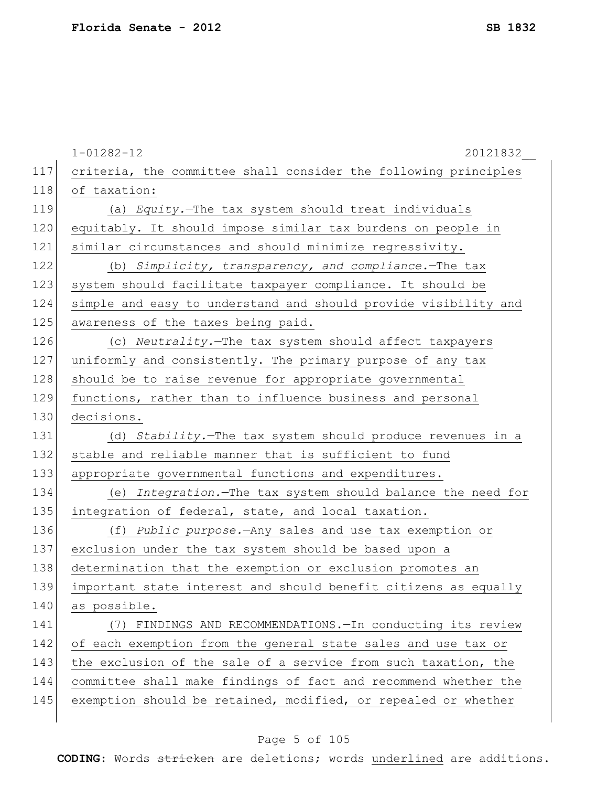|     | $1 - 01282 - 12$<br>20121832                                    |
|-----|-----------------------------------------------------------------|
| 117 | criteria, the committee shall consider the following principles |
| 118 | of taxation:                                                    |
| 119 | (a) Equity.-The tax system should treat individuals             |
| 120 | equitably. It should impose similar tax burdens on people in    |
| 121 | similar circumstances and should minimize regressivity.         |
| 122 | (b) Simplicity, transparency, and compliance. The tax           |
| 123 | system should facilitate taxpayer compliance. It should be      |
| 124 | simple and easy to understand and should provide visibility and |
| 125 | awareness of the taxes being paid.                              |
| 126 | (c) Neutrality. The tax system should affect taxpayers          |
| 127 | uniformly and consistently. The primary purpose of any tax      |
| 128 | should be to raise revenue for appropriate governmental         |
| 129 | functions, rather than to influence business and personal       |
| 130 | decisions.                                                      |
| 131 | (d) Stability. The tax system should produce revenues in a      |
| 132 | stable and reliable manner that is sufficient to fund           |
| 133 | appropriate governmental functions and expenditures.            |
| 134 | (e) Integration. The tax system should balance the need for     |
| 135 | integration of federal, state, and local taxation.              |
| 136 | (f) Public purpose. - Any sales and use tax exemption or        |
| 137 | exclusion under the tax system should be based upon a           |
| 138 | determination that the exemption or exclusion promotes an       |
| 139 | important state interest and should benefit citizens as equally |
| 140 | as possible.                                                    |
| 141 | (7) FINDINGS AND RECOMMENDATIONS. - In conducting its review    |
| 142 | of each exemption from the general state sales and use tax or   |
| 143 | the exclusion of the sale of a service from such taxation, the  |
| 144 | committee shall make findings of fact and recommend whether the |
| 145 | exemption should be retained, modified, or repealed or whether  |
|     |                                                                 |

# Page 5 of 105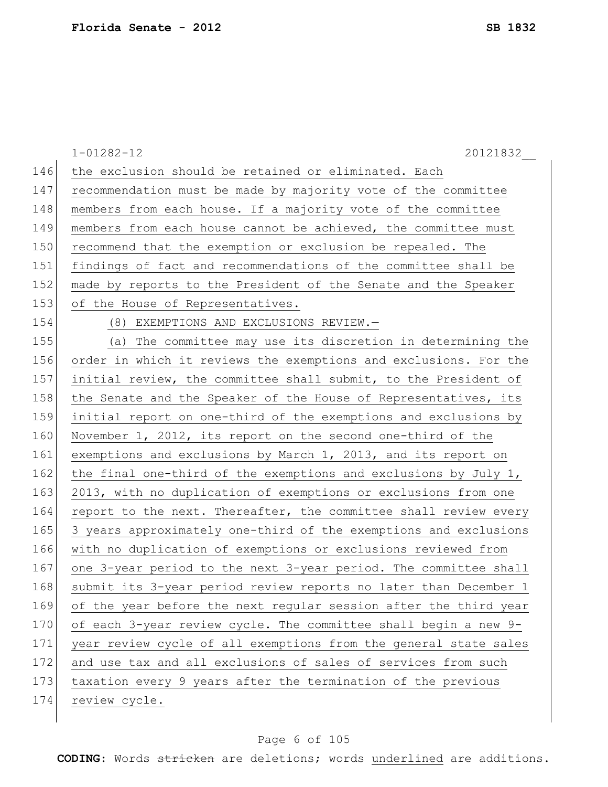|     | $1 - 01282 - 12$<br>20121832                                     |
|-----|------------------------------------------------------------------|
| 146 | the exclusion should be retained or eliminated. Each             |
| 147 | recommendation must be made by majority vote of the committee    |
| 148 | members from each house. If a majority vote of the committee     |
| 149 | members from each house cannot be achieved, the committee must   |
| 150 | recommend that the exemption or exclusion be repealed. The       |
| 151 | findings of fact and recommendations of the committee shall be   |
| 152 | made by reports to the President of the Senate and the Speaker   |
| 153 | of the House of Representatives.                                 |
| 154 | (8) EXEMPTIONS AND EXCLUSIONS REVIEW.-                           |
| 155 | (a) The committee may use its discretion in determining the      |
| 156 | order in which it reviews the exemptions and exclusions. For the |
| 157 | initial review, the committee shall submit, to the President of  |
| 158 | the Senate and the Speaker of the House of Representatives, its  |
| 159 | initial report on one-third of the exemptions and exclusions by  |
| 160 | November 1, 2012, its report on the second one-third of the      |
| 161 | exemptions and exclusions by March 1, 2013, and its report on    |
| 162 | the final one-third of the exemptions and exclusions by July 1,  |
| 163 | 2013, with no duplication of exemptions or exclusions from one   |
| 164 | report to the next. Thereafter, the committee shall review every |
| 165 | 3 years approximately one-third of the exemptions and exclusions |
| 166 | with no duplication of exemptions or exclusions reviewed from    |
| 167 | one 3-year period to the next 3-year period. The committee shall |
| 168 | submit its 3-year period review reports no later than December 1 |
| 169 | of the year before the next regular session after the third year |
| 170 | of each 3-year review cycle. The committee shall begin a new 9-  |
| 171 | year review cycle of all exemptions from the general state sales |
| 172 | and use tax and all exclusions of sales of services from such    |
| 173 | taxation every 9 years after the termination of the previous     |
| 174 | review cycle.                                                    |
|     |                                                                  |

# Page 6 of 105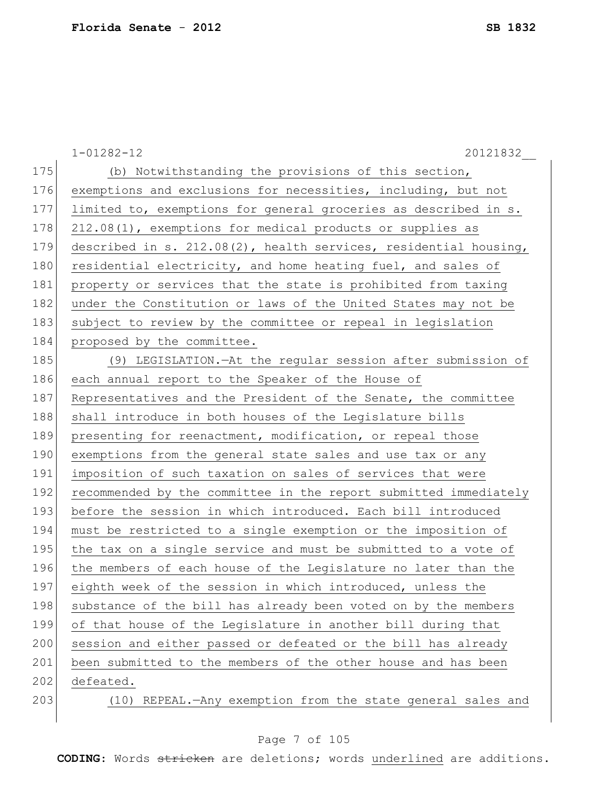|     | $1 - 01282 - 12$<br>20121832                                     |
|-----|------------------------------------------------------------------|
| 175 | (b) Notwithstanding the provisions of this section,              |
| 176 | exemptions and exclusions for necessities, including, but not    |
| 177 | limited to, exemptions for general groceries as described in s.  |
| 178 | 212.08(1), exemptions for medical products or supplies as        |
| 179 | described in s. 212.08(2), health services, residential housing, |
| 180 | residential electricity, and home heating fuel, and sales of     |
| 181 | property or services that the state is prohibited from taxing    |
| 182 | under the Constitution or laws of the United States may not be   |
| 183 | subject to review by the committee or repeal in legislation      |
| 184 | proposed by the committee.                                       |
| 185 | (9) LEGISLATION.-At the regular session after submission of      |
| 186 | each annual report to the Speaker of the House of                |
| 187 | Representatives and the President of the Senate, the committee   |
| 188 | shall introduce in both houses of the Legislature bills          |
| 189 | presenting for reenactment, modification, or repeal those        |
| 190 | exemptions from the general state sales and use tax or any       |
| 191 | imposition of such taxation on sales of services that were       |
| 192 | recommended by the committee in the report submitted immediately |
| 193 | before the session in which introduced. Each bill introduced     |
| 194 | must be restricted to a single exemption or the imposition of    |
| 195 | the tax on a single service and must be submitted to a vote of   |
| 196 | the members of each house of the Legislature no later than the   |
| 197 | eighth week of the session in which introduced, unless the       |
| 198 | substance of the bill has already been voted on by the members   |
| 199 | of that house of the Legislature in another bill during that     |
| 200 | session and either passed or defeated or the bill has already    |
| 201 | been submitted to the members of the other house and has been    |
| 202 | defeated.                                                        |
| 203 | (10) REPEAL. - Any exemption from the state general sales and    |
|     |                                                                  |

# Page 7 of 105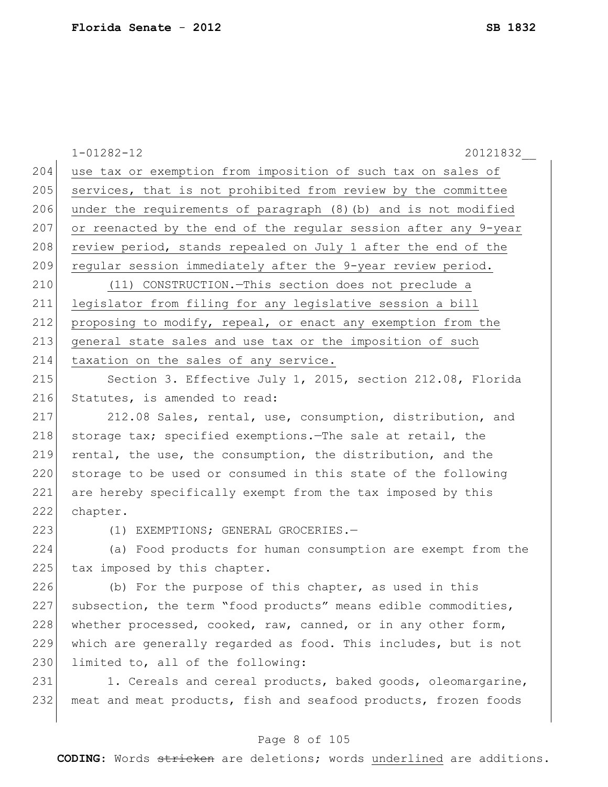1-01282-12 20121832\_\_ 204 use tax or exemption from imposition of such tax on sales of 205 services, that is not prohibited from review by the committee 206 under the requirements of paragraph (8)(b) and is not modified 207 or reenacted by the end of the regular session after any 9-year 208 review period, stands repealed on July 1 after the end of the 209 regular session immediately after the 9-year review period. 210 (11) CONSTRUCTION.—This section does not preclude a 211 legislator from filing for any legislative session a bill 212 proposing to modify, repeal, or enact any exemption from the 213 general state sales and use tax or the imposition of such 214 taxation on the sales of any service. 215 Section 3. Effective July 1, 2015, section 212.08, Florida 216 Statutes, is amended to read: 217 212.08 Sales, rental, use, consumption, distribution, and 218 storage tax; specified exemptions.—The sale at retail, the 219 rental, the use, the consumption, the distribution, and the 220 storage to be used or consumed in this state of the following 221 are hereby specifically exempt from the tax imposed by this 222 chapter. 223 (1) EXEMPTIONS; GENERAL GROCERIES.-224 (a) Food products for human consumption are exempt from the 225 tax imposed by this chapter. 226 (b) For the purpose of this chapter, as used in this 227 subsection, the term "food products" means edible commodities, 228 whether processed, cooked, raw, canned, or in any other form, 229 which are generally regarded as food. This includes, but is not 230 limited to, all of the following:

231 1. Cereals and cereal products, baked goods, oleomargarine, 232 meat and meat products, fish and seafood products, frozen foods

#### Page 8 of 105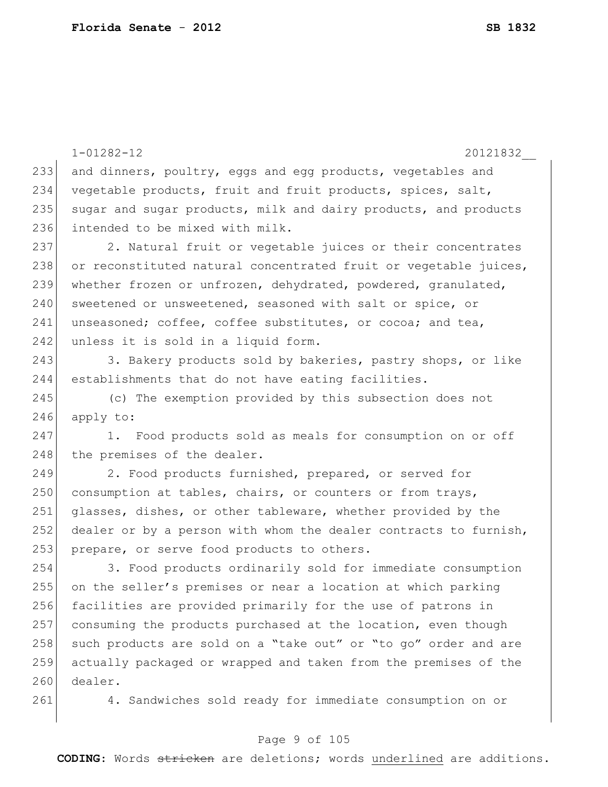1-01282-12 20121832\_\_ 233 and dinners, poultry, eggs and egg products, vegetables and 234 vegetable products, fruit and fruit products, spices, salt, 235 sugar and sugar products, milk and dairy products, and products 236 intended to be mixed with milk. 237 2. Natural fruit or vegetable juices or their concentrates 238 or reconstituted natural concentrated fruit or vegetable juices, 239 whether frozen or unfrozen, dehydrated, powdered, granulated, 240 sweetened or unsweetened, seasoned with salt or spice, or 241 unseasoned; coffee, coffee substitutes, or cocoa; and tea, 242 unless it is sold in a liquid form. 243 3. Bakery products sold by bakeries, pastry shops, or like 244 establishments that do not have eating facilities. 245 (c) The exemption provided by this subsection does not  $246$  apply to: 247 1. Food products sold as meals for consumption on or off 248 the premises of the dealer. 249 2. Food products furnished, prepared, or served for 250 consumption at tables, chairs, or counters or from trays, 251 glasses, dishes, or other tableware, whether provided by the 252 dealer or by a person with whom the dealer contracts to furnish, 253 prepare, or serve food products to others. 254 3. Food products ordinarily sold for immediate consumption 255 on the seller's premises or near a location at which parking 256 facilities are provided primarily for the use of patrons in 257 consuming the products purchased at the location, even though 258 such products are sold on a "take out" or "to go" order and are 259 actually packaged or wrapped and taken from the premises of the 260 dealer. 261 4. Sandwiches sold ready for immediate consumption on or

#### Page 9 of 105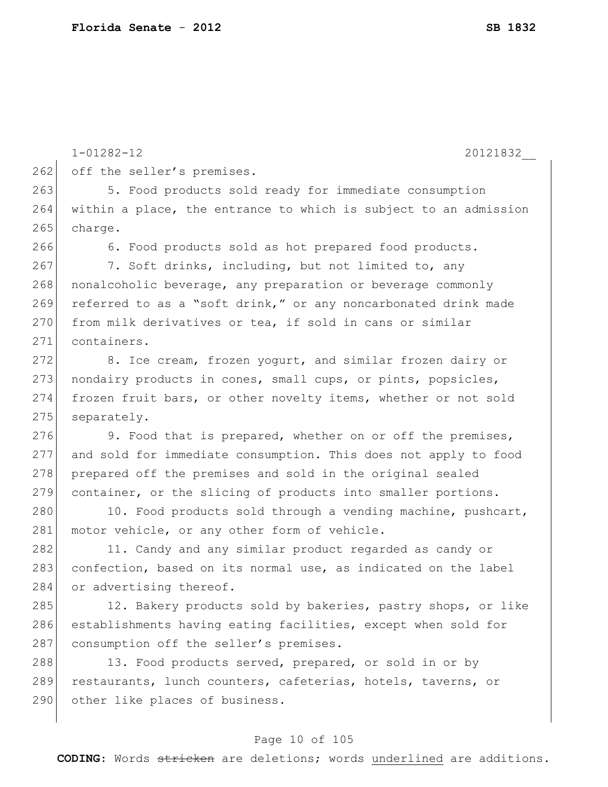1-01282-12 20121832\_\_

262 off the seller's premises.

263 5. Food products sold ready for immediate consumption 264 within a place, the entrance to which is subject to an admission 265 charge.

266 6. Food products sold as hot prepared food products.

267 7. Soft drinks, including, but not limited to, any 268 nonalcoholic beverage, any preparation or beverage commonly 269 referred to as a "soft drink," or any noncarbonated drink made 270 from milk derivatives or tea, if sold in cans or similar 271 containers.

272 8. Ice cream, frozen yogurt, and similar frozen dairy or 273 nondairy products in cones, small cups, or pints, popsicles, 274 frozen fruit bars, or other novelty items, whether or not sold 275 separately.

276 9. Food that is prepared, whether on or off the premises, 277 and sold for immediate consumption. This does not apply to food 278 prepared off the premises and sold in the original sealed 279 container, or the slicing of products into smaller portions.

280 10. Food products sold through a vending machine, pushcart, 281 motor vehicle, or any other form of vehicle.

282 11. Candy and any similar product regarded as candy or 283 confection, based on its normal use, as indicated on the label 284 or advertising thereof.

285 12. Bakery products sold by bakeries, pastry shops, or like 286 establishments having eating facilities, except when sold for 287 consumption off the seller's premises.

288 13. Food products served, prepared, or sold in or by 289 restaurants, lunch counters, cafeterias, hotels, taverns, or 290 other like places of business.

#### Page 10 of 105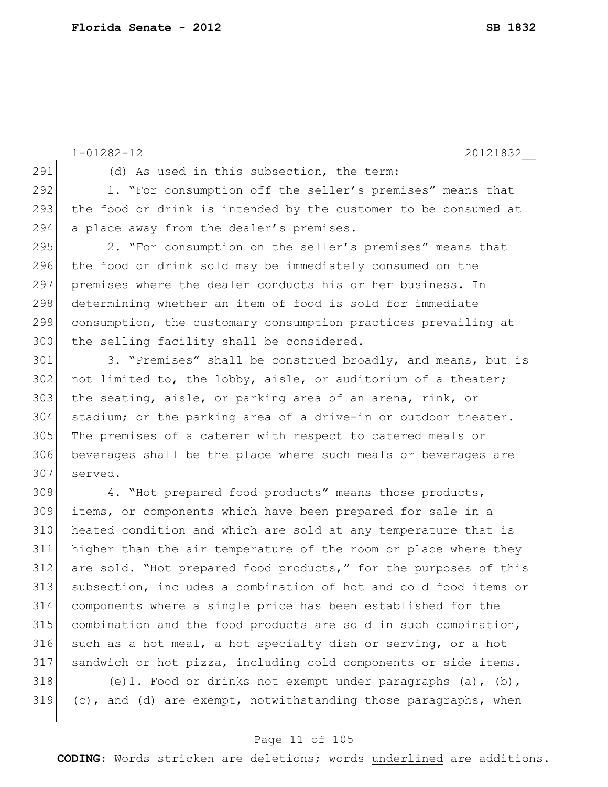291 (d) As used in this subsection, the term: 292 1. "For consumption off the seller's premises" means that 293 the food or drink is intended by the customer to be consumed at 294 a place away from the dealer's premises. 295 2. "For consumption on the seller's premises" means that 296 the food or drink sold may be immediately consumed on the 297 premises where the dealer conducts his or her business. In 298 determining whether an item of food is sold for immediate 299 consumption, the customary consumption practices prevailing at 300 the selling facility shall be considered. 301 3. "Premises" shall be construed broadly, and means, but is  $302$  not limited to, the lobby, aisle, or auditorium of a theater; 303 the seating, aisle, or parking area of an arena, rink, or 304 stadium; or the parking area of a drive-in or outdoor theater. 305 The premises of a caterer with respect to catered meals or 306 beverages shall be the place where such meals or beverages are 307 served. 308 4. "Hot prepared food products" means those products, 309 items, or components which have been prepared for sale in a 310 heated condition and which are sold at any temperature that is 311 higher than the air temperature of the room or place where they 312 are sold. "Hot prepared food products," for the purposes of this 313 subsection, includes a combination of hot and cold food items or 314 components where a single price has been established for the 315 combination and the food products are sold in such combination, 316 such as a hot meal, a hot specialty dish or serving, or a hot 317 sandwich or hot pizza, including cold components or side items. 318 (e)1. Food or drinks not exempt under paragraphs (a), (b),  $319$  (c), and (d) are exempt, notwithstanding those paragraphs, when

1-01282-12 20121832\_\_

#### Page 11 of 105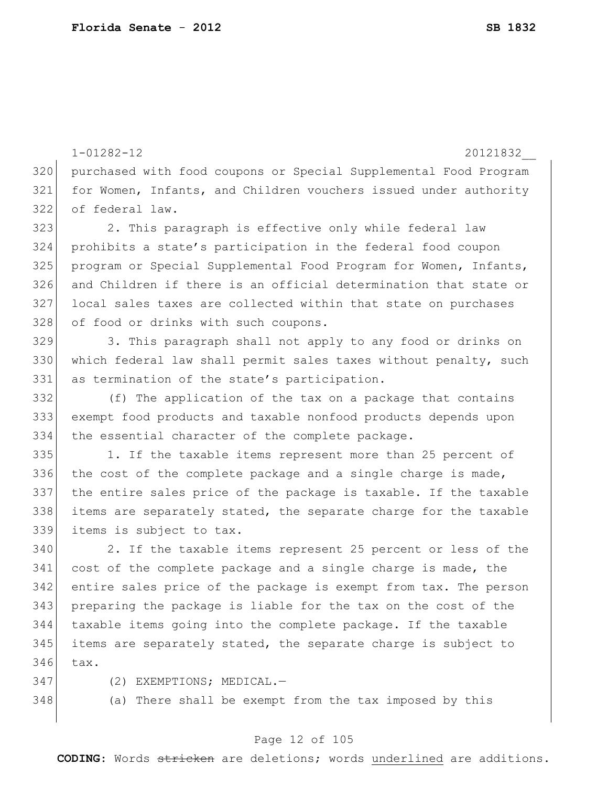1-01282-12 20121832\_\_ purchased with food coupons or Special Supplemental Food Program for Women, Infants, and Children vouchers issued under authority of federal law. 323 2. This paragraph is effective only while federal law prohibits a state's participation in the federal food coupon program or Special Supplemental Food Program for Women, Infants, and Children if there is an official determination that state or local sales taxes are collected within that state on purchases 328 of food or drinks with such coupons. 3. This paragraph shall not apply to any food or drinks on 330 which federal law shall permit sales taxes without penalty, such as termination of the state's participation. (f) The application of the tax on a package that contains exempt food products and taxable nonfood products depends upon 334 the essential character of the complete package. 335 1. If the taxable items represent more than 25 percent of 336 the cost of the complete package and a single charge is made, the entire sales price of the package is taxable. If the taxable items are separately stated, the separate charge for the taxable items is subject to tax. 2. If the taxable items represent 25 percent or less of the cost of the complete package and a single charge is made, the entire sales price of the package is exempt from tax. The person preparing the package is liable for the tax on the cost of the taxable items going into the complete package. If the taxable items are separately stated, the separate charge is subject to tax.

- 347 (2) EXEMPTIONS; MEDICAL.
- (a) There shall be exempt from the tax imposed by this

#### Page 12 of 105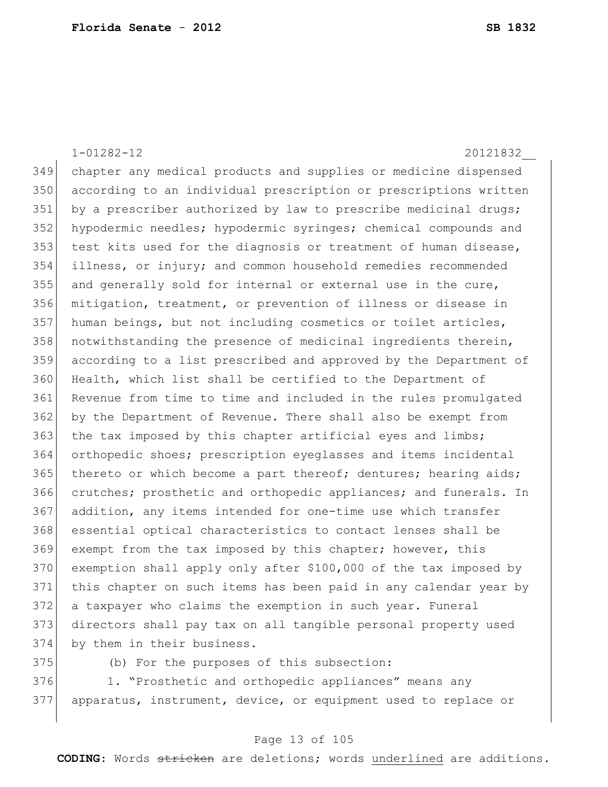1-01282-12 20121832\_\_ chapter any medical products and supplies or medicine dispensed according to an individual prescription or prescriptions written 351 by a prescriber authorized by law to prescribe medicinal drugs; hypodermic needles; hypodermic syringes; chemical compounds and test kits used for the diagnosis or treatment of human disease, illness, or injury; and common household remedies recommended and generally sold for internal or external use in the cure, mitigation, treatment, or prevention of illness or disease in 357 human beings, but not including cosmetics or toilet articles, 358 notwithstanding the presence of medicinal ingredients therein, according to a list prescribed and approved by the Department of Health, which list shall be certified to the Department of Revenue from time to time and included in the rules promulgated by the Department of Revenue. There shall also be exempt from 363 the tax imposed by this chapter artificial eyes and limbs; orthopedic shoes; prescription eyeglasses and items incidental thereto or which become a part thereof; dentures; hearing aids; crutches; prosthetic and orthopedic appliances; and funerals. In addition, any items intended for one-time use which transfer essential optical characteristics to contact lenses shall be 369 exempt from the tax imposed by this chapter; however, this exemption shall apply only after \$100,000 of the tax imposed by this chapter on such items has been paid in any calendar year by a taxpayer who claims the exemption in such year. Funeral directors shall pay tax on all tangible personal property used by them in their business.

(b) For the purposes of this subsection:

376 1. "Prosthetic and orthopedic appliances" means any apparatus, instrument, device, or equipment used to replace or

#### Page 13 of 105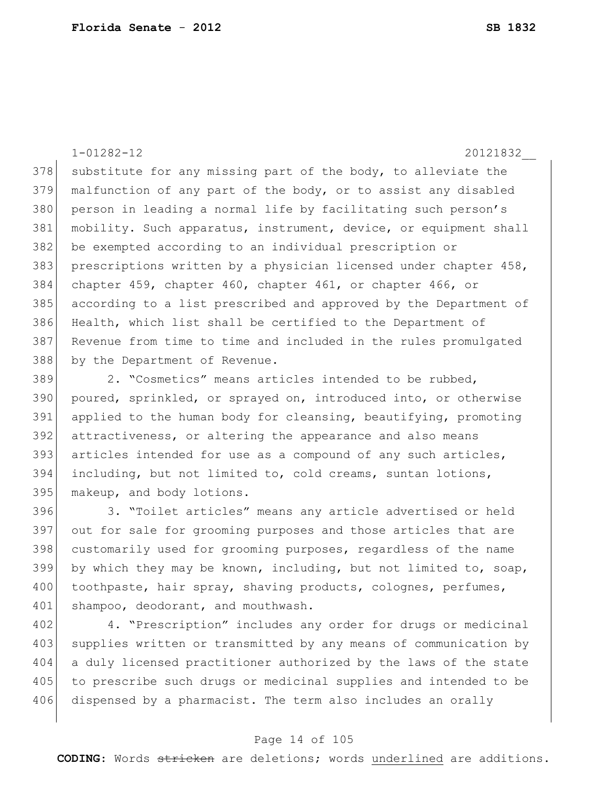1-01282-12 20121832\_\_ 378 substitute for any missing part of the body, to alleviate the 379 malfunction of any part of the body, or to assist any disabled 380 person in leading a normal life by facilitating such person's 381 mobility. Such apparatus, instrument, device, or equipment shall 382 be exempted according to an individual prescription or 383 prescriptions written by a physician licensed under chapter 458, 384 chapter 459, chapter 460, chapter 461, or chapter 466, or 385 according to a list prescribed and approved by the Department of 386 Health, which list shall be certified to the Department of 387 Revenue from time to time and included in the rules promulgated 388 by the Department of Revenue.

389 2. "Cosmetics" means articles intended to be rubbed, poured, sprinkled, or sprayed on, introduced into, or otherwise applied to the human body for cleansing, beautifying, promoting attractiveness, or altering the appearance and also means 393 articles intended for use as a compound of any such articles, including, but not limited to, cold creams, suntan lotions, makeup, and body lotions.

396 3. "Toilet articles" means any article advertised or held 397 out for sale for grooming purposes and those articles that are 398 customarily used for grooming purposes, regardless of the name 399 by which they may be known, including, but not limited to, soap, 400 toothpaste, hair spray, shaving products, colognes, perfumes, 401 shampoo, deodorant, and mouthwash.

402 4. "Prescription" includes any order for drugs or medicinal 403 supplies written or transmitted by any means of communication by 404 a duly licensed practitioner authorized by the laws of the state 405 to prescribe such drugs or medicinal supplies and intended to be 406 dispensed by a pharmacist. The term also includes an orally

#### Page 14 of 105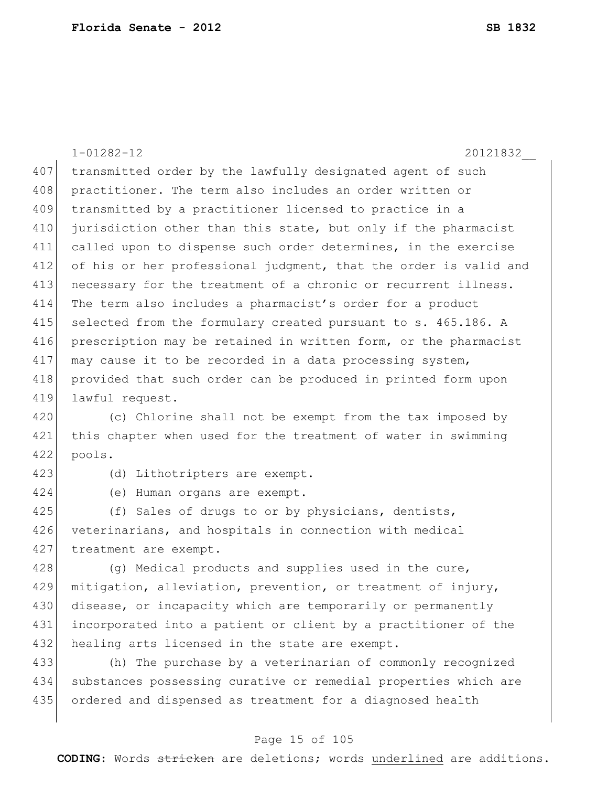1-01282-12 20121832\_\_ 407 transmitted order by the lawfully designated agent of such 408 practitioner. The term also includes an order written or 409 transmitted by a practitioner licensed to practice in a 410 jurisdiction other than this state, but only if the pharmacist 411 called upon to dispense such order determines, in the exercise 412 of his or her professional judgment, that the order is valid and 413 necessary for the treatment of a chronic or recurrent illness. 414 The term also includes a pharmacist's order for a product 415 selected from the formulary created pursuant to s. 465.186. A 416 prescription may be retained in written form, or the pharmacist 417 may cause it to be recorded in a data processing system, 418 provided that such order can be produced in printed form upon 419 lawful request. 420 (c) Chlorine shall not be exempt from the tax imposed by 421 this chapter when used for the treatment of water in swimming 422 pools.

423 (d) Lithotripters are exempt.

424 (e) Human organs are exempt.

425 (f) Sales of drugs to or by physicians, dentists, 426 veterinarians, and hospitals in connection with medical 427 treatment are exempt.

428 (g) Medical products and supplies used in the cure, 429 mitigation, alleviation, prevention, or treatment of injury, 430 disease, or incapacity which are temporarily or permanently 431 incorporated into a patient or client by a practitioner of the 432 healing arts licensed in the state are exempt.

433 (h) The purchase by a veterinarian of commonly recognized 434 substances possessing curative or remedial properties which are 435 ordered and dispensed as treatment for a diagnosed health

#### Page 15 of 105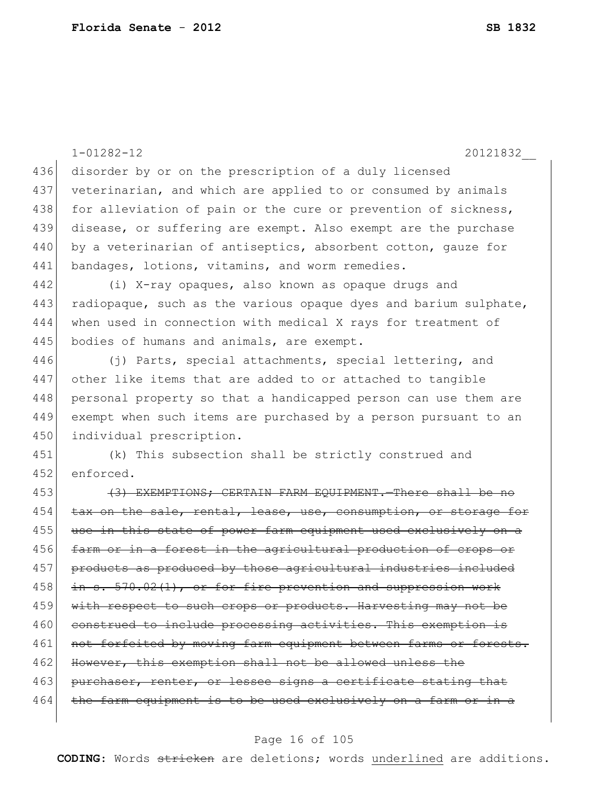1-01282-12 20121832\_\_ 436 disorder by or on the prescription of a duly licensed 437 veterinarian, and which are applied to or consumed by animals 438 for alleviation of pain or the cure or prevention of sickness, 439 disease, or suffering are exempt. Also exempt are the purchase 440 by a veterinarian of antiseptics, absorbent cotton, gauze for 441 bandages, lotions, vitamins, and worm remedies. 442 (i) X-ray opaques, also known as opaque drugs and 443 radiopaque, such as the various opaque dyes and barium sulphate, 444 when used in connection with medical X rays for treatment of 445 bodies of humans and animals, are exempt. 446 (j) Parts, special attachments, special lettering, and 447 other like items that are added to or attached to tangible 448 personal property so that a handicapped person can use them are 449 exempt when such items are purchased by a person pursuant to an 450 individual prescription. 451 (k) This subsection shall be strictly construed and 452 enforced. 453 (3) EXEMPTIONS; CERTAIN FARM EQUIPMENT. There shall be no 454 tax on the sale, rental, lease, use, consumption, or storage for 455 use in this state of power farm equipment used exclusively on a 456 farm or in a forest in the agricultural production of crops or 457 products as produced by those agricultural industries included 458 in s. 570.02(1), or for fire prevention and suppression work 459 with respect to such crops or products. Harvesting may not be 460 construed to include processing activities. This exemption is 461 not forfeited by moving farm equipment between farms or forests. 462 However, this exemption shall not be allowed unless the 463 purchaser, renter, or lessee signs a certificate stating that 464 the farm equipment is to be used exclusively on a farm or in a

#### Page 16 of 105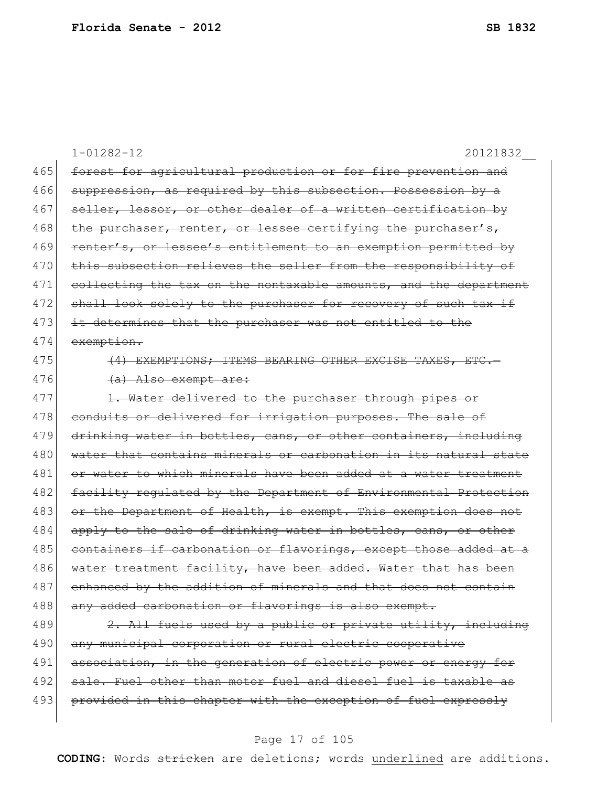|     | $1 - 01282 - 12$<br>20121832                                     |
|-----|------------------------------------------------------------------|
| 465 | forest for agricultural production or for fire prevention and    |
| 466 | suppression, as required by this subsection. Possession by a     |
| 467 | seller, lessor, or other dealer of a written certification by    |
| 468 | the purchaser, renter, or lessee certifying the purchaser's,     |
| 469 | renter's, or lessee's entitlement to an exemption permitted by   |
| 470 | this subsection relieves the seller from the responsibility of   |
| 471 | collecting the tax on the nontaxable amounts, and the department |
| 472 | shall look solely to the purchaser for recovery of such tax if   |
| 473 | it determines that the purchaser was not entitled to the         |
| 474 | exemption.                                                       |
| 475 | (4) EXEMPTIONS; ITEMS BEARING OTHER EXCISE TAXES, ETC .-         |
| 476 | (a) Also exempt are:                                             |
| 477 | 1. Water delivered to the purchaser through pipes or             |
| 478 | conduits or delivered for irrigation purposes. The sale of       |
| 479 | drinking water in bottles, cans, or other containers, including  |
| 480 | water that contains minerals or carbonation in its natural state |
| 481 | or water to which minerals have been added at a water treatment  |
| 482 | facility regulated by the Department of Environmental Protection |
| 483 | or the Department of Health, is exempt. This exemption does not  |
| 484 | apply to the sale of drinking water in bottles, cans, or other   |
| 485 | containers if carbonation or flavorings, except those added at a |
| 486 | water treatment facility, have been added. Water that has been   |
| 487 | enhanced by the addition of minerals and that does not contain   |
| 488 | any added carbonation or flavorings is also exempt.              |
| 489 | 2. All fuels used by a public or private utility, including      |
| 490 | any municipal corporation or rural electric cooperative          |
| 491 | association, in the generation of electric power or energy for   |

492 sale. Fuel other than motor fuel and diesel fuel is taxable as 493 provided in this chapter with the exception of fuel expressly

#### Page 17 of 105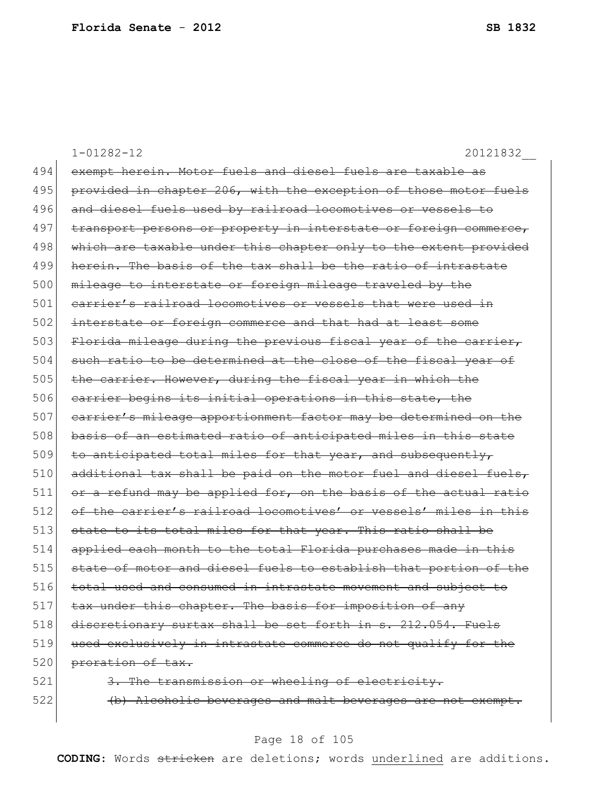1-01282-12 20121832\_\_ 494 exempt herein. Motor fuels and diesel fuels are taxable as 495 provided in chapter 206, with the exception of those motor fuels 496 and diesel fuels used by railroad locomotives or vessels to 497 transport persons or property in interstate or foreign commerce, 498 which are taxable under this chapter only to the extent provided 499 herein. The basis of the tax shall be the ratio of intrastate 500 mileage to interstate or foreign mileage traveled by the 501 carrier's railroad locomotives or vessels that were used in 502 interstate or foreign commerce and that had at least some 503 Florida mileage during the previous fiscal year of the carrier, 504 such ratio to be determined at the close of the fiscal year of 505 the carrier. However, during the fiscal year in which the 506 carrier begins its initial operations in this state, the 507 carrier's mileage apportionment factor may be determined on the 508 basis of an estimated ratio of anticipated miles in this state  $509$  to anticipated total miles for that year, and subsequently,  $510$  additional tax shall be paid on the motor fuel and diesel fuels,  $511$  or a refund may be applied for, on the basis of the actual ratio 512 of the carrier's railroad locomotives' or vessels' miles in this 513 state to its total miles for that year. This ratio shall be 514 applied each month to the total Florida purchases made in this 515 state of motor and diesel fuels to establish that portion of the 516 total used and consumed in intrastate movement and subject to 517 tax under this chapter. The basis for imposition of any 518 discretionary surtax shall be set forth in s. 212.054. Fuels 519 used exclusively in intrastate commerce do not qualify for the 520 proration of tax. 521 3. The transmission or wheeling of electricity. 522 (b) Alcoholic beverages and malt beverages are not exempt.

#### Page 18 of 105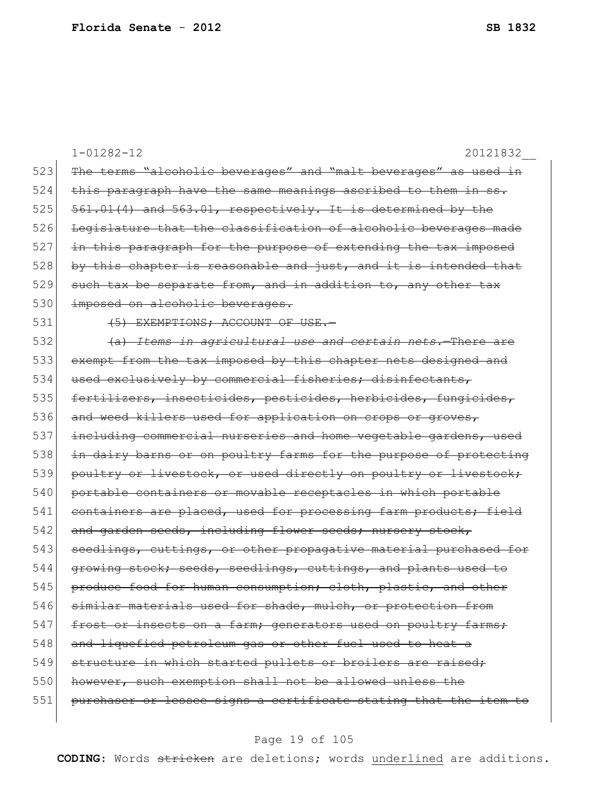|     | $1 - 01282 - 12$<br>20121832                                     |
|-----|------------------------------------------------------------------|
| 523 | The terms "alcoholic beverages" and "malt beverages" as used in  |
| 524 | this paragraph have the same meanings ascribed to them in ss.    |
| 525 | 561.01(4) and 563.01, respectively. It is determined by the      |
| 526 | Legislature that the classification of alcoholic beverages made  |
| 527 | in this paragraph for the purpose of extending the tax imposed   |
| 528 | by this chapter is reasonable and just, and it is intended that  |
| 529 | such tax be separate from, and in addition to, any other tax     |
| 530 | imposed on alcoholic beverages.                                  |
| 531 | (5) EXEMPTIONS; ACCOUNT OF USE.-                                 |
| 532 | (a) Items in agricultural use and certain nets. There are        |
| 533 | exempt from the tax imposed by this chapter nets designed and    |
| 534 | used exclusively by commercial fisheries; disinfectants,         |
| 535 | fertilizers, insecticides, pesticides, herbicides, fungicides,   |
| 536 | and weed killers used for application on crops or groves,        |
| 537 | including commercial nurseries and home vegetable gardens, used  |
| 538 | in dairy barns or on poultry farms for the purpose of protecting |
| 539 | poultry or livestock, or used directly on poultry or livestock;  |
| 540 | portable containers or movable receptacles in which portable     |
| 541 | containers are placed, used for processing farm products; field  |
| 542 | and garden seeds, including flower seeds; nursery stock,         |
| 543 | seedlings, cuttings, or other propagative material purchased for |
| 544 | growing stock; seeds, seedlings, cuttings, and plants used       |
| 545 | produce food for human consumption; cloth, plastic, and other    |
| 546 | similar materials used for shade, mulch, or protection from      |
| 547 | frost or insects on a farm; generators used on poultry farms;    |
| 548 | and liquefied petroleum gas or other fuel used to heat a         |
| 549 | structure in which started pullets or broilers are raised;       |
| 550 | however, such exemption shall not be allowed unless the          |
| 551 | purchaser or lessee signs a certificate stating that the item to |
|     |                                                                  |

# Page 19 of 105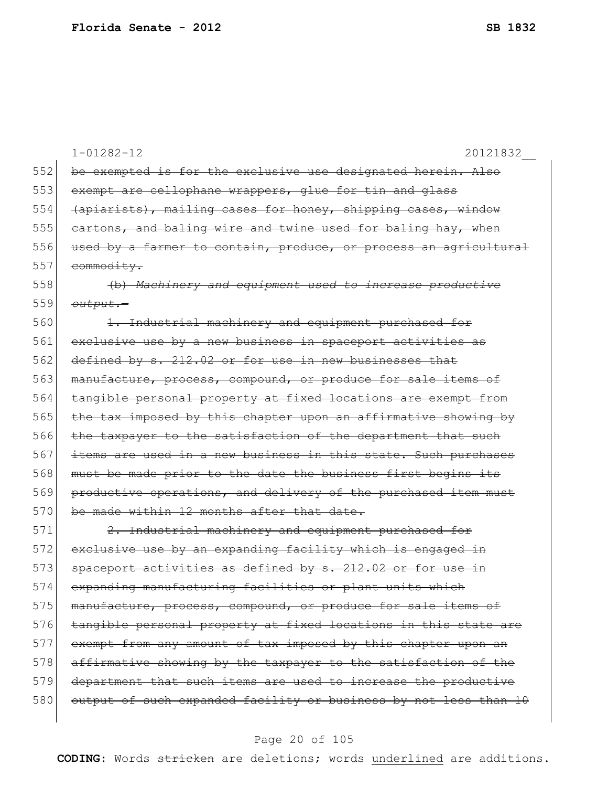|     | $1 - 01282 - 12$<br>20121832                                     |
|-----|------------------------------------------------------------------|
| 552 | be exempted is for the exclusive use designated herein. Also     |
| 553 | exempt are cellophane wrappers, glue for tin and glass           |
| 554 | (apiarists), mailing cases for honey, shipping cases, window     |
| 555 | eartons, and baling wire and twine used for baling hay, when     |
| 556 | used by a farmer to contain, produce, or process an agricultural |
| 557 | commodity.                                                       |
| 558 | (b) Machinery and equipment used to increase productive          |
| 559 | output.-                                                         |
| 560 | 1. Industrial machinery and equipment purchased for              |
| 561 | exclusive use by a new business in spaceport activities as       |
| 562 | defined by s. 212.02 or for use in new businesses that           |
| 563 | manufacture, process, compound, or produce for sale items of     |
| 564 | tangible personal property at fixed locations are exempt from    |
| 565 | the tax imposed by this chapter upon an affirmative showing by   |
| 566 | the taxpayer to the satisfaction of the department that such     |
| 567 | items are used in a new business in this state. Such purchases   |
| 568 | must be made prior to the date the business first begins its     |
| 569 | productive operations, and delivery of the purchased item must   |
| 570 | be made within 12 months after that date.                        |
| 571 | 2. Industrial machinery and equipment purchased for              |
| 572 | exclusive use by an expanding facility which is engaged in       |
| 573 | activities as defined by s. 212.02 or for use in<br>spaceport    |
| 574 | expanding manufacturing facilities or plant units which          |
| 575 | manufacture, process, compound, or produce for sale items of     |
| 576 | tangible personal property at fixed locations in this state are  |
| 577 | exempt from any amount of tax imposed by this chapter upon an    |
| 578 | affirmative showing by the taxpayer to the satisfaction of the   |
| 579 | department that such items are used to increase the productive   |
| 580 | output of such expanded facility or business by not less than 10 |
|     |                                                                  |

# Page 20 of 105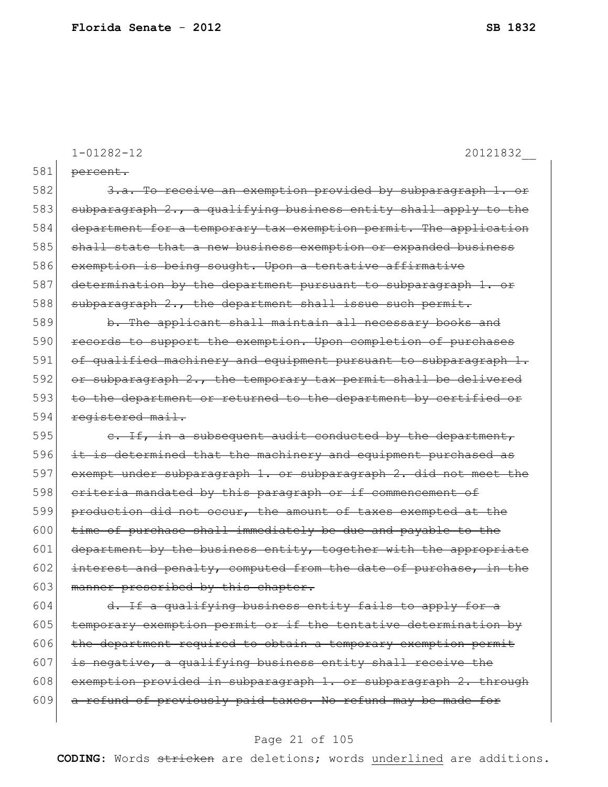|     | $1 - 01282 - 12$<br>20121832                                                 |
|-----|------------------------------------------------------------------------------|
| 581 | percent.                                                                     |
| 582 | 3.a. To receive an exemption provided by subparagraph 1.                     |
| 583 | subparagraph 2., a qualifying business entity shall apply to the             |
| 584 | department for a temporary tax exemption permit. The application             |
| 585 | shall state that a new business exemption or expanded business               |
| 586 | exemption is being sought. Upon a tentative affirmative                      |
| 587 | determination by the department pursuant to subparagraph 1. or               |
| 588 | subparagraph 2., the department shall issue such permit.                     |
| 589 | b. The applicant shall maintain all necessary books and                      |
| 590 | to support the exemption. Upon completion of purchases<br><del>records</del> |
| 591 | of qualified machinery and equipment pursuant to subparagraph 1.             |
| 592 | or subparagraph 2., the temporary tax permit shall be delivered              |
| 593 | to the department or returned to the department by certified or              |
| 594 | registered mail.                                                             |
| 595 | e. If, in a subsequent audit conducted by the department,                    |
| 596 | it is determined that the machinery and equipment purchased as               |
| 597 | exempt under subparagraph 1. or subparagraph 2. did not meet the             |
| 598 | eriteria mandated by this paragraph or if commencement of                    |
| 599 | production did not occur, the amount of taxes exempted at the                |
| 600 | time of purchase shall immediately be due and payable to the                 |
| 601 | department by the business entity, together with the appropriate             |
| 602 | interest and penalty, computed from the date of purchase, in the             |
| 603 | manner prescribed by this chapter.                                           |
| 604 | d. If a qualifying business entity fails to apply for a                      |
| 605 | temporary exemption permit or if the tentative determination by              |
| 606 | the department required to obtain a temporary exemption permit               |
| 607 | is negative, a qualifying business entity shall receive the                  |
| 608 | exemption provided in subparagraph 1. or subparagraph 2. through             |
| 609 | a refund of previously paid taxes. No refund may be made for                 |

# Page 21 of 105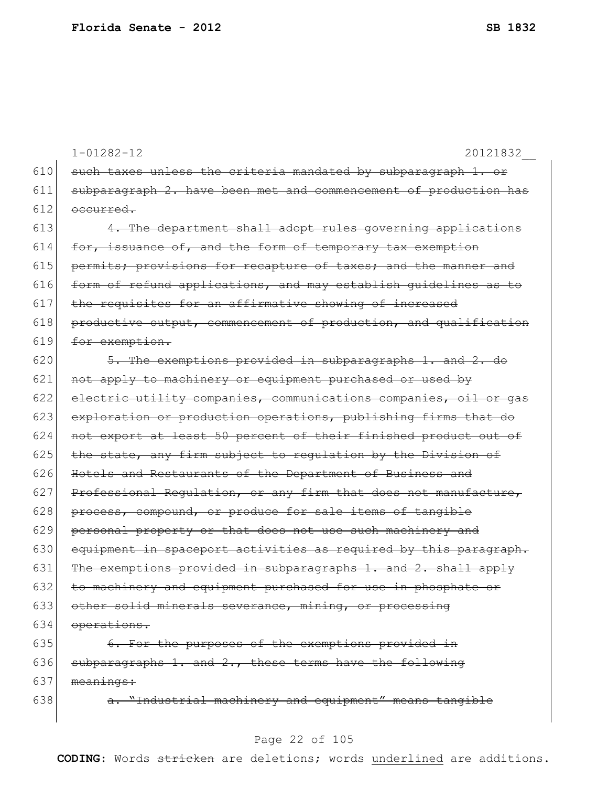|     | $1 - 01282 - 12$<br>20121832                                     |
|-----|------------------------------------------------------------------|
| 610 | such taxes unless the criteria mandated by subparagraph 1. or    |
| 611 | subparagraph 2. have been met and commencement of production has |
| 612 | occurred.                                                        |
| 613 | 4. The department shall adopt rules governing applications       |
| 614 | for, issuance of, and the form of temporary tax exemption        |
| 615 | permits; provisions for recapture of taxes; and the manner and   |
| 616 | form of refund applications, and may establish quidelines as to  |
| 617 | the requisites for an affirmative showing of increased           |
| 618 | productive output, commencement of production, and qualification |
| 619 | for exemption.                                                   |
| 620 | 5. The exemptions provided in subparagraphs 1. and 2. do         |
| 621 | not apply to machinery or equipment purchased or used by         |
| 622 | electric utility companies, communications companies, oil or gas |
| 623 | exploration or production operations, publishing firms that do   |
| 624 | not export at least 50 percent of their finished product out of  |
| 625 | the state, any firm subject to requlation by the Division of     |
| 626 | Hotels and Restaurants of the Department of Business and         |
| 627 | Professional Regulation, or any firm that does not manufacture,  |
| 628 | process, compound, or produce for sale items of tangible         |
| 629 | personal property or that does not use such machinery and        |
| 630 | equipment in spaceport activities as required by this paragraph. |
| 631 | The exemptions provided in subparagraphs 1. and 2. shall apply   |
| 632 | to machinery and equipment purchased for use in phosphate or     |
| 633 | other solid minerals severance, mining, or processing            |
| 634 | operations.                                                      |
| 635 | 6. For the purposes of the exemptions provided in                |
| 636 | subparagraphs 1. and 2., these terms have the following          |
| 637 | meanings:                                                        |

638  $a.$  "Industrial machinery and equipment" means tangible

# Page 22 of 105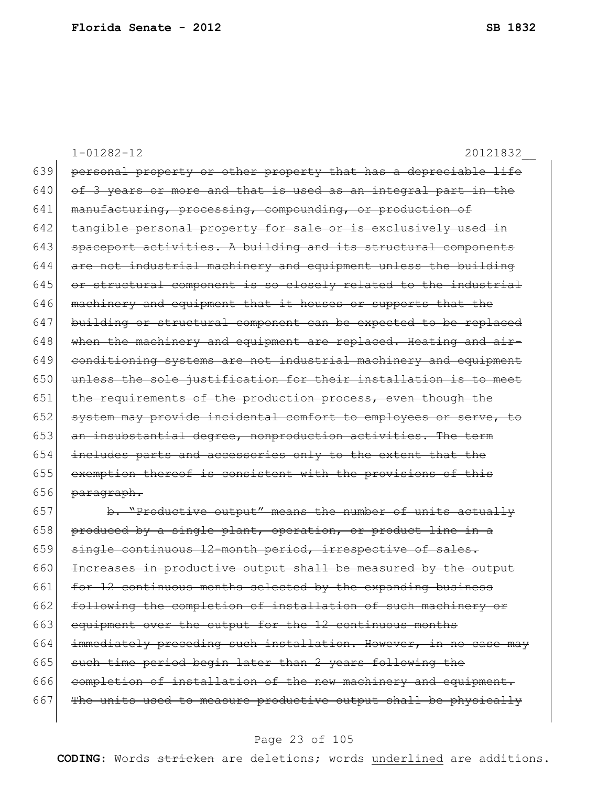1-01282-12 20121832\_\_ 639 personal property or other property that has a depreciable life  $640$  of 3 years or more and that is used as an integral part in the 641 manufacturing, processing, compounding, or production of  $642$  tangible personal property for sale or is exclusively used in 643 spaceport activities. A building and its structural components  $644$  are not industrial machinery and equipment unless the building  $645$  or structural component is so closely related to the industrial  $646$  machinery and equipment that it houses or supports that the 647 building or structural component can be expected to be replaced  $648$  when the machinery and equipment are replaced. Heating and air-649 conditioning systems are not industrial machinery and equipment  $650$  unless the sole justification for their installation is to meet 651 the requirements of the production process, even though the 652 system may provide incidental comfort to employees or serve, to 653 an insubstantial degree, nonproduction activities. The term 654 includes parts and accessories only to the extent that the 655 exemption thereof is consistent with the provisions of this  $656$  paragraph.  $657$  b. "Productive output" means the number of units actually

658 produced by a single plant, operation, or product line in a 659 single continuous 12-month period, irrespective of sales. 660 Increases in productive output shall be measured by the output 661  $\left| \right|$  for 12 continuous months selected by the expanding business 662 following the completion of installation of such machinery or 663 equipment over the output for the 12 continuous months 664 immediately preceding such installation. However, in no case may 665 such time period begin later than 2 years following the 666 completion of installation of the new machinery and equipment.  $667$  The units used to measure productive output shall be physically

#### Page 23 of 105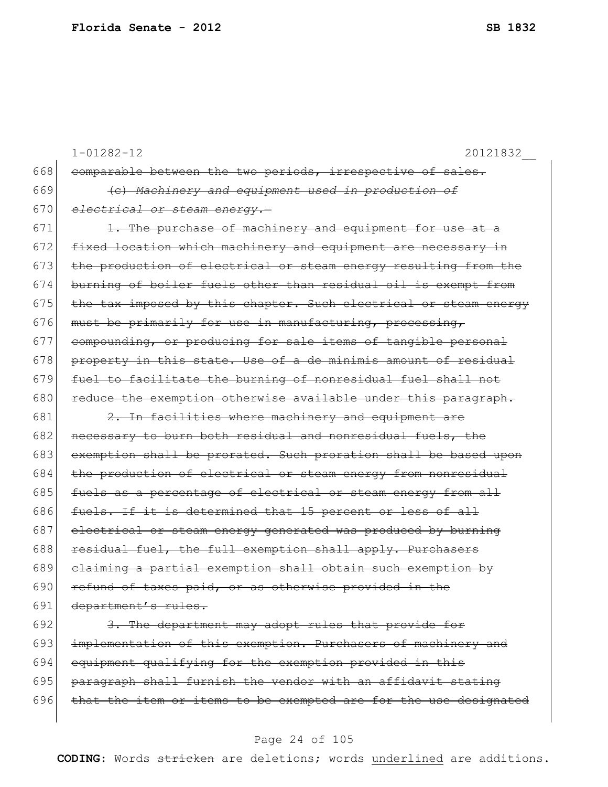|     | 20121832<br>$1 - 01282 - 12$                                     |
|-----|------------------------------------------------------------------|
| 668 | comparable between the two periods, irrespective of sales.       |
| 669 | (e) Machinery and equipment used in production of                |
| 670 | electrical or steam energy.-                                     |
| 671 | 1. The purchase of machinery and equipment for use at a          |
| 672 | fixed location which machinery and equipment are necessary in    |
| 673 | the production of electrical or steam energy resulting from the  |
| 674 | burning of boiler fuels other than residual oil is exempt from   |
| 675 | the tax imposed by this chapter. Such electrical or steam energy |
| 676 | must be primarily for use in manufacturing, processing,          |
| 677 | compounding, or producing for sale items of tangible personal    |
| 678 | property in this state. Use of a de minimis amount of residual   |
| 679 | fuel to facilitate the burning of nonresidual fuel shall not     |
| 680 | reduce the exemption otherwise available under this paragraph.   |
| 681 | 2. In facilities where machinery and equipment are               |
| 682 | necessary to burn both residual and nonresidual fuels, the       |
| 683 | exemption shall be prorated. Such proration shall be based upon  |
| 684 | the production of electrical or steam energy from nonresidual    |
| 685 | fuels as a percentage of electrical or steam energy from all     |
| 686 | fuels. If it is determined that 15 percent or less of all        |
| 687 | electrical or steam energy generated was produced by burning     |
| 688 | residual fuel, the full exemption shall apply. Purchasers        |
| 689 | elaiming a partial exemption shall obtain such exemption by      |
| 690 | refund of taxes paid, or as otherwise provided in the            |
| 691 | department's rules.                                              |
| 692 | 3. The department may adopt rules that provide for               |
| 693 | implementation of this exemption. Purchasers of machinery and    |
| 694 | equipment qualifying for the exemption provided in this          |
| 695 | paragraph shall furnish the vendor with an affidavit stating     |

 $696$  that the item or items to be exempted are for the use designated

#### Page 24 of 105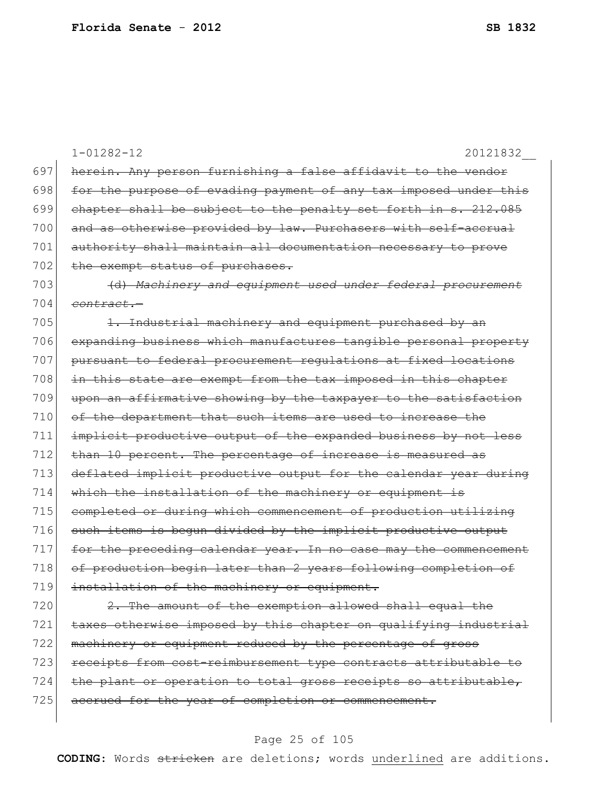|     | $1 - 01282 - 12$<br>20121832                                     |
|-----|------------------------------------------------------------------|
| 697 | herein. Any person furnishing a false affidavit to the vendor    |
| 698 | for the purpose of evading payment of any tax imposed under this |
| 699 | chapter shall be subject to the penalty set forth in s. 212.085  |
| 700 | and as otherwise provided by law. Purchasers with self-accrual   |
| 701 | authority shall maintain all documentation necessary to prove    |
| 702 | the exempt status of purchases.                                  |
| 703 | (d) Machinery and equipment used under federal procurement       |
| 704 | <del>contract.-</del>                                            |
| 705 | 1. Industrial machinery and equipment purchased by an            |
| 706 | expanding business which manufactures tangible personal property |
| 707 | pursuant to federal procurement requlations at fixed locations   |
| 708 | in this state are exempt from the tax imposed in this chapter    |
| 709 | upon an affirmative showing by the taxpayer to the satisfaction  |
| 710 | of the department that such items are used to increase the       |
| 711 | implicit productive output of the expanded business by not less  |
| 712 | than 10 percent. The percentage of increase is measured as       |
| 713 | deflated implicit productive output for the calendar year during |
| 714 | which the installation of the machinery or equipment is          |
| 715 | completed or during which commencement of production utilizing   |
| 716 | such items is bequn divided by the implicit productive output    |
| 717 | for the preceding calendar year. In no case may the commencement |
| 718 | of production begin later than 2 years following completion of   |
| 719 | installation of the machinery or equipment.                      |
| 720 | 2. The amount of the exemption allowed shall equal the           |
| 721 | taxes otherwise imposed by this chapter on qualifying industrial |
| 722 | machinery or equipment reduced by the percentage of gross        |
| 723 | receipts from cost-reimbursement type contracts attributable to  |
| 724 | the plant or operation to total gross receipts so attributable,  |
| 725 | accrued for the year of completion or commencement.              |
|     |                                                                  |

# Page 25 of 105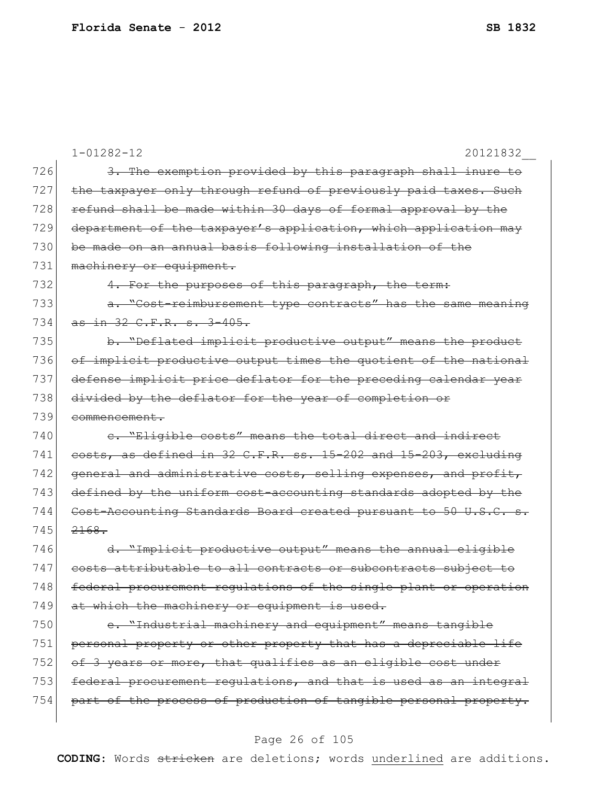|     | $1 - 01282 - 12$<br>20121832                                                 |
|-----|------------------------------------------------------------------------------|
| 726 | 3. The exemption provided by this paragraph shall inure to                   |
| 727 | the taxpayer only through refund of previously paid taxes. Such              |
| 728 | refund shall be made within 30 days of formal approval by the                |
| 729 | department of the taxpayer's application, which application may              |
| 730 | be made on an annual basis following installation of the                     |
| 731 | machinery or equipment.                                                      |
| 732 | 4. For the purposes of this paragraph, the term:                             |
| 733 | a. "Cost-reimbursement type contracts" has the same meaning                  |
| 734 | as in 32 C.F.R. s. 3-405.                                                    |
| 735 | b. "Deflated implicit productive output" means the product                   |
| 736 | of implicit productive output times the quotient of the national             |
| 737 | defense implicit price deflator for the preceding calendar year              |
| 738 | divided by the deflator for the year of completion or                        |
| 739 | commencement.                                                                |
| 740 | e. "Eligible costs" means the total direct and indirect                      |
| 741 | costs, as defined in 32 C.F.R. ss. 15-202 and 15-203, excluding              |
| 742 | general and administrative costs, selling expenses, and profit,              |
| 743 | defined by the uniform cost-accounting standards adopted by the              |
| 744 | Cost-Accounting Standards Board created pursuant to 50 U.S.C. s.             |
| 745 | 2168.                                                                        |
| 746 | d. "Implicit productive output" means the annual eligible                    |
| 747 | attributable to all contracts or subcontracts subject to<br><del>costs</del> |
| 748 | federal procurement regulations of the single plant or operation             |
| 749 | at which the machinery or equipment is used.                                 |
| 750 | e. "Industrial machinery and equipment" means tangible                       |
| 751 | personal property or other property that has a depreciable life              |
| 752 | of 3 years or more, that qualifies as an eligible cost under                 |
| 753 | federal procurement regulations, and that is used as an integral             |
| 754 | part of the process of production of tangible personal property.             |
|     |                                                                              |

# Page 26 of 105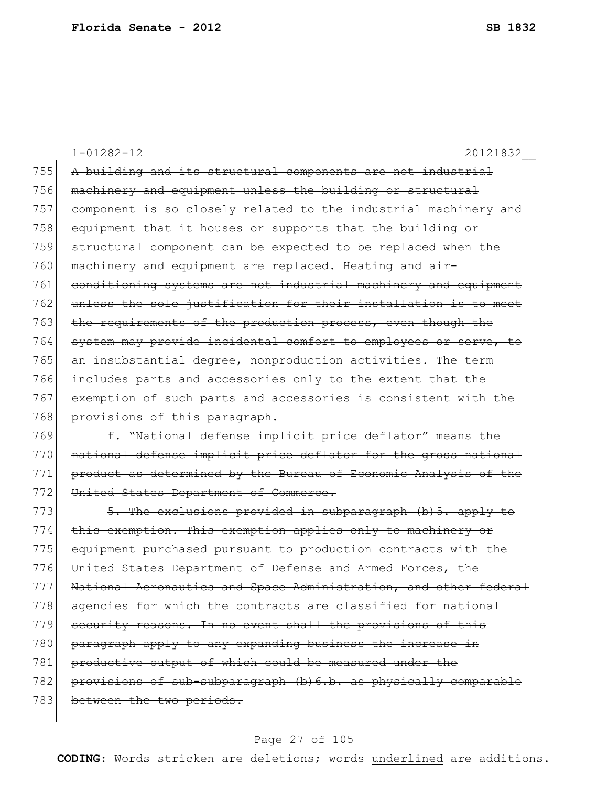1-01282-12 20121832\_\_ 755 A building and its structural components are not industrial 756 machinery and equipment unless the building or structural 757 component is so closely related to the industrial machinery and 758 equipment that it houses or supports that the building or 759 structural component can be expected to be replaced when the 760 machinery and equipment are replaced. Heating and air-761 conditioning systems are not industrial machinery and equipment 762 unless the sole justification for their installation is to meet 763 the requirements of the production process, even though the 764 system may provide incidental comfort to employees or serve, to 765 an insubstantial degree, nonproduction activities. The term 766 includes parts and accessories only to the extent that the 767 exemption of such parts and accessories is consistent with the 768 provisions of this paragraph. 769 **f. "National defense implicit price deflator" means the** 770 national defense implicit price deflator for the gross national 771 product as determined by the Bureau of Economic Analysis of the 772 United States Department of Commerce. 773  $\sim$  5. The exclusions provided in subparagraph (b) 5. apply to 774 this exemption. This exemption applies only to machinery or 775 equipment purchased pursuant to production contracts with the 776 United States Department of Defense and Armed Forces, the 777 National Aeronautics and Space Administration, and other federal 778 agencies for which the contracts are classified for national 779 security reasons. In no event shall the provisions of this 780 paragraph apply to any expanding business the increase in 781 productive output of which could be measured under the 782 provisions of sub-subparagraph (b) 6.b. as physically comparable 783 between the two periods.

#### Page 27 of 105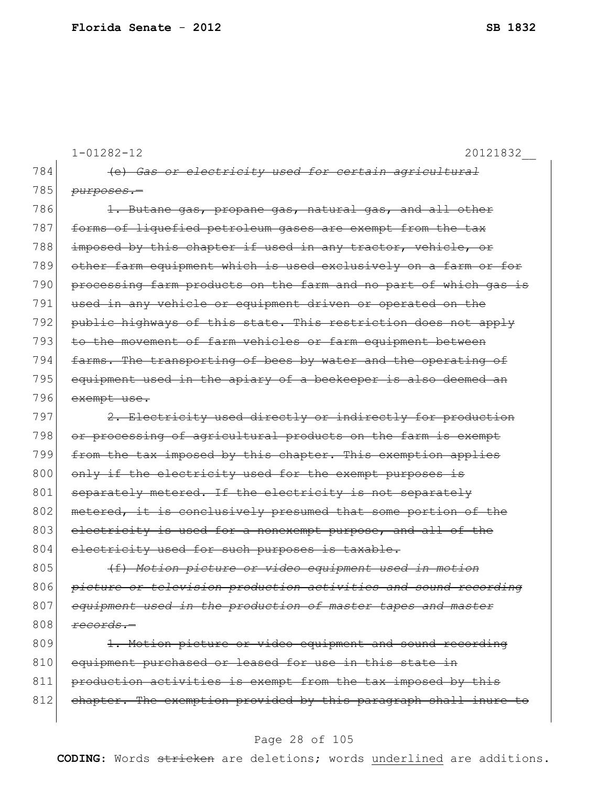|     | $1 - 01282 - 12$<br>20121832                                     |
|-----|------------------------------------------------------------------|
| 784 | (e) Gas or electricity used for certain agricultural             |
| 785 | <del>purposes.-</del>                                            |
| 786 | 1. Butane gas, propane gas, natural gas, and all other           |
| 787 | forms of liquefied petroleum gases are exempt from the tax       |
| 788 | imposed by this chapter if used in any tractor, vehicle, or      |
| 789 | other farm equipment which is used exclusively on a farm or for  |
| 790 | processing farm products on the farm and no part of which gas is |
| 791 | used in any vehicle or equipment driven or operated on the       |
| 792 | public highways of this state. This restriction does not apply   |
| 793 | to the movement of farm vehicles or farm equipment between       |
| 794 | farms. The transporting of bees by water and the operating of    |
| 795 | equipment used in the apiary of a beekeeper is also deemed an    |
| 796 | exempt use.                                                      |
| 797 | 2. Electricity used directly or indirectly for production        |
| 798 | or processing of agricultural products on the farm is exempt     |
| 799 | from the tax imposed by this chapter. This exemption applies     |
| 800 | only if the electricity used for the exempt purposes is          |
| 801 | separately metered. If the electricity is not separately         |
| 802 | metered, it is conclusively presumed that some portion of the    |
| 803 | electricity is used for a nonexempt purpose, and all of the      |
| 804 | electricity used for such purposes is taxable.                   |
| 805 | (f) Motion picture or video equipment used in motion             |
| 806 | picture or television production activities and sound recording  |
| 807 | equipment used in the production of master tapes and master      |
| 808 | records.-                                                        |
| 809 | 1. Motion picture or video equipment and sound recording         |
| 810 | equipment purchased or leased for use in this state in           |
| 811 | production activities is exempt from the tax imposed by this     |
| 812 | chapter. The exemption provided by this paragraph shall inure to |

# Page 28 of 105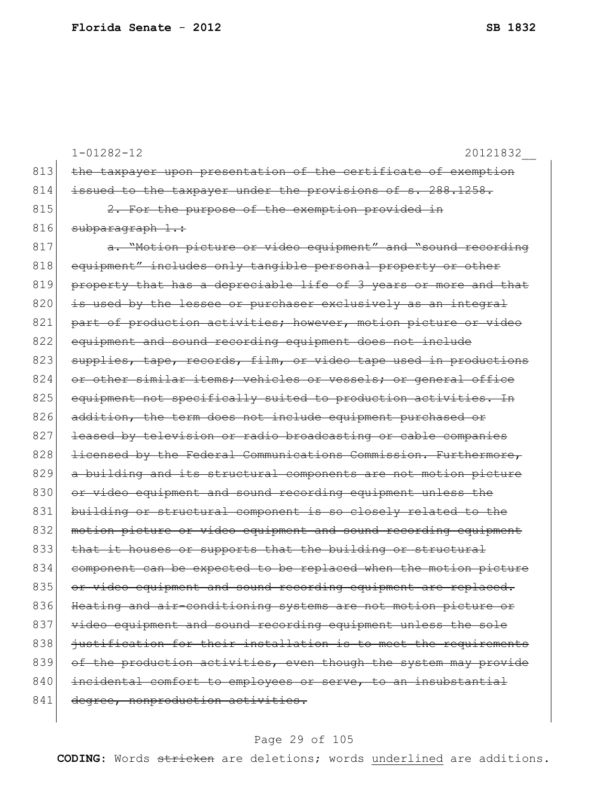|     | $1 - 01282 - 12$<br>20121832                                                   |
|-----|--------------------------------------------------------------------------------|
| 813 | the taxpayer upon presentation of the certificate of exemption                 |
| 814 | issued to the taxpayer under the provisions of s. 288.1258.                    |
| 815 | 2. For the purpose of the exemption provided in                                |
| 816 | subparagraph 1.:                                                               |
| 817 | a. "Motion picture or video equipment" and "sound recording                    |
| 818 | equipment" includes only tangible personal property or other                   |
| 819 | property that has a depreciable life of 3 years or more and that               |
| 820 | is used by the lessee or purchaser exclusively as an integral                  |
| 821 | part of production activities; however, motion picture or video                |
| 822 | equipment and sound recording equipment does not include                       |
| 823 | supplies, tape, records, film, or video tape used in productions               |
| 824 | or other similar items; vehicles or vessels; or general office                 |
| 825 | equipment not specifically suited to production activities. In                 |
| 826 | addition, the term does not include equipment purchased or                     |
| 827 | leased by television or radio broadcasting or cable companies                  |
| 828 | licensed by the Federal Communications Commission. Furthermore,                |
| 829 | a building and its structural components are not motion picture                |
| 830 | or video equipment and sound recording equipment unless the                    |
| 831 | building or structural component is so closely related to the                  |
| 832 | motion picture or video equipment and sound recording equipment                |
| 833 | that it houses or supports that the building or structural                     |
| 834 | can be expected to be replaced when the motion picture<br><del>component</del> |
| 835 | or video equipment and sound recording equipment are replaced.                 |
| 836 | Heating and air-conditioning systems are not motion picture or                 |
| 837 | video equipment and sound recording equipment unless the sole                  |
| 838 | justification for their installation is to meet the requirements               |
| 839 | of the production activities, even though the system may provide               |
| 840 | incidental comfort to employees or serve, to an insubstantial                  |
| 841 | degree, nonproduction activities.                                              |
|     |                                                                                |

# Page 29 of 105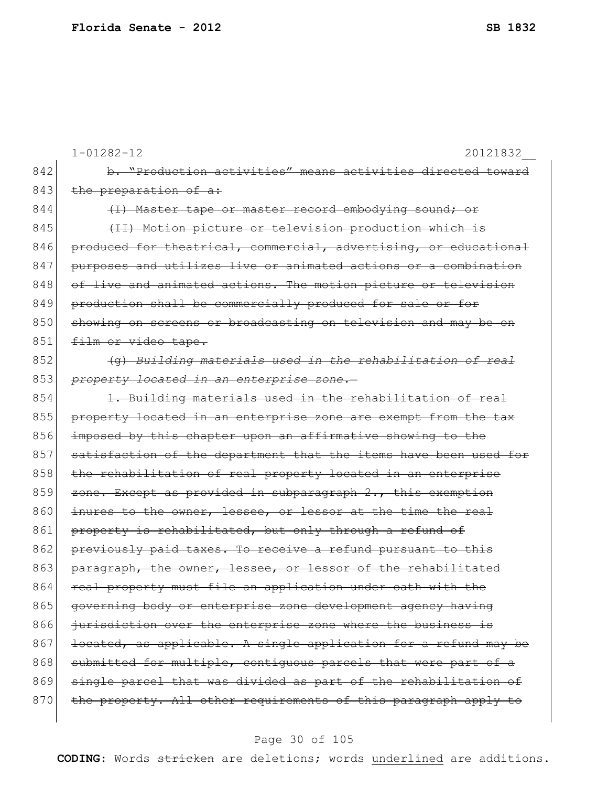|     | $1 - 01282 - 12$<br>20121832                                     |
|-----|------------------------------------------------------------------|
| 842 | b. "Production activities" means activities directed toward      |
| 843 | the preparation of a:                                            |
| 844 | (I) Master tape or master record embodying sound; or             |
| 845 | (II) Motion picture or television production which is            |
| 846 | produced for theatrical, commercial, advertising, or educational |
| 847 | purposes and utilizes live or animated actions or a combination  |
| 848 | of live and animated actions. The motion picture or television   |
| 849 | production shall be commercially produced for sale or for        |
| 850 | showing on sereens or broadcasting on television and may be on   |
| 851 | film or video tape.                                              |
| 852 | (g) Building materials used in the rehabilitation of real        |
| 853 | property located in an enterprise zone.-                         |
| 854 | 1. Building materials used in the rehabilitation of real         |
| 855 | property located in an enterprise zone are exempt from the tax   |
| 856 | imposed by this chapter upon an affirmative showing to the       |
| 857 | satisfaction of the department that the items have been used for |
| 858 | the rehabilitation of real property located in an enterprise     |
| 859 | zone. Except as provided in subparagraph 2., this exemption      |
| 860 | inures to the owner, lessee, or lessor at the time the real      |
| 861 | property is rehabilitated, but only through a refund of          |
| 862 | previously paid taxes. To receive a refund pursuant to this      |
| 863 | paragraph, the owner, lessee, or lessor of the rehabilitated     |
| 864 | real property must file an application under oath with the       |
| 865 | governing body or enterprise zone development agency having      |
| 866 | jurisdiction over the enterprise zone where the business is      |
| 867 | located, as applicable. A single application for a refund may be |
| 868 | submitted for multiple, contiguous parcels that were part of a   |
| 869 | single parcel that was divided as part of the rehabilitation of  |
| 870 | the property. All other requirements of this paragraph apply to  |
|     |                                                                  |

# Page 30 of 105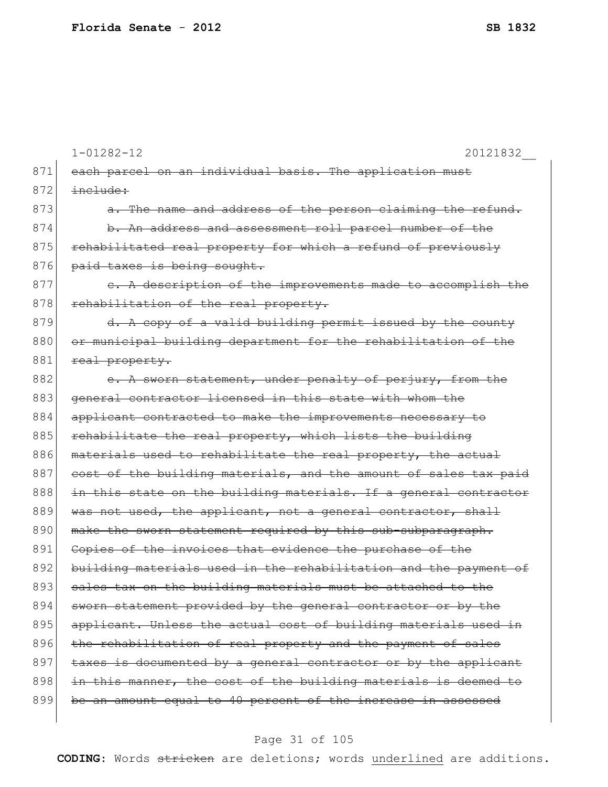|     | $1 - 01282 - 12$<br>20121832                                     |
|-----|------------------------------------------------------------------|
| 871 | each parcel on an individual basis. The application must         |
| 872 | include:                                                         |
| 873 | a. The name and address of the person claiming the refund.       |
| 874 | b. An address and assessment roll parcel number of the           |
| 875 | rehabilitated real property for which a refund of previously     |
| 876 | paid taxes is being sought.                                      |
| 877 | e. A description of the improvements made to accomplish the      |
| 878 | rehabilitation of the real property.                             |
| 879 | d. A copy of a valid building permit issued by the county        |
| 880 | or municipal building department for the rehabilitation of the   |
| 881 | real property.                                                   |
| 882 | e. A sworn statement, under penalty of perjury, from the         |
| 883 | general contractor licensed in this state with whom the          |
| 884 | applicant contracted to make the improvements necessary to       |
| 885 | rehabilitate the real property, which lists the building         |
| 886 | materials used to rehabilitate the real property, the actual     |
| 887 | cost of the building materials, and the amount of sales tax paid |
| 888 | in this state on the building materials. If a general contractor |
| 889 | was not used, the applicant, not a general contractor, shall     |
| 890 | make the sworn statement required by this sub-subparagraph.      |
| 891 | Copies of the invoices that evidence the purchase of the         |
| 892 | building materials used in the rehabilitation and the payment of |
| 893 | sales tax on the building materials must be attached to the      |
| 894 | sworn statement provided by the general contractor or by the     |
| 895 | applicant. Unless the actual cost of building materials used in  |
| 896 | the rehabilitation of real property and the payment of sales     |
| 897 | taxes is documented by a general contractor or by the applicant  |
| 898 | in this manner, the cost of the building materials is deemed to  |
| 899 | be an amount equal to 40 percent of the increase in assessed     |
|     |                                                                  |

# Page 31 of 105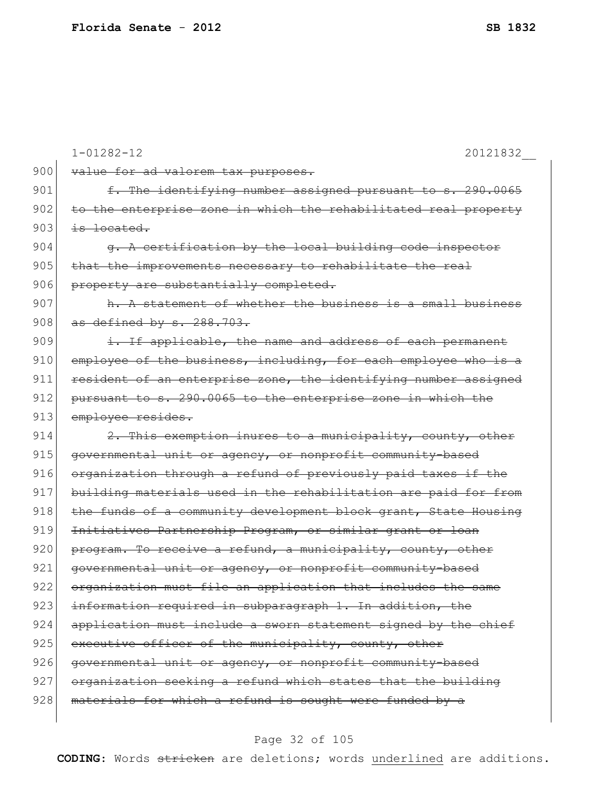|     | $1 - 01282 - 12$<br>20121832                                    |
|-----|-----------------------------------------------------------------|
| 900 | value for ad valorem tax purposes.                              |
| 901 | f. The identifying number assigned pursuant to s. 290.0065      |
| 902 | to the enterprise zone in which the rehabilitated real property |
| 903 | is located.                                                     |
| 904 | q. A certification by the local building code inspector         |
| 905 | that the improvements necessary to rehabilitate the real        |
| 906 | property are substantially completed.                           |
| 907 | h. A statement of whether the business is a small business      |
| 908 | as defined by s. 288.703.                                       |
| 909 | i. If applicable, the name and address of each permanent        |
| 910 | employee of the business, including, for each employee who is a |
| 911 | resident of an enterprise zone, the identifying number assigned |
| 912 | pursuant to s. 290.0065 to the enterprise zone in which the     |
| 913 | employee resides.                                               |
| 914 | 2. This exemption inures to a municipality, county, other       |
| 915 | governmental unit or agency, or nonprofit community-based       |
| 916 | organization through a refund of previously paid taxes if the   |
| 917 | building materials used in the rehabilitation are paid for from |
| 918 | the funds of a community development block grant, State Housing |
| 919 | Initiatives Partnership Program, or similar grant or loan       |
| 920 | program. To receive a refund, a municipality, county, other     |
| 921 | governmental unit or agency, or nonprofit community-based       |
| 922 | organization must file an application that includes the same    |
| 923 | information required in subparagraph 1. In addition, the        |
| 924 | application must include a sworn statement signed by the chief  |
| 925 | executive officer of the municipality, county, other            |
| 926 | governmental unit or agency, or nonprofit community-based       |
| 927 | organization seeking a refund which states that the building    |
| 928 | materials for which a refund is sought were funded by a         |
|     |                                                                 |

# Page 32 of 105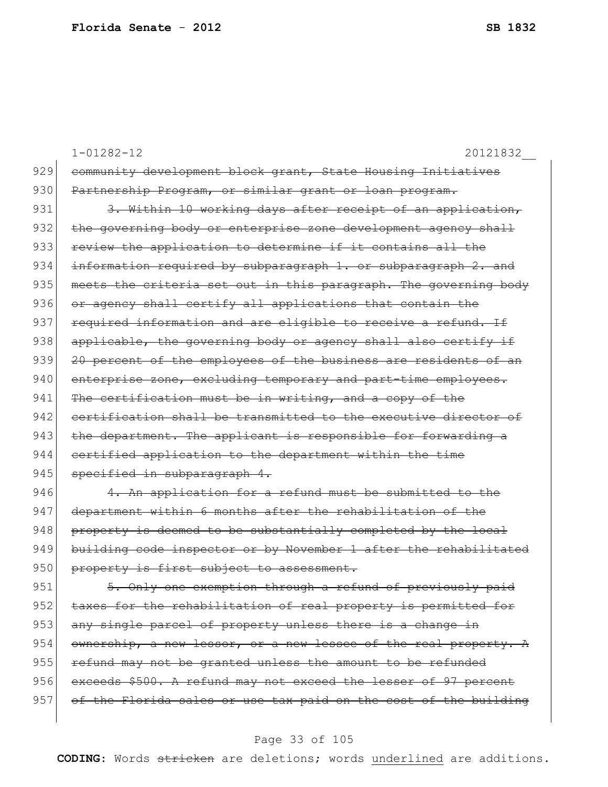|                      | $1 - 01282 - 12$<br>20121832                                                                                                                                                                                                                                                        |
|----------------------|-------------------------------------------------------------------------------------------------------------------------------------------------------------------------------------------------------------------------------------------------------------------------------------|
| 929                  | community development block grant, State Housing Initiatives                                                                                                                                                                                                                        |
| 930                  | Partnership Program, or similar grant or loan program.                                                                                                                                                                                                                              |
| 931                  | 3. Within 10 working days after receipt of an application,                                                                                                                                                                                                                          |
| 932                  | governing body or enterprise zone development agency<br>shall<br><del>the</del>                                                                                                                                                                                                     |
| 933                  | review the application to determine if it contains all the                                                                                                                                                                                                                          |
| 934                  | information required by subparagraph 1. or subparagraph<br><del>-2. and</del>                                                                                                                                                                                                       |
| 935                  | meets the criteria set out in this paragraph. The governing<br><del>-body</del>                                                                                                                                                                                                     |
| 936                  | or agency shall certify all applications that contain the                                                                                                                                                                                                                           |
| 937                  | required information and are eligible to receive a refund. If                                                                                                                                                                                                                       |
| 938                  | applicable, the governing body or agency shall also certify if                                                                                                                                                                                                                      |
| 939                  | 20 percent of the employees of the business are residents of an                                                                                                                                                                                                                     |
| 940                  | enterprise zone, excluding temporary and<br>part-time employees.                                                                                                                                                                                                                    |
| 941                  | certification must be in writing, and a copy of the<br><del>The</del>                                                                                                                                                                                                               |
| 942                  | certification shall be transmitted to the executive director of                                                                                                                                                                                                                     |
| 943                  | the department. The applicant is responsible for forwarding a                                                                                                                                                                                                                       |
| 944                  | certified application to the department within the time                                                                                                                                                                                                                             |
| 945                  | specified in subparagraph 4.                                                                                                                                                                                                                                                        |
| 946                  | for a refund must be submitted<br>application<br>$+\circ$                                                                                                                                                                                                                           |
| $\sim$ $\sim$ $\sim$ | the state of the state of<br>the contract of the contract of the contract of the contract of the contract of the contract of the contract of<br>$\sim$<br>$\sim$ $\sim$<br>$\sim$ $\sim$<br>$\sim$ $\sim$<br><b>Contract Contract Contract</b><br><b>Contract Contract Contract</b> |

947 department within 6 months after the rehabilitation of the  $948$  property is deemed to be substantially completed by the local 949 building code inspector or by November 1 after the rehabilitated 950 property is first subject to assessment.

951 5. Only one exemption through a refund of previously paid 952 taxes for the rehabilitation of real property is permitted for 953 any single parcel of property unless there is a change in 954 ownership, a new lessor, or a new lessee of the real property. A 955 refund may not be granted unless the amount to be refunded 956 exceeds \$500. A refund may not exceed the lesser of 97 percent 957 of the Florida sales or use tax paid on the cost of the building

#### Page 33 of 105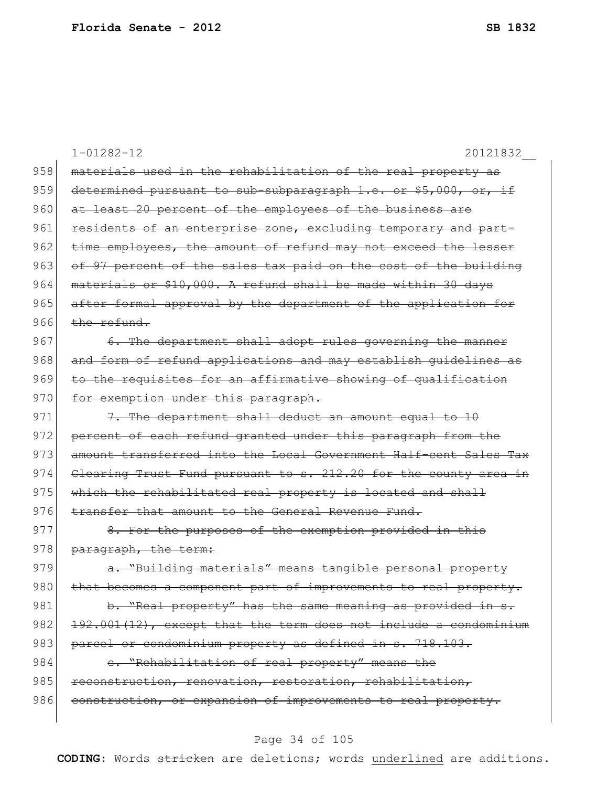|     | $1 - 01282 - 12$<br>20121832                                     |
|-----|------------------------------------------------------------------|
| 958 | materials used in the rehabilitation of the real property as     |
| 959 | determined pursuant to sub-subparagraph 1.e. or \$5,000, or, if  |
| 960 | at least 20 percent of the employees of the business are         |
| 961 | residents of an enterprise zone, excluding temporary and part-   |
| 962 | time employees, the amount of refund may not exceed the lesser   |
| 963 | of 97 percent of the sales tax paid on the cost of the building  |
| 964 | materials or \$10,000. A refund shall be made within 30 days     |
| 965 | after formal approval by the department of the application for   |
| 966 | $the$ refund                                                     |
| 967 | 6. The department shall adopt rules governing the manner         |
| 968 | and form of refund applications and may establish quidelines as  |
| 969 | to the requisites for an affirmative showing of qualification    |
| 970 | for exemption under this paragraph.                              |
| 971 | 7. The department shall deduct an amount equal to 10             |
| 972 | percent of each refund granted under this paragraph from the     |
| 973 | amount transferred into the Local Government Half-cent Sales Tax |
| 974 | Clearing Trust Fund pursuant to s. 212.20 for the county area in |
| 975 | which the rehabilitated real property is located and shall       |
| 976 | transfer that amount to the General Revenue Fund.                |
| 977 | 8. For the purposes of the exemption provided in this            |
| 978 | paragraph, the term:                                             |
| 979 | a. "Building materials" means tangible personal property         |
| 980 | that becomes a component part of improvements to real property.  |
| 981 | b. "Real property" has the same meaning as provided in s.        |
| 982 | 192.001(12), except that the term does not include a condominium |
| 983 | parcel or condominium property as defined in s. 718.103.         |
| 984 | e. "Rehabilitation of real property" means the                   |
| 985 | reconstruction, renovation, restoration, rehabilitation,         |
| 986 | construction, or expansion of improvements to real property.     |
|     |                                                                  |

# Page 34 of 105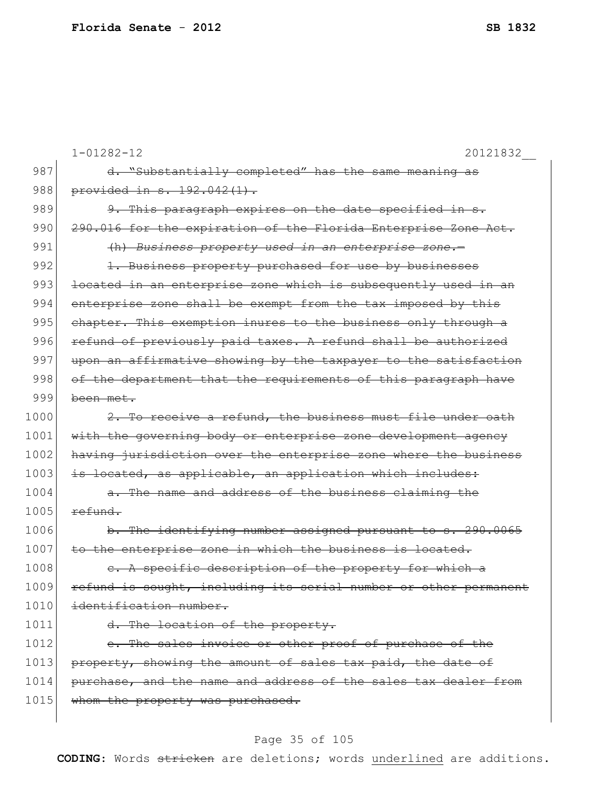|      | $1 - 01282 - 12$<br>20121832                                     |
|------|------------------------------------------------------------------|
| 987  | d. "Substantially completed" has the same meaning as             |
| 988  | provided in s. 192.042(1).                                       |
| 989  | 9. This paragraph expires on the date specified in s.            |
| 990  | 290.016 for the expiration of the Florida Enterprise Zone Act.   |
| 991  | (h) Business property used in an enterprise zone.-               |
| 992  | 1. Business property purchased for use by businesses             |
| 993  | located in an enterprise zone which is subsequently used in an   |
| 994  | enterprise zone shall be exempt from the tax imposed by this     |
| 995  | chapter. This exemption inures to the business only through a    |
| 996  | refund of previously paid taxes. A refund shall be authorized    |
| 997  | upon an affirmative showing by the taxpayer to the satisfaction  |
| 998  | of the department that the requirements of this paragraph have   |
| 999  | been met.                                                        |
| 1000 | 2. To receive a refund, the business must file under oath        |
| 1001 | with the governing body or enterprise zone development agency    |
| 1002 | having jurisdiction over the enterprise zone where the business  |
| 1003 | is located, as applicable, an application which includes:        |
| 1004 | a. The name and address of the business claiming the             |
| 1005 | refund.                                                          |
| 1006 | b. The identifying number assigned pursuant to s. 290.0065       |
| 1007 | to the enterprise zone in which the business is located.         |
| 1008 | A specific description of the property for which a               |
| 1009 | refund is sought, including its serial number or other permanent |
| 1010 | identification number.                                           |
| 1011 | d. The location of the property.                                 |
| 1012 | e. The sales invoice or other proof of purchase of the           |
| 1013 | property, showing the amount of sales tax paid, the date of      |
| 1014 | purchase, and the name and address of the sales tax dealer from  |
| 1015 | whom the property was purchased.                                 |
|      |                                                                  |

# Page 35 of 105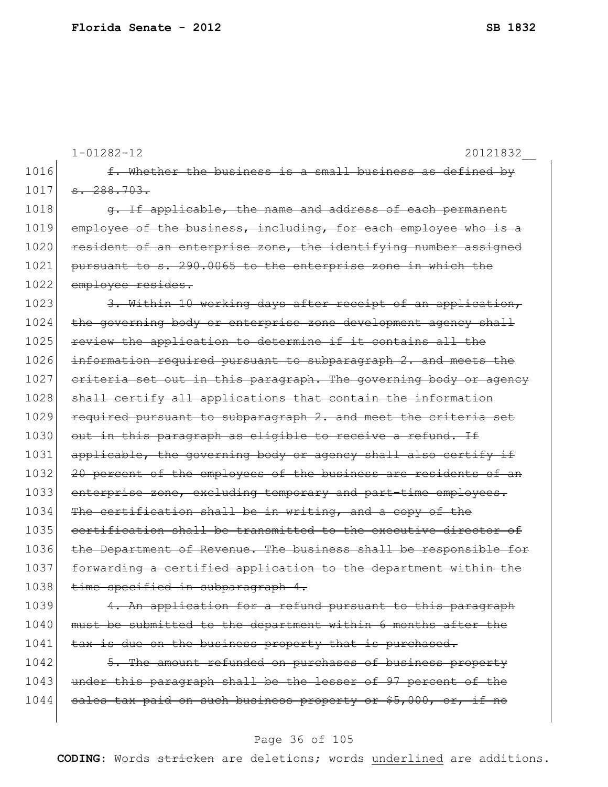|      | $1 - 01282 - 12$<br>20121832                                     |
|------|------------------------------------------------------------------|
| 1016 | f. Whether the business is a small business as defined by        |
| 1017 | $-288.703.$                                                      |
| 1018 | a. If applicable, the name and address of each permanent         |
| 1019 | employee of the business, including, for each employee who       |
| 1020 | resident of an enterprise zone, the identifying number assigned  |
| 1021 | pursuant to s. 290.0065 to the enterprise zone in which the      |
| 1022 | employee resides.                                                |
| 1023 | 3. Within 10 working days after receipt of an application,       |
| 1024 | the governing body or enterprise zone development agency shall   |
| 1025 | review the application to determine if it contains all the       |
| 1026 | information required pursuant to subparagraph 2. and meets the   |
| 1027 | criteria set out in this paragraph. The governing body or agency |
| 1028 | shall certify all applications that contain the information      |
| 1029 | required pursuant to subparagraph 2. and meet the criteria set   |
| 1030 | out in this paragraph as eligible to receive a refund. If        |
| 1031 | applicable, the governing body or agency shall also certify if   |
| 1032 | 20 percent of the employees of the business are residents of an  |
| 1033 | enterprise zone, excluding temporary and part-time employees.    |
| 1034 | The certification shall be in writing, and a copy of the         |
| 1035 | certification shall be transmitted to the executive director of  |
| 1036 | the Department of Revenue. The business shall be responsible for |
| 1037 | forwarding a certified application to the department within the  |
| 1038 | time specified in subparagraph 4.                                |
| 1039 | 4. An application for a refund pursuant to this paragraph        |
| 1040 | must be submitted to the department within 6 months after the    |
| 1041 | tax is due on the business property that is purchased.           |
| 1042 | 5. The amount refunded on purchases of business property         |
| 1043 | under this paragraph shall be the lesser of 97 percent of the    |
| 1044 | sales tax paid on such business property or \$5,000, or, if no   |

# Page 36 of 105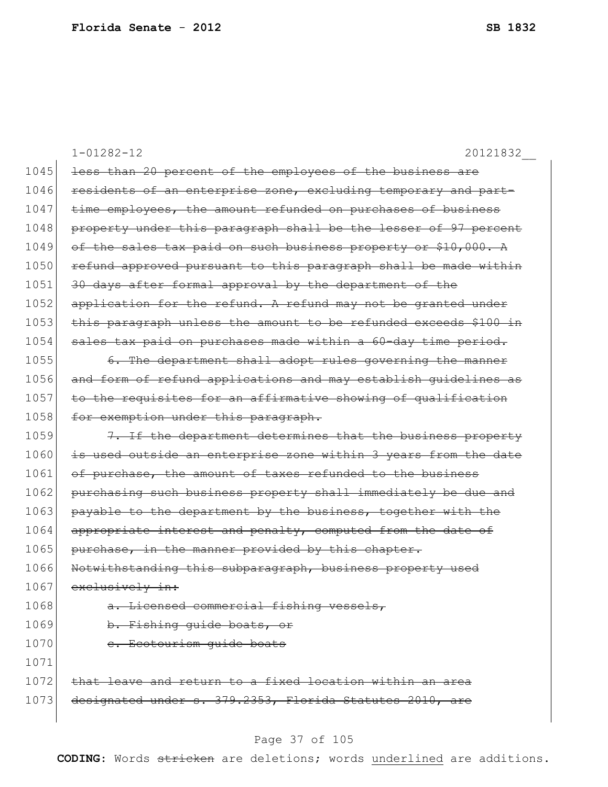|      | $1 - 01282 - 12$<br>20121832                                     |
|------|------------------------------------------------------------------|
| 1045 | less than 20 percent of the employees of the business are        |
| 1046 | residents of an enterprise zone, excluding temporary and part-   |
| 1047 | time employees, the amount refunded on purchases of business     |
| 1048 | property under this paragraph shall be the lesser of 97 percent  |
| 1049 | of the sales tax paid on such business property or \$10,000. A   |
| 1050 | refund approved pursuant to this paragraph shall be made within  |
| 1051 | 30 days after formal approval by the department of the           |
| 1052 | application for the refund. A refund may not be granted under    |
| 1053 | this paragraph unless the amount to be refunded exceeds \$100 in |
| 1054 | sales tax paid on purchases made within a 60-day time period.    |
| 1055 | 6. The department shall adopt rules governing the manner         |
| 1056 | and form of refund applications and may establish quidelines as  |
| 1057 | to the requisites for an affirmative showing of qualification    |
| 1058 | for exemption under this paragraph.                              |
| 1059 | 7. If the department determines that the business property       |
| 1060 | is used outside an enterprise zone within 3 years from the date  |
| 1061 | of purchase, the amount of taxes refunded to the business        |
| 1062 | purchasing such business property shall immediately be due and   |
| 1063 | payable to the department by the business, together with the     |
| 1064 | appropriate interest and penalty, computed from the date of      |
| 1065 | purchase, in the manner provided by this chapter.                |
| 1066 | Notwithstanding this subparagraph, business property used        |
| 1067 | exclusively in:                                                  |
| 1068 | a. Licensed commercial fishing vessels,                          |
| 1069 | b. Fishing guide boats, or                                       |
| 1070 | e. Ecotourism quide boats                                        |
| 1071 |                                                                  |
| 1072 | that leave and return to a fixed location within an area         |
| 1073 | designated under s. 379.2353, Florida Statutes 2010, are         |

# Page 37 of 105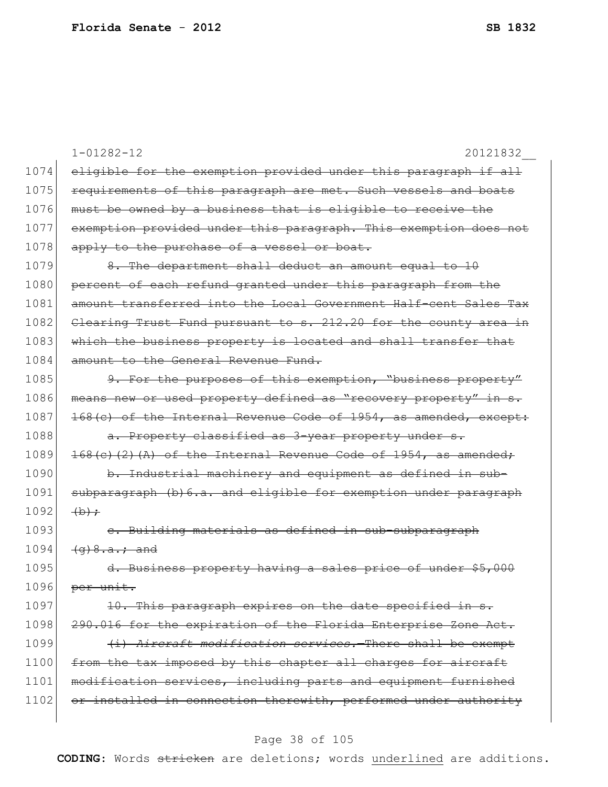|      | $1 - 01282 - 12$<br>20121832                                       |
|------|--------------------------------------------------------------------|
| 1074 | eligible for the exemption provided under this paragraph if all    |
| 1075 | requirements of this paragraph are met. Such vessels and boats     |
| 1076 | must be owned by a business that is eligible to receive the        |
| 1077 | exemption provided under this paragraph. This exemption does not   |
| 1078 | apply to the purchase of a vessel or boat.                         |
| 1079 | 8. The department shall deduct an amount equal to 10               |
| 1080 | percent of each refund granted under this paragraph from the       |
| 1081 | amount transferred into the Local Government Half-cent Sales Tax   |
| 1082 | Clearing Trust Fund pursuant to s. 212.20 for the county area in   |
| 1083 | which the business property is located and shall transfer that     |
| 1084 | amount to the Ceneral Revenue Fund.                                |
| 1085 | 9. For the purposes of this exemption, "business property"         |
| 1086 | means new or used property defined as "recovery property" in s.    |
| 1087 | 168(c) of the Internal Revenue Code of 1954, as amended, except:   |
| 1088 | a. Property classified as 3-year property under s.                 |
| 1089 | $168(e)$ (2) (A) of the Internal Revenue Code of 1954, as amended; |
| 1090 | b. Industrial machinery and equipment as defined in sub-           |
| 1091 | subparagraph (b) 6.a. and eligible for exemption under paragraph   |
| 1092 | $\leftrightarrow$                                                  |
| 1093 | e. Building materials as defined in sub-subparagraph               |
| 1094 | $(a) 8.a.7.$ and                                                   |
| 1095 | d. Business property having a sales price of under \$5,000         |
| 1096 | per unit.                                                          |
| 1097 | 10. This paragraph expires on the date specified in s.             |
| 1098 | 290.016 for the expiration of the Florida Enterprise Zone Act.     |
| 1099 | (i) Aircraft modification services. There shall be exempt          |
| 1100 | from the tax imposed by this chapter all charges for aircraft      |
| 1101 | modification services, including parts and equipment furnished     |
| 1102 | or installed in connection therewith, performed under authority    |
|      |                                                                    |

# Page 38 of 105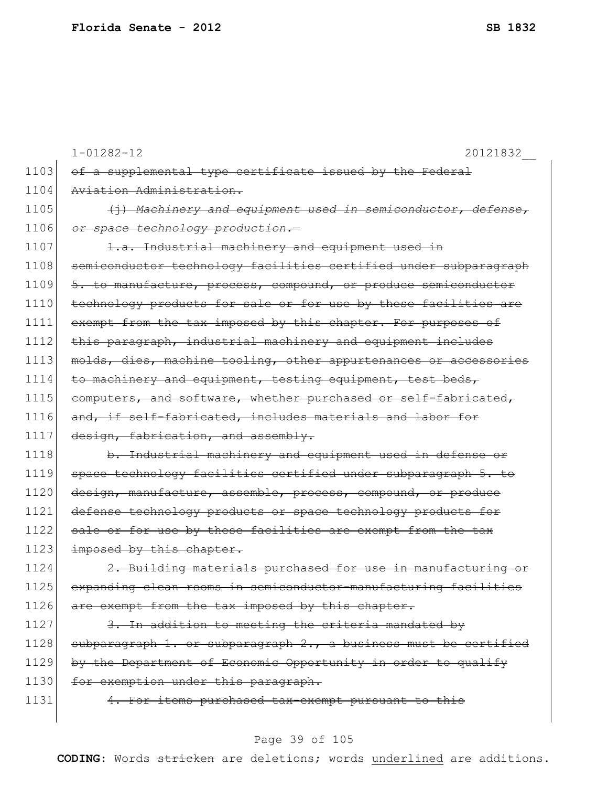|      | $1 - 01282 - 12$<br>20121832                                     |
|------|------------------------------------------------------------------|
| 1103 | of a supplemental type certificate issued by the Federal         |
| 1104 | Aviation Administration.                                         |
| 1105 | (j) Machinery and equipment used in semiconductor, defense,      |
| 1106 | or space technology production.                                  |
| 1107 | 1.a. Industrial machinery and equipment used in                  |
| 1108 | semiconductor technology facilities certified under subparagraph |
| 1109 | 5. to manufacture, process, compound, or produce semiconductor   |
| 1110 | technology products for sale or for use by these facilities are  |
| 1111 | exempt from the tax imposed by this chapter. For purposes of     |
| 1112 | this paragraph, industrial machinery and equipment includes      |
| 1113 | molds, dies, machine tooling, other appurtenances or accessories |
| 1114 | to machinery and equipment, testing equipment, test beds,        |
| 1115 | computers, and software, whether purchased or self-fabricated,   |
| 1116 | and, if self-fabricated, includes materials and labor for        |
| 1117 | design, fabrication, and assembly.                               |
| 1118 | b. Industrial machinery and equipment used in defense or         |
| 1119 | space technology facilities certified under subparagraph 5. to   |
| 1120 | design, manufacture, assemble, process, compound, or produce     |
| 1121 | defense technology products or space technology products for     |
| 1122 | sale or for use by these facilities are exempt from the tax      |
| 1123 | imposed by this chapter.                                         |
| 1124 | 2. Building materials purchased for use in manufacturing or      |
| 1125 | expanding clean rooms in semiconductor-manufacturing facilities  |
| 1126 | are exempt from the tax imposed by this chapter.                 |
| 1127 | 3. In addition to meeting the criteria mandated by               |
| 1128 | subparagraph 1. or subparagraph 2., a business must be certified |
| 1129 | by the Department of Economic Opportunity in order to qualify    |
| 1130 | for exemption under this paragraph.                              |
| 1131 | 4. For items purchased tax-exempt pursuant to this               |
|      |                                                                  |

# Page 39 of 105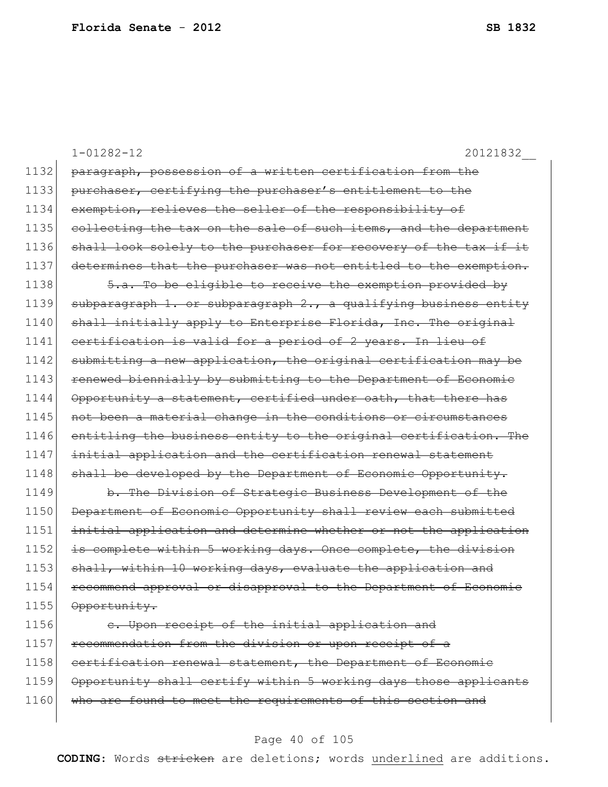1-01282-12 20121832\_\_ 1132 paragraph, possession of a written certification from the 1133 purchaser, certifying the purchaser's entitlement to the 1134 exemption, relieves the seller of the responsibility of 1135 collecting the tax on the sale of such items, and the department 1136 shall look solely to the purchaser for recovery of the tax if it 1137 determines that the purchaser was not entitled to the exemption. 1138  $\sim$  5.a. To be eligible to receive the exemption provided by 1139 subparagraph 1. or subparagraph  $2 \cdot r$  a qualifying business entity 1140 shall initially apply to Enterprise Florida, Inc. The original 1141 certification is valid for a period of 2 years. In lieu of 1142 submitting a new application, the original certification may be 1143 renewed biennially by submitting to the Department of Economic 1144 Opportunity a statement, certified under oath, that there has 1145 not been a material change in the conditions or circumstances 1146 entitling the business entity to the original certification. The 1147 initial application and the certification renewal statement 1148 shall be developed by the Department of Economic Opportunity. 1149 b. The Division of Strategic Business Development of the 1150 Department of Economic Opportunity shall review each submitted 1151 initial application and determine whether or not the application 1152 is complete within 5 working days. Once complete, the division 1153 shall, within 10 working days, evaluate the application and 1154 recommend approval or disapproval to the Department of Economic 1155 Opportunity. 1156 c. Upon receipt of the initial application and 1157 recommendation from the division or upon receipt of a 1158 certification renewal statement, the Department of Economic

1159 Opportunity shall certify within 5 working days those applicants 1160 who are found to meet the requirements of this section and

#### Page 40 of 105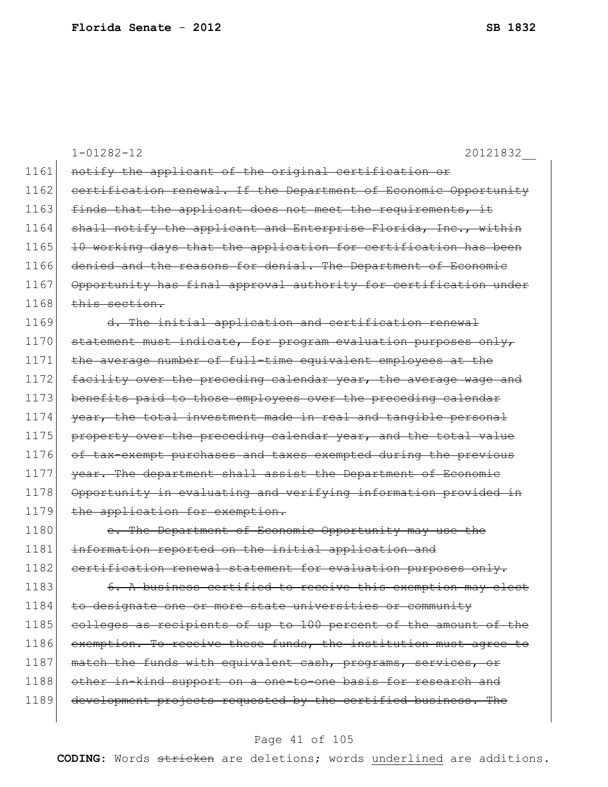|      | $1 - 01282 - 12$<br>20121832                                     |
|------|------------------------------------------------------------------|
| 1161 | notify the applicant of the original certification or            |
| 1162 | certification renewal. If the Department of Economic Opportunity |
| 1163 | finds that the applicant does not meet the requirements, it      |
| 1164 | shall notify the applicant and Enterprise Florida, Inc., within  |
| 1165 | 10 working days that the application for certification has been  |
| 1166 | denied and the reasons for denial. The Department of Economic    |
| 1167 | Opportunity has final approval authority for certification under |
| 1168 | this section.                                                    |
| 1169 | d. The initial application and certification renewal             |
| 1170 | statement must indicate, for program evaluation purposes only,   |
| 1171 | the average number of full-time equivalent employees at the      |
| 1172 | facility over the preceding calendar year, the average wage and  |
| 1173 | benefits paid to those employees over the preceding calendar     |
| 1174 | year, the total investment made in real and tangible personal    |
| 1175 | property over the preceding calendar year, and the total value   |
| 1176 | of tax-exempt purchases and taxes exempted during the previous   |
| 1177 | year. The department shall assist the Department of Economic     |
| 1178 | Opportunity in evaluating and verifying information provided in  |
| 1179 | the application for exemption.                                   |
| 1180 | e. The Department of Economic Opportunity may use the            |
| 1181 | information reported on the initial application and              |
| 1182 | certification renewal statement for evaluation purposes only.    |
| 1183 | A business certified to receive this exemption may elect         |
| 1184 | to designate one or more state universities or community         |
| 1185 | colleges as recipients of up to 100 percent of the amount of the |
| 1186 | exemption. To receive these funds, the institution must agree to |
| 1187 | match the funds with equivalent cash, programs, services, or     |
| 1188 | other in-kind support on a one-to-one basis for research and     |
| 1189 | development projects requested by the certified business. The    |
|      |                                                                  |

# Page 41 of 105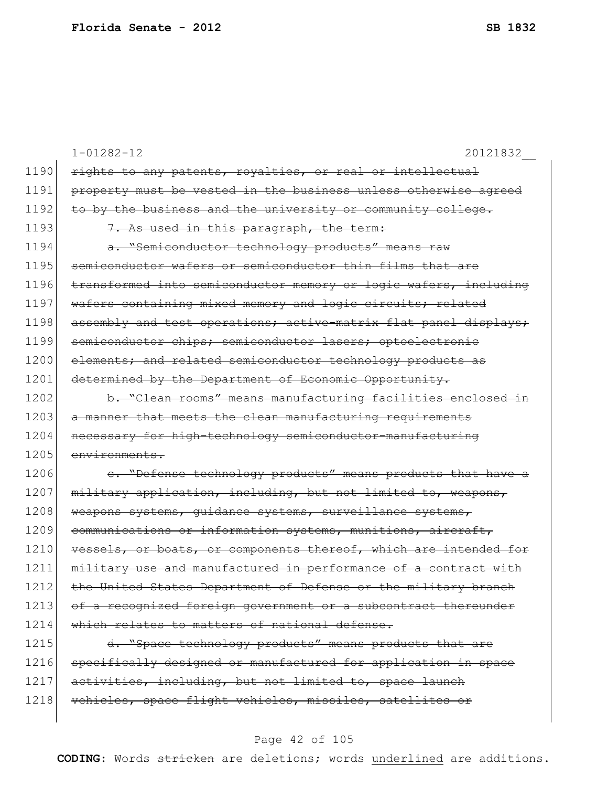|      | $1 - 01282 - 12$<br>20121832                                     |
|------|------------------------------------------------------------------|
| 1190 | rights to any patents, royalties, or real or intellectual        |
| 1191 | property must be vested in the business unless otherwise agreed  |
| 1192 | to by the business and the university or community college.      |
| 1193 | 7. As used in this paragraph, the term:                          |
| 1194 | a. "Semiconductor technology products" means raw                 |
| 1195 | semiconductor wafers or semiconductor thin films that are        |
| 1196 | transformed into semiconductor memory or logic wafers, including |
| 1197 | wafers containing mixed memory and logic circuits; related       |
| 1198 | assembly and test operations; active-matrix flat panel displays; |
| 1199 | semiconductor chips; semiconductor lasers; optoelectronic        |
| 1200 | elements; and related semiconductor technology products as       |
| 1201 | determined by the Department of Economic Opportunity.            |
| 1202 | b. "Clean rooms" means manufacturing facilities enclosed in      |
| 1203 | a manner that meets the clean manufacturing requirements         |
| 1204 | necessary for high-technology semiconductor-manufacturing        |
| 1205 | environments.                                                    |
| 1206 | e. "Defense technology products" means products that have a      |
| 1207 | military application, including, but not limited to, weapons,    |
| 1208 | weapons systems, guidance systems, surveillance systems,         |
| 1209 | communications or information systems, munitions, aircraft,      |
| 1210 | vessels, or boats, or components thereof, which are intended for |
| 1211 | military use and manufactured in performance of a contract with  |
| 1212 | the United States Department of Defense or the military branch   |
| 1213 | of a recognized foreign government or a subcontract thereunder   |
| 1214 | which relates to matters of national defense.                    |
| 1215 | d. "Space technology products" means products that are           |
| 1216 | specifically designed or manufactured for application in space   |
| 1217 | activities, including, but not limited to, space launch          |
| 1218 | vehicles, space flight vehicles, missiles, satellites or         |

# Page 42 of 105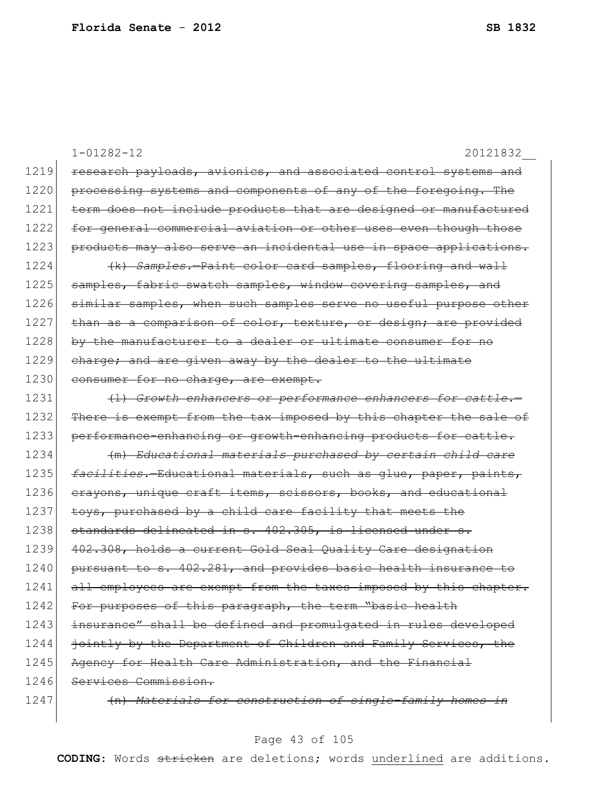1-01282-12 20121832\_\_ 1219 research payloads, avionics, and associated control systems and 1220 processing systems and components of any of the foregoing. The 1221 term does not include products that are designed or manufactured 1222 for general commercial aviation or other uses even though those 1223 products may also serve an incidental use in space applications. 1224 (k) *Samples.*—Paint color card samples, flooring and wall 1225 samples, fabric swatch samples, window covering samples, and 1226 similar samples, when such samples serve no useful purpose other 1227 than as a comparison of color, texture, or design; are provided 1228 by the manufacturer to a dealer or ultimate consumer for no 1229 charge; and are given away by the dealer to the ultimate 1230 consumer for no charge, are exempt. 1231 (1) Growth enhancers or performance enhancers for cattle. 1232 There is exempt from the tax imposed by this chapter the sale of 1233 performance-enhancing or growth-enhancing products for cattle. 1234 (m) *Educational materials purchased by certain child care*  1235 *facilities.*—Educational materials, such as glue, paper, paints, 1236 crayons, unique craft items, scissors, books, and educational 1237 toys, purchased by a child care facility that meets the 1238 standards delineated in s. 402.305, is licensed under s. 1239 402.308, holds a current Gold Seal Quality Care designation 1240 pursuant to s. 402.281, and provides basic health insurance to 1241 all employees are exempt from the taxes imposed by this chapter. 1242 For purposes of this paragraph, the term "basic health 1243 insurance" shall be defined and promulgated in rules developed 1244 jointly by the Department of Children and Family Services, the 1245 Agency for Health Care Administration, and the Financial 1246 Services Commission. 1247 (n) *Materials for construction of single-family homes in*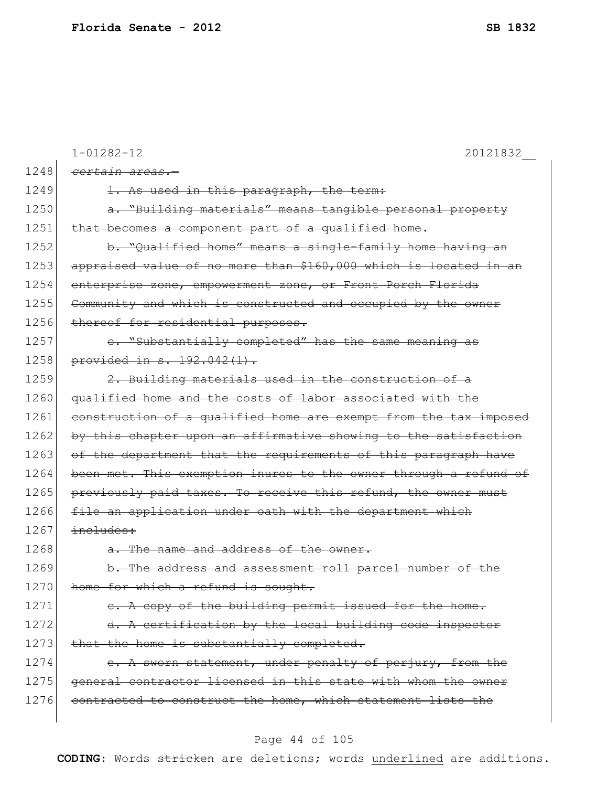|      | $1 - 01282 - 12$<br>20121832                                     |
|------|------------------------------------------------------------------|
| 1248 | certain areas.-                                                  |
| 1249 | 1. As used in this paragraph, the term:                          |
| 1250 | a. "Building materials" means tangible personal property         |
| 1251 | that becomes a component part of a qualified home.               |
| 1252 | b. "Qualified home" means a single-family home having an         |
| 1253 | appraised value of no more than \$160,000 which is located in an |
| 1254 | enterprise zone, empowerment zone, or Front Porch Florida        |
| 1255 | Community and which is constructed and occupied by the owner     |
| 1256 | thereof for residential purposes.                                |
| 1257 | e. "Substantially completed" has the same meaning as             |
| 1258 | provided in s. 192.042(1).                                       |
| 1259 | 2. Building materials used in the construction of a              |
| 1260 | qualified home and the costs of labor associated with the        |
| 1261 | construction of a qualified home are exempt from the tax imposed |
| 1262 | by this chapter upon an affirmative showing to the satisfaction  |
| 1263 | of the department that the requirements of this paragraph have   |
| 1264 | been met. This exemption inures to the owner through a refund of |
| 1265 | previously paid taxes. To receive this refund, the owner must    |
| 1266 | file an application under oath with the department which         |
| 1267 | includes:                                                        |
| 1268 | a. The name and address of the owner.                            |
| 1269 | b. The address and assessment roll parcel number of the          |
| 1270 | home for which a refund is sought.                               |
| 1271 | e. A copy of the building permit issued for the home.            |
| 1272 | d. A certification by the local building code inspector          |
| 1273 | that the home is substantially completed.                        |
| 1274 | e. A sworn statement, under penalty of perjury, from the         |
| 1275 | general contractor licensed in this state with whom the owner    |
| 1276 | contracted to construct the home, which statement lists the      |
|      |                                                                  |

# Page 44 of 105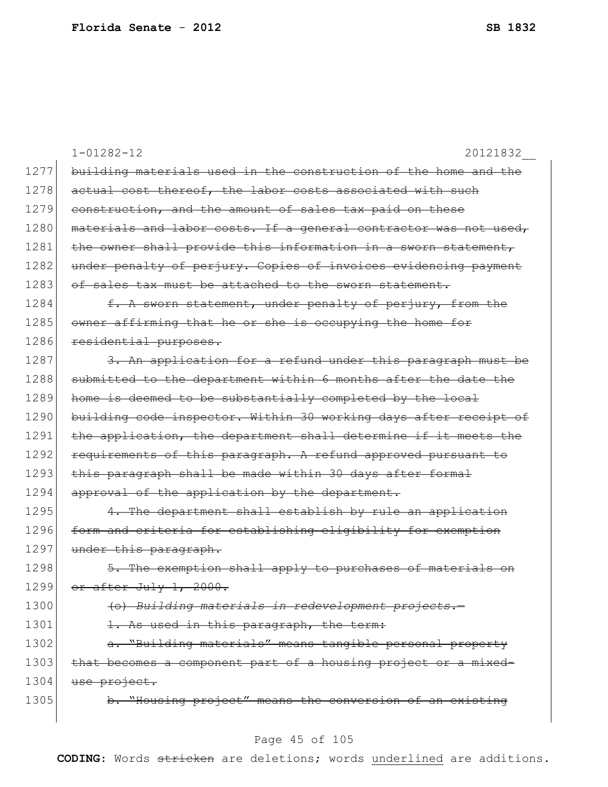|      | $1 - 01282 - 12$<br>20121832                                     |
|------|------------------------------------------------------------------|
| 1277 | building materials used in the construction of the home and the  |
| 1278 | actual cost thereof, the labor costs associated with such        |
| 1279 | construction, and the amount of sales tax paid on these          |
| 1280 | materials and labor costs. If a general contractor was not used, |
| 1281 | the owner shall provide this information in a sworn statement,   |
| 1282 | under penalty of perjury. Copies of invoices evidencing payment  |
| 1283 | of sales tax must be attached to the sworn statement.            |
| 1284 | f. A sworn statement, under penalty of perjury, from the         |
| 1285 | owner affirming that he or she is occupying the home for         |
| 1286 | residential purposes.                                            |
| 1287 | 3. An application for a refund under this paragraph must be      |
| 1288 | submitted to the department within 6 months after the date the   |
| 1289 | home is deemed to be substantially completed by the local        |
| 1290 | building code inspector. Within 30 working days after receipt of |
| 1291 | the application, the department shall determine if it meets the  |
| 1292 | requirements of this paragraph. A refund approved pursuant to    |
| 1293 | this paragraph shall be made within 30 days after formal         |
| 1294 | approval of the application by the department.                   |
| 1295 | 4. The department shall establish by rule an application         |
| 1296 | form and criteria for establishing eligibility for exemption     |
| 1297 | under this paragraph.                                            |
| 1298 | 5. The exemption shall apply to purchases of materials on        |
| 1299 | or after July 1, 2000.                                           |
| 1300 | (o) Building materials in redevelopment projects.                |
| 1301 | 1. As used in this paragraph, the term:                          |
| 1302 | a. "Building materials" means tangible personal property         |
| 1303 | that becomes a component part of a housing project or a mixed-   |
| 1304 | use project.                                                     |
| 1305 | b. "Housing project" means the conversion of an existing         |
|      |                                                                  |

# Page 45 of 105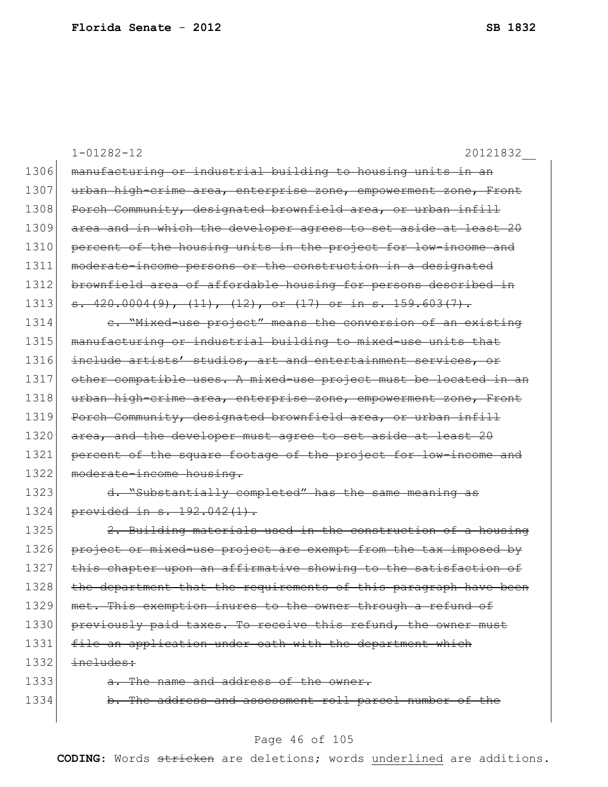|      | $1 - 01282 - 12$<br>20121832                                          |
|------|-----------------------------------------------------------------------|
| 1306 | manufacturing or industrial building to housing units in an           |
| 1307 | urban high-crime area, enterprise zone, empowerment zone, Front       |
| 1308 | Porch Community, designated brownfield area, or urban infill          |
| 1309 | area and in which the developer agrees to set aside at least 20       |
| 1310 | percent of the housing units in the project for low-income and        |
| 1311 | moderate-income persons or the construction in a designated           |
| 1312 | brownfield area of affordable housing for persons described in        |
| 1313 | $\frac{1}{5}$ . 420.0004(9), (11), (12), or (17) or in s. 159.603(7). |
| 1314 | e. "Mixed-use project" means the conversion of an existing            |
| 1315 | manufacturing or industrial building to mixed-use units that          |
| 1316 | include artists' studios, art and entertainment services, or          |
| 1317 | other compatible uses. A mixed-use project must be located in an      |
| 1318 | urban high-crime area, enterprise zone, empowerment zone, Front       |
| 1319 | Porch Community, designated brownfield area, or urban infill          |
| 1320 | area, and the developer must agree to set aside at least 20           |
| 1321 | percent of the square footage of the project for low-income and       |
| 1322 | moderate-income housing.                                              |
| 1323 | d. "Substantially completed" has the same meaning as                  |
| 1324 | provided in s. 192.042(1).                                            |
| 1325 | 2. Building materials used in the construction of a housing           |
| 1326 | project or mixed-use project are exempt from the tax imposed by       |
| 1327 | chapter upon an affirmative showing to the satisfaction of            |
| 1328 | the department that the requirements of this paragraph have been      |
| 1329 | met. This exemption inures to the owner through a refund of           |
| 1330 | previously paid taxes. To receive this refund, the owner must         |
| 1331 | file an application under oath with the department which              |
| 1332 | includes:                                                             |
| 1333 | a. The name and address of the owner.                                 |
| 1334 | b. The address and assessment roll parcel number of the               |
|      |                                                                       |

# Page 46 of 105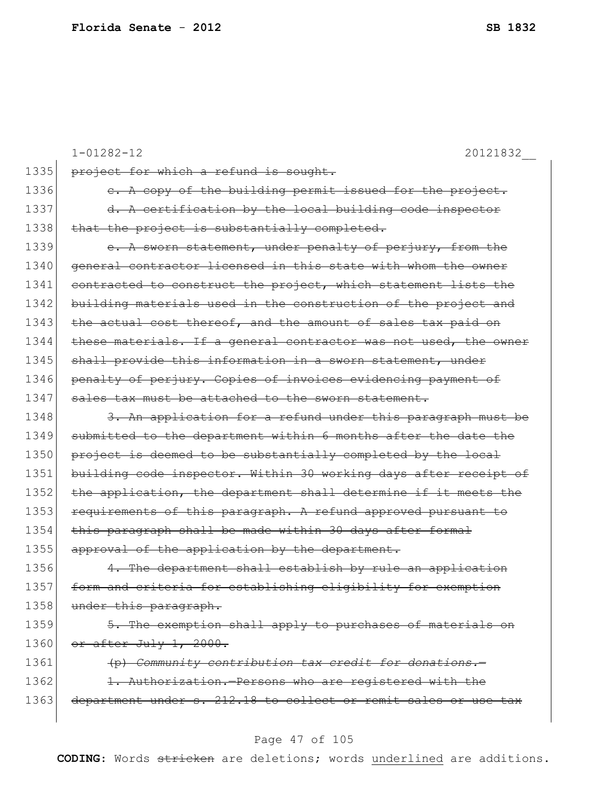|      | $1 - 01282 - 12$<br>20121832                                     |
|------|------------------------------------------------------------------|
| 1335 | project for which a refund is sought.                            |
| 1336 | e. A copy of the building permit issued for the project.         |
| 1337 | d. A certification by the local building code inspector          |
| 1338 | that the project is substantially completed.                     |
| 1339 | e. A sworn statement, under penalty of perjury, from the         |
| 1340 | general contractor licensed in this state with whom the owner    |
| 1341 | contracted to construct the project, which statement lists the   |
| 1342 | building materials used in the construction of the project and   |
| 1343 | the actual cost thereof, and the amount of sales tax paid on     |
| 1344 | these materials. If a general contractor was not used, the owner |
| 1345 | shall provide this information in a sworn statement, under       |
| 1346 | penalty of perjury. Copies of invoices evidencing payment of     |
| 1347 | sales tax must be attached to the sworn statement.               |
| 1348 | 3. An application for a refund under this paragraph must be      |
| 1349 | submitted to the department within 6 months after the date the   |
| 1350 | project is deemed to be substantially completed by the local     |
| 1351 | building code inspector. Within 30 working days after receipt of |
| 1352 | the application, the department shall determine if it meets the  |
| 1353 | requirements of this paragraph. A refund approved pursuant to    |
| 1354 | this paragraph shall be made within 30 days after formal         |
| 1355 | approval of the application by the department.                   |
| 1356 | 4. The department shall establish by rule an application         |
| 1357 | form and criteria for establishing eligibility for exemption     |
| 1358 | under this paragraph.                                            |
| 1359 | 5. The exemption shall apply to purchases of materials on        |
| 1360 | or after July 1, 2000.                                           |
| 1361 | (p) Community contribution tax credit for donations.             |
| 1362 | 1. Authorization.-Persons who are registered with the            |
| 1363 | department under s. 212.18 to collect or remit sales or use tax  |
|      |                                                                  |

# Page 47 of 105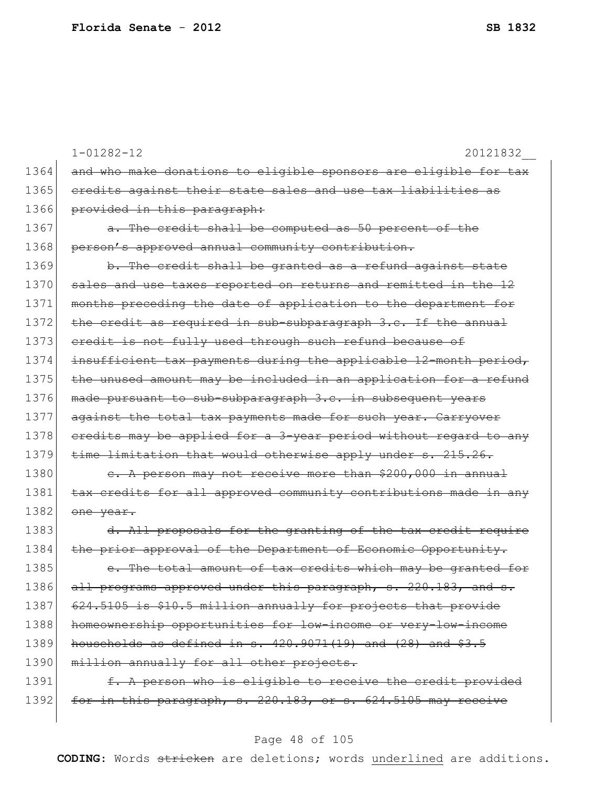|      | $1 - 01282 - 12$<br>20121832                                     |
|------|------------------------------------------------------------------|
| 1364 | and who make donations to eligible sponsors are eligible for tax |
| 1365 | credits against their state sales and use tax liabilities as     |
| 1366 | provided in this paragraph:                                      |
| 1367 | a. The credit shall be computed as 50 percent of the             |
| 1368 | person's approved annual community contribution.                 |
| 1369 | b. The credit shall be granted as a refund against state         |
| 1370 | sales and use taxes reported on returns and remitted in the 12   |
| 1371 | months preceding the date of application to the department for   |
| 1372 | the credit as required in sub-subparagraph 3.c. If the annual    |
| 1373 | eredit is not fully used through such refund because of          |
| 1374 | insufficient tax payments during the applicable 12-month period, |
| 1375 | the unused amount may be included in an application for a refund |
| 1376 | made pursuant to sub-subparagraph 3.c. in subsequent years       |
| 1377 | against the total tax payments made for such year. Carryover     |
| 1378 | eredits may be applied for a 3-year period without regard to any |
| 1379 | time limitation that would otherwise apply under s. 215.26.      |
| 1380 | e. A person may not receive more than \$200,000 in annual        |
| 1381 | tax credits for all approved community contributions made in any |
| 1382 | one year.                                                        |
| 1383 | d. All proposals for the granting of the tax credit require      |
| 1384 | the prior approval of the Department of Economic Opportunity.    |
| 1385 | The total amount of tax credits which may be granted for         |
| 1386 | all programs approved under this paragraph, s. 220.183, and s.   |
| 1387 | 624.5105 is \$10.5 million annually for projects that provide    |
| 1388 | homeownership opportunities for low-income or very-low-income    |
| 1389 | households as defined in s. $420.9071(19)$ and $(28)$ and $$3.5$ |
| 1390 | million annually for all other projects.                         |
| 1391 | f. A person who is eligible to receive the credit provided       |
| 1392 | for in this paragraph, s. 220.183, or s. 624.5105 may receive    |
|      |                                                                  |

# Page 48 of 105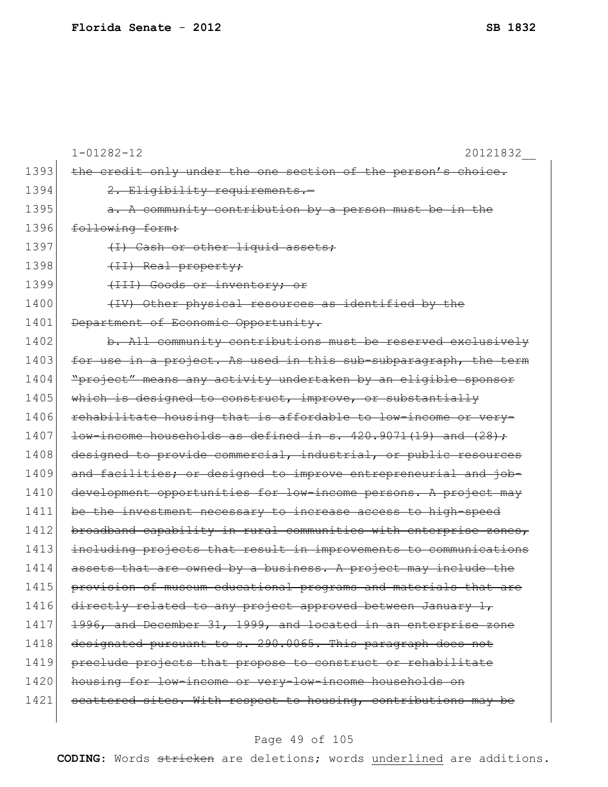|      | $1 - 01282 - 12$<br>20121832                                                   |
|------|--------------------------------------------------------------------------------|
| 1393 | the credit only under the one section of the person's choice.                  |
| 1394 | 2. Eligibility requirements.-                                                  |
| 1395 | a. A community contribution by a person must be in the                         |
| 1396 | following form:                                                                |
| 1397 | (I) Cash or other liquid assets;                                               |
| 1398 | (II) Real property;                                                            |
| 1399 | (III) Goods or inventory; or                                                   |
| 1400 | (IV) Other physical resources as identified by the                             |
| 1401 | Department of Economic Opportunity.                                            |
| 1402 | b. All community contributions must be reserved exclusively                    |
| 1403 | in a project. As used in this sub-subparagraph, the term<br><del>for use</del> |
| 1404 | "project" means any activity undertaken by an eligible sponsor                 |
| 1405 | which is designed to construct, improve, or substantially                      |
| 1406 | rehabilitate housing that is affordable to low-income or very-                 |
| 1407 | $low\text{-}income$ households as defined in s. $420.9071(19)$ and $(28)$ ;    |
| 1408 | designed to provide commercial, industrial, or public resources                |
| 1409 | and facilities; or designed to improve entrepreneurial and job-                |
| 1410 | development opportunities for low-income persons. A project may                |
| 1411 | be the investment necessary to increase access to high-speed                   |
| 1412 | broadband capability in rural communities with enterprise zones,               |
| 1413 | including projects that result in improvements to communications               |
| 1414 | that are owned by a business. A project may include the<br><del>assets</del>   |
| 1415 | provision of museum educational programs and materials that are                |
| 1416 | directly related to any project approved between January 1,                    |
| 1417 | 1996, and December 31, 1999, and located in an enterprise zone                 |
| 1418 | designated pursuant to s. 290.0065. This paragraph does not                    |
| 1419 | preclude projects that propose to construct or rehabilitate                    |
| 1420 | housing for low-income or very-low-income households on                        |
| 1421 | scattered sites. With respect to housing, contributions may be                 |
|      |                                                                                |

# Page 49 of 105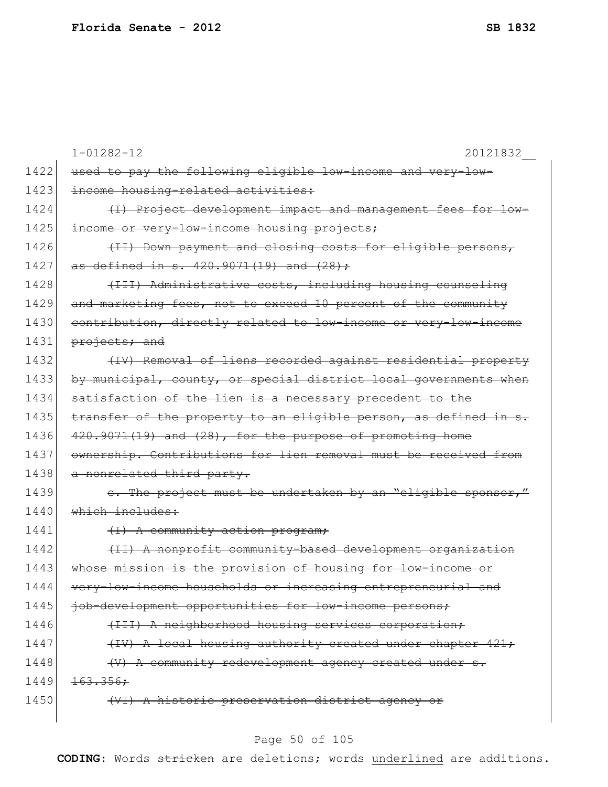|      | $1 - 01282 - 12$<br>20121832                                     |
|------|------------------------------------------------------------------|
| 1422 | used to pay the following eligible low-income and very-low-      |
| 1423 | income housing-related activities:                               |
| 1424 | (I) Project development impact and management fees for low-      |
| 1425 | income or very-low-income housing projects;                      |
| 1426 | (II) Down payment and closing costs for eligible persons,        |
| 1427 | as defined in s. 420.9071(19) and (28);                          |
| 1428 | (III) Administrative costs, including housing counseling         |
| 1429 | and marketing fees, not to exceed 10 percent of the community    |
| 1430 | contribution, directly related to low-income or very-low-income  |
| 1431 | projects; and                                                    |
| 1432 | (IV) Removal of liens recorded against residential property      |
| 1433 | by municipal, county, or special district local governments when |
| 1434 | satisfaction of the lien is a necessary precedent to the         |
| 1435 | transfer of the property to an eligible person, as defined in s. |
| 1436 | 420.9071(19) and (28), for the purpose of promoting home         |
| 1437 | ownership. Contributions for lien removal must be received from  |
| 1438 | a nonrelated third party.                                        |
| 1439 | e. The project must be undertaken by an "eligible sponsor,"      |
| 1440 | which includes:                                                  |
| 1441 | (I) A community action program;                                  |
| 1442 | (II) A nonprofit community-based development organization        |
| 1443 | whose mission is the provision of housing for low-income or      |
| 1444 | very-low-income households or increasing entrepreneurial and     |
| 1445 | job-development opportunities for low-income persons;            |
| 1446 | (III) A neighborhood housing services corporation;               |
| 1447 | (IV) A local housing authority created under chapter 421;        |
| 1448 | (V) A community redevelopment agency created under s.            |
| 1449 | 163.356:                                                         |
| 1450 | (VI) A historic preservation district agency or                  |
|      |                                                                  |

# Page 50 of 105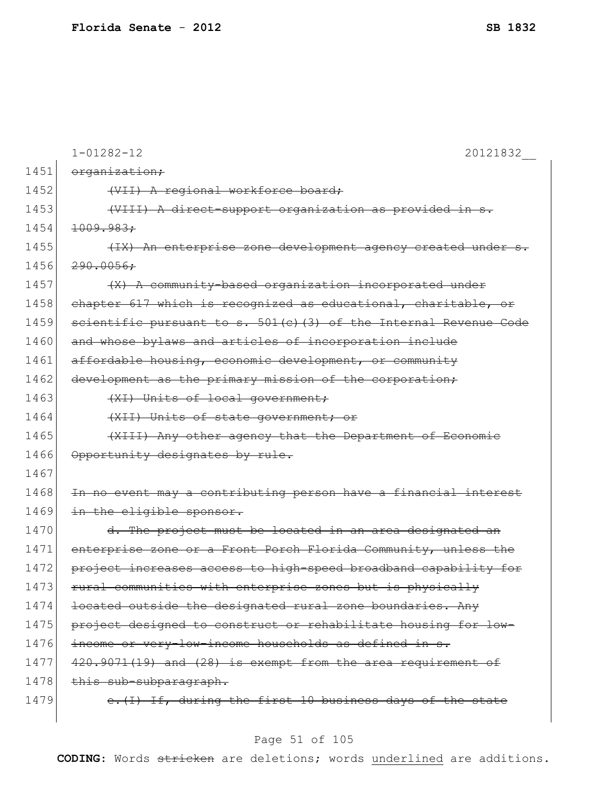|      | $1 - 01282 - 12$<br>20121832                                        |
|------|---------------------------------------------------------------------|
| 1451 | organization;                                                       |
| 1452 | (VII) A regional workforce board;                                   |
| 1453 | (VIII) A direct-support organization as provided in s.              |
| 1454 | 1009.983:                                                           |
| 1455 | (IX) An enterprise zone development agency created under s.         |
| 1456 | 290.0056:                                                           |
| 1457 | (X) A community-based organization incorporated under               |
| 1458 | chapter 617 which is recognized as educational, charitable, or      |
| 1459 | scientific pursuant to s. $501(c)$ (3) of the Internal Revenue Code |
| 1460 | and whose bylaws and articles of incorporation include              |
| 1461 | affordable housing, economic development, or community              |
| 1462 | development as the primary mission of the corporation;              |
| 1463 | (XI) Units of local government;                                     |
| 1464 | (XII) Units of state government; or                                 |
| 1465 | (XIII) Any other agency that the Department of Economic             |
| 1466 | Opportunity designates by rule.                                     |
| 1467 |                                                                     |
| 1468 | In no event may a contributing person have a financial interest     |
| 1469 | in the eligible sponsor.                                            |
| 1470 | d. The project must be located in an area designated an             |
| 1471 | enterprise zone or a Front Porch Florida Community, unless the      |
| 1472 | project increases access to high-speed broadband capability for     |
| 1473 | rural communities with enterprise zones but is physically           |
| 1474 | located outside the designated rural zone boundaries. Any           |
| 1475 | project designed to construct or rehabilitate housing for low-      |
| 1476 | income or very-low-income households as defined in s.               |
| 1477 | 420.9071(19) and (28) is exempt from the area requirement of        |
| 1478 | this sub-subparagraph.                                              |
| 1479 | e. (I) If, during the first 10 business days of the state           |
|      |                                                                     |

# Page 51 of 105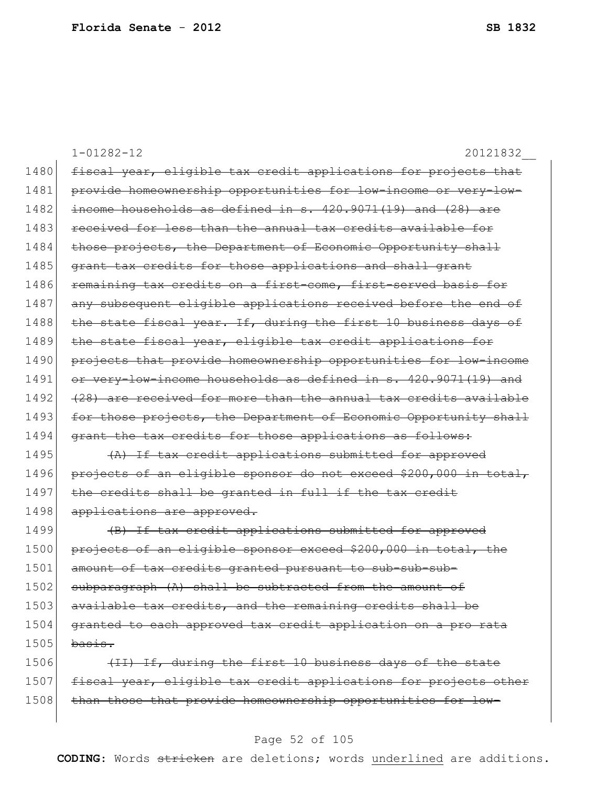1-01282-12 20121832\_\_ 1480 fiscal year, eligible tax credit applications for projects that 1481 provide homeownership opportunities for low-income or very-low- $1482$  income households as defined in s.  $420.9071(19)$  and  $(28)$  are 1483 received for less than the annual tax credits available for 1484 those projects, the Department of Economic Opportunity shall 1485 grant tax credits for those applications and shall grant 1486 remaining tax credits on a first-come, first-served basis for 1487 any subsequent eligible applications received before the end of 1488 the state fiscal year. If, during the first 10 business days of 1489 the state fiscal year, eligible tax credit applications for 1490 projects that provide homeownership opportunities for low-income 1491 or very-low-income households as defined in s. 420.9071(19) and 1492 (28) are received for more than the annual tax credits available 1493 for those projects, the Department of Economic Opportunity shall 1494 grant the tax credits for those applications as follows:  $1495$  (A) If tax credit applications submitted for approved 1496 projects of an eligible sponsor do not exceed \$200,000 in total,  $1497$  the credits shall be granted in full if the tax credit 1498 applications are approved. 1499 (B) If tax credit applications submitted for approved 1500 projects of an eligible sponsor exceed \$200,000 in total, the 1501 amount of tax credits granted pursuant to sub-sub-sub-1502 subparagraph (A) shall be subtracted from the amount of 1503 available tax credits, and the remaining credits shall be 1504 granted to each approved tax credit application on a pro rata  $1505$  basis.  $1506$  (II) If, during the first 10 business days of the state 1507 fiscal year, eligible tax credit applications for projects other 1508 than those that provide homeownership opportunities for low-

#### Page 52 of 105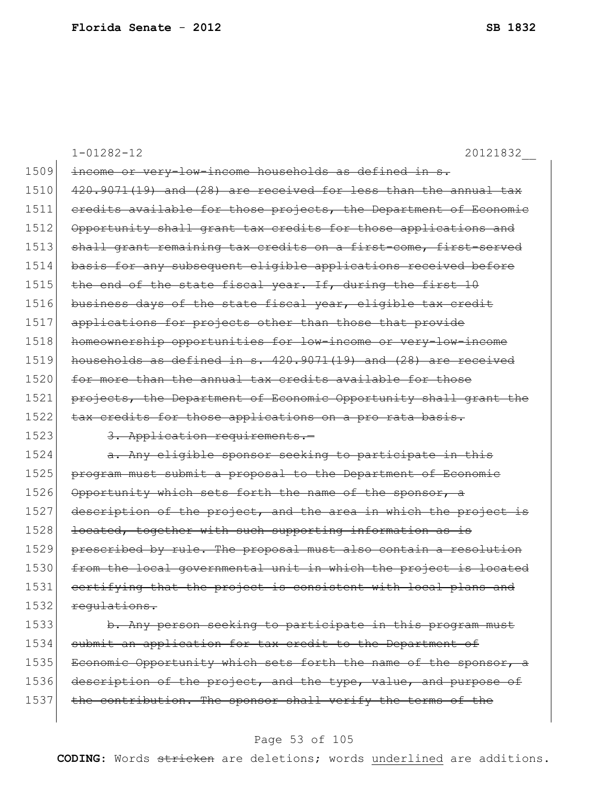|      | $1 - 01282 - 12$<br>20121832                                     |
|------|------------------------------------------------------------------|
| 1509 | income or very-low-income households as defined in s.            |
| 1510 | 420.9071(19) and (28) are received for less than the annual tax  |
| 1511 | eredits available for those projects, the Department of Economic |
| 1512 | Opportunity shall grant tax credits for those applications and   |
| 1513 | shall grant remaining tax credits on a first-come, first-served  |
| 1514 | basis for any subsequent eligible applications received before   |
| 1515 | the end of the state fiscal year. If, during the first 10        |
| 1516 | business days of the state fiscal year, eligible tax credit      |
| 1517 | applications for projects other than those that provide          |
| 1518 | homeownership opportunities for low-income or very-low-income    |
| 1519 | households as defined in s. 420.9071(19) and (28) are received   |
| 1520 | for more than the annual tax credits available for those         |
| 1521 | projects, the Department of Economic Opportunity shall grant the |
| 1522 | tax credits for those applications on a pro rata basis.          |
| 1523 | 3. Application requirements.-                                    |
| 1524 | a. Any eligible sponsor seeking to participate in this           |
| 1525 | program must submit a proposal to the Department of Economic     |
| 1526 | Opportunity which sets forth the name of the sponsor, a          |
| 1527 | description of the project, and the area in which the project is |
| 1528 | located, together with such supporting information as is         |
| 1529 | prescribed by rule. The proposal must also contain a resolution  |
| 1530 | from the local governmental unit in which the project is located |
| 1531 | certifying that the project is consistent with local plans and   |
| 1532 | requlations.                                                     |
| 1533 | b. Any person seeking to participate in this program must        |
| 1534 | submit an application for tax credit to the Department of        |
| 1535 | Economic Opportunity which sets forth the name of the sponsor, a |
| 1536 | description of the project, and the type, value, and purpose of  |

1537 the contribution. The sponsor shall verify the terms of the

#### Page 53 of 105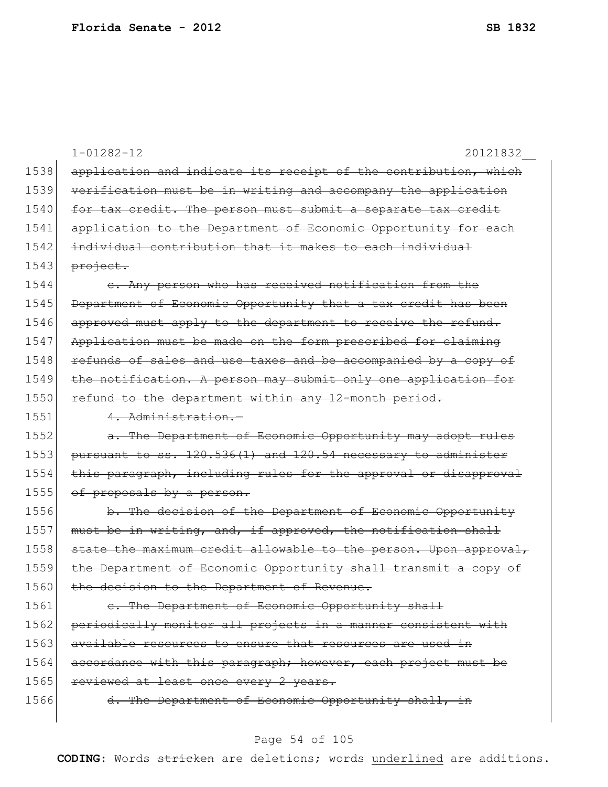|      | $1 - 01282 - 12$<br>20121832                                                  |
|------|-------------------------------------------------------------------------------|
| 1538 | application and indicate its receipt of the contribution, which               |
| 1539 | verification must be in writing and accompany the application                 |
| 1540 | for tax credit. The person must submit a separate tax credit                  |
| 1541 | application to the Department of Economic Opportunity for each                |
| 1542 | individual contribution that it makes to each individual                      |
| 1543 | project.                                                                      |
| 1544 | Any person who has received notification from the                             |
| 1545 | Department of Economic Opportunity that a tax credit has been                 |
| 1546 | approved must apply to the department to receive the refund.                  |
| 1547 | Application must be made on the form prescribed for claiming                  |
| 1548 | refunds of sales and use taxes and be accompanied by a copy of                |
| 1549 | the notification. A person may submit only one application for                |
| 1550 | refund to the department within any 12-month period.                          |
| 1551 | 4. Administration.-                                                           |
| 1552 | a. The Department of Economic Opportunity may adopt rules                     |
| 1553 | pursuant to ss. 120.536(1) and 120.54 necessary to administer                 |
| 1554 | paragraph, including rules for the approval or disapproval<br><del>this</del> |
| 1555 | of proposals by a person.                                                     |
| 1556 | b. The decision of the Department of Economic Opportunity                     |
| 1557 | must be in writing, and, if approved, the notification shall                  |
| 1558 | state the maximum credit allowable to the person. Upon approval,              |
| 1559 | Department of Economic Opportunity shall transmit a copy of<br><del>the</del> |
| 1560 | the decision to the Department of Revenue.                                    |
| 1561 | e. The Department of Economic Opportunity shall                               |
| 1562 | periodically monitor all projects in a manner consistent with                 |
| 1563 | available resources to ensure that resources are used in                      |
| 1564 | accordance with this paragraph; however, each project must be                 |
| 1565 | reviewed at least once every 2 years.                                         |
| 1566 | d. The Department of Economic Opportunity shall, in                           |
|      |                                                                               |

# Page 54 of 105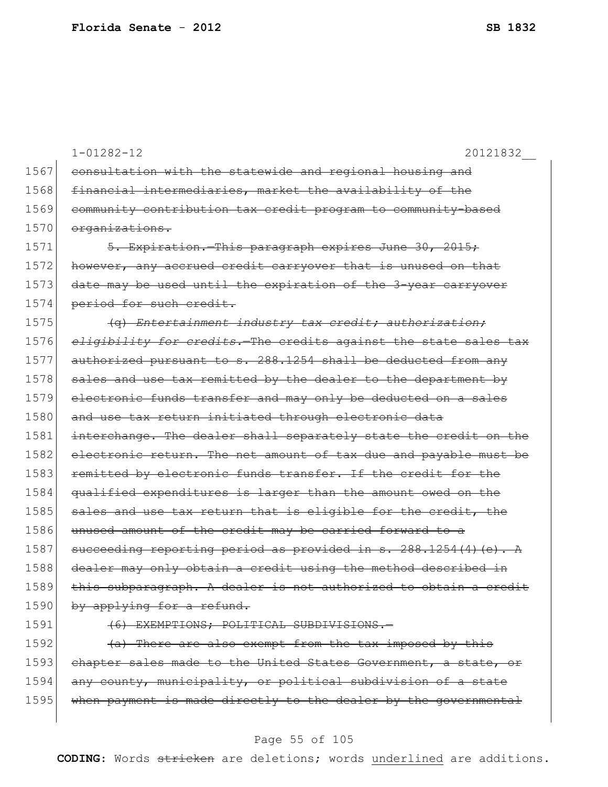|      | $1 - 01282 - 12$<br>20121832                                     |
|------|------------------------------------------------------------------|
| 1567 | consultation with the statewide and regional housing and         |
| 1568 | financial intermediaries, market the availability of the         |
| 1569 | community contribution tax credit program to community-based     |
| 1570 | organizations.                                                   |
| 1571 | 5. Expiration. This paragraph expires June 30, 2015;             |
| 1572 | however, any accrued credit carryover that is unused on that     |
| 1573 | date may be used until the expiration of the 3-year carryover    |
| 1574 | period for such credit.                                          |
| 1575 | (q) Entertainment industry tax credit; authorization;            |
| 1576 | eligibility for credits. The credits against the state sales tax |
| 1577 | authorized pursuant to s. 288.1254 shall be deducted from any    |
| 1578 | sales and use tax remitted by the dealer to the department by    |
| 1579 | electronic funds transfer and may only be deducted on a sales    |
| 1580 | and use tax return initiated through electronic data             |
| 1581 | interchange. The dealer shall separately state the credit on the |
| 1582 | electronic return. The net amount of tax due and payable must be |
| 1583 | remitted by electronic funds transfer. If the credit for the     |
| 1584 | qualified expenditures is larger than the amount owed on the     |
| 1585 | sales and use tax return that is eligible for the credit, the    |
| 1586 | unused amount of the credit may be carried forward to a          |
| 1587 | succeeding reporting period as provided in s. 288.1254(4) (e). A |
| 1588 | dealer may only obtain a credit using the method described in    |
| 1589 | this subparagraph. A dealer is not authorized to obtain a credit |
| 1590 | by applying for a refund.                                        |
| 1591 | (6) EXEMPTIONS; POLITICAL SUBDIVISIONS.-                         |
| 1592 | (a) There are also exempt from the tax imposed by this           |
| 1593 | chapter sales made to the United States Government, a state, or  |

#### Page 55 of 105

1594 any county, municipality, or political subdivision of a state 1595 when payment is made directly to the dealer by the governmental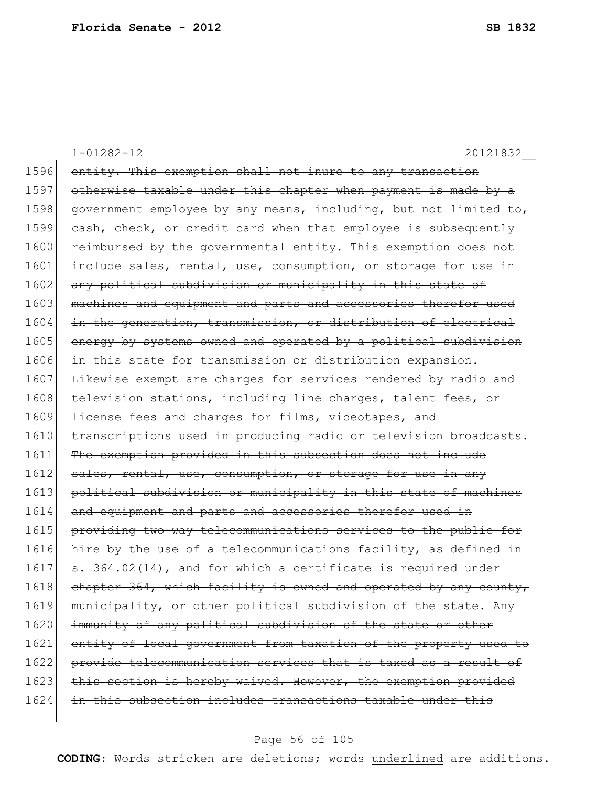|      | $1 - 01282 - 12$<br>20121832                                     |
|------|------------------------------------------------------------------|
| 1596 | entity. This exemption shall not inure to any transaction        |
| 1597 | otherwise taxable under this chapter when payment is made by a   |
| 1598 | government employee by any means, including, but not limited to, |
| 1599 | eash, check, or credit card when that employee is subsequently   |
| 1600 | reimbursed by the governmental entity. This exemption does not   |
| 1601 | include sales, rental, use, consumption, or storage for use in   |
| 1602 | any political subdivision or municipality in this state of       |
| 1603 | machines and equipment and parts and accessories therefor used   |
| 1604 | in the generation, transmission, or distribution of electrical   |
| 1605 | energy by systems owned and operated by a political subdivision  |
| 1606 | in this state for transmission or distribution expansion.        |
| 1607 | Likewise exempt are charges for services rendered by radio and   |
| 1608 | television stations, including line charges, talent fees, or     |
| 1609 | license fees and charges for films, videotapes, and              |
| 1610 | transcriptions used in producing radio or television broadcasts. |
| 1611 | The exemption provided in this subsection does not include       |
| 1612 | sales, rental, use, consumption, or storage for use in any       |
| 1613 | political subdivision or municipality in this state of machines  |
| 1614 | and equipment and parts and accessories therefor used in         |
| 1615 | providing two-way telecommunications services to the public for  |
| 1616 | hire by the use of a telecommunications facility, as defined in  |
| 1617 | s. 364.02(14), and for which a certificate is required under     |
| 1618 | chapter 364, which facility is owned and operated by any county, |
| 1619 | municipality, or other political subdivision of the state. Any   |
| 1620 | immunity of any political subdivision of the state or other      |
| 1621 | entity of local government from taxation of the property used to |
| 1622 | provide telecommunication services that is taxed as a result of  |
| 1623 | this section is hereby waived. However, the exemption provided   |
| 1624 | in this subsection includes transactions taxable under this      |
|      |                                                                  |

# Page 56 of 105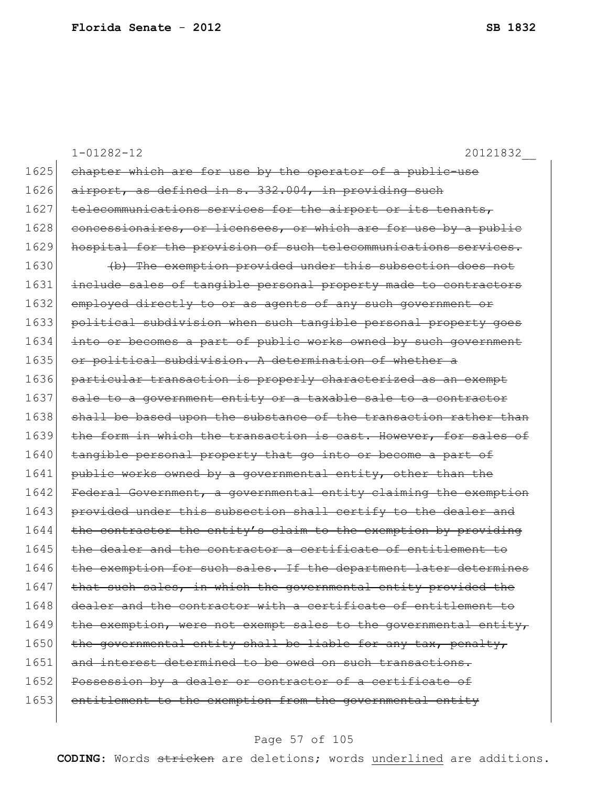|      | 20121832<br>$1 - 01282 - 12$                                     |
|------|------------------------------------------------------------------|
| 1625 | chapter which are for use by the operator of a public-use        |
| 1626 | airport, as defined in s. 332.004, in providing such             |
| 1627 | telecommunications services for the airport or its tenants,      |
| 1628 | concessionaires, or licensees, or which are for use by a public  |
| 1629 | hospital for the provision of such telecommunications services.  |
| 1630 | (b) The exemption provided under this subsection does not        |
| 1631 | include sales of tangible personal property made to contractors  |
| 1632 | employed directly to or as agents of any such government or      |
| 1633 | political subdivision when such tangible personal property goes  |
| 1634 | into or becomes a part of public works owned by such government  |
| 1635 | or political subdivision. A determination of whether a           |
| 1636 | particular transaction is properly characterized as an exempt    |
| 1637 | sale to a government entity or a taxable sale to a contractor    |
| 1638 | shall be based upon the substance of the transaction rather than |
| 1639 | the form in which the transaction is cast. However, for sales of |
| 1640 | tangible personal property that go into or become a part of      |
| 1641 | public works owned by a governmental entity, other than the      |
| 1642 | Federal Government, a governmental entity claiming the exemption |
| 1643 | provided under this subsection shall certify to the dealer and   |
| 1644 | the contractor the entity's claim to the exemption by providing  |
| 1645 | the dealer and the contractor a certificate of entitlement to    |
| 1646 | the exemption for such sales. If the department later determines |
| 1647 | that such sales, in which the governmental entity provided the   |
| 1648 | dealer and the contractor with a certificate of entitlement to   |
| 1649 | the exemption, were not exempt sales to the governmental entity, |
| 1650 | the governmental entity shall be liable for any tax, penalty,    |
| 1651 | and interest determined to be owed on such transactions.         |
| 1652 | Possession by a dealer or contractor of a certificate of         |
| 1653 | entitlement to the exemption from the governmental entity        |
|      |                                                                  |

# Page 57 of 105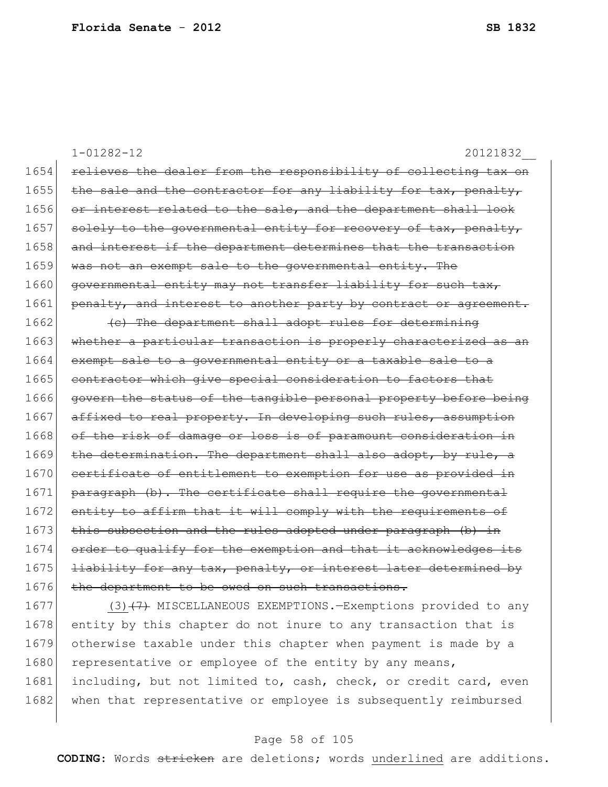1-01282-12 20121832\_\_ 1654 relieves the dealer from the responsibility of collecting tax on 1655 the sale and the contractor for any liability for tax, penalty, 1656 or interest related to the sale, and the department shall look  $1657$  solely to the governmental entity for recovery of tax, penalty, 1658 and interest if the department determines that the transaction 1659 was not an exempt sale to the governmental entity. The 1660 governmental entity may not transfer liability for such tax, 1661 penalty, and interest to another party by contract or agreement. 1662 (c) The department shall adopt rules for determining 1663 whether a particular transaction is properly characterized as an 1664 exempt sale to a governmental entity or a taxable sale to a 1665 contractor which give special consideration to factors that 1666 govern the status of the tangible personal property before being 1667 affixed to real property. In developing such rules, assumption 1668 of the risk of damage or loss is of paramount consideration in 1669 the determination. The department shall also adopt, by rule, a 1670 certificate of entitlement to exemption for use as provided in 1671 paragraph (b). The certificate shall require the governmental 1672 entity to affirm that it will comply with the requirements of 1673 this subsection and the rules adopted under paragraph (b) in 1674 order to qualify for the exemption and that it acknowledges its 1675 liability for any tax, penalty, or interest later determined by 1676 the department to be owed on such transactions. 1677 (3)<del>(7)</del> MISCELLANEOUS EXEMPTIONS.-Exemptions provided to any

1678 entity by this chapter do not inure to any transaction that is 1679 otherwise taxable under this chapter when payment is made by a 1680 representative or employee of the entity by any means, 1681 including, but not limited to, cash, check, or credit card, even 1682 | when that representative or employee is subsequently reimbursed

#### Page 58 of 105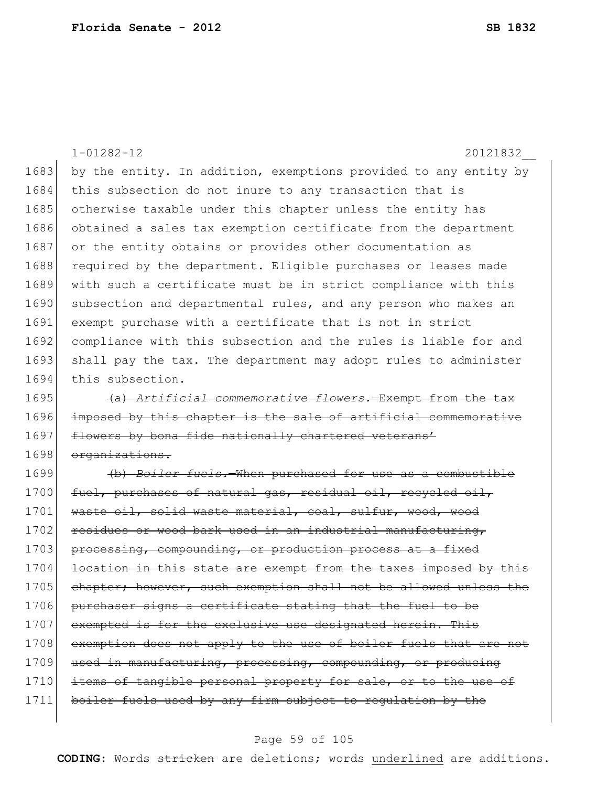|      | $1 - 01282 - 12$<br>20121832                                     |
|------|------------------------------------------------------------------|
| 1683 | by the entity. In addition, exemptions provided to any entity by |
| 1684 | this subsection do not inure to any transaction that is          |
| 1685 | otherwise taxable under this chapter unless the entity has       |
| 1686 | obtained a sales tax exemption certificate from the department   |
| 1687 | or the entity obtains or provides other documentation as         |
| 1688 | required by the department. Eligible purchases or leases made    |
| 1689 | with such a certificate must be in strict compliance with this   |
| 1690 | subsection and departmental rules, and any person who makes an   |
| 1691 | exempt purchase with a certificate that is not in strict         |
| 1692 | compliance with this subsection and the rules is liable for and  |
| 1693 | shall pay the tax. The department may adopt rules to administer  |
| 1694 | this subsection.                                                 |
| 1695 | (a) Artificial commemorative flowers. Exempt from the tax        |
| 1696 | imposed by this chapter is the sale of artificial commemorative  |
| 1697 | flowers by bona fide nationally chartered veterans'              |
| 1698 | organizations.                                                   |
| 1699 | (b) Boiler fuels. When purchased for use as a combustible        |
| 1700 | fuel, purchases of natural gas, residual oil, recycled oil,      |
| 1701 | waste oil, solid waste material, coal, sulfur, wood, wood        |
| 1702 | residues or wood bark used in an industrial manufacturing,       |
| 1703 | processing, compounding, or production process at a fixed        |
| 1704 | location in this state are exempt from the taxes imposed by this |
| 1705 | chapter; however, such exemption shall not be allowed unless the |
| 1706 | purchaser signs a certificate stating that the fuel to be        |
| 1707 | exempted is for the exclusive use designated herein. This        |
| 1708 | exemption does not apply to the use of boiler fuels that are not |
| 1709 | used in manufacturing, processing, compounding, or producing     |
| 1710 | items of tangible personal property for sale, or to the use of   |
| 1711 | boiler fuels used by any firm subject to regulation by the       |
|      |                                                                  |

# Page 59 of 105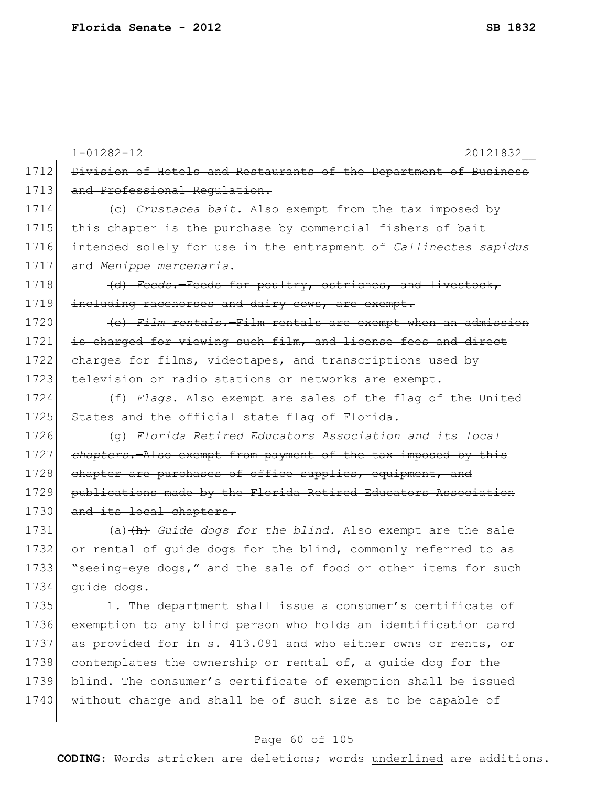|      | $1 - 01282 - 12$<br>20121832                                           |
|------|------------------------------------------------------------------------|
| 1712 | Division of Hotels and Restaurants of the Department of Business       |
| 1713 | and Professional Requlation.                                           |
| 1714 | (c) Crustacea bait. Also exempt from the tax imposed by                |
| 1715 | this chapter is the purchase by commercial fishers of bait             |
| 1716 | intended solely for use in the entrapment of Callinectes sapidus       |
| 1717 | and Menippe mercenaria.                                                |
| 1718 | (d) Feeds. Feeds for poultry, ostriches, and livestock,                |
| 1719 | including racehorses and dairy cows, are exempt.                       |
| 1720 | (e) Film rentals.-Film rentals are exempt when an admission            |
| 1721 | is charged for viewing such film, and license fees and direct          |
| 1722 | charges for films, videotapes, and transcriptions used by              |
| 1723 | television or radio stations or networks are exempt.                   |
| 1724 | (f) Flags. Also exempt are sales of the flag of the United             |
| 1725 | States and the official state flag of Florida.                         |
| 1726 | (g) Florida Retired Educators Association and its local                |
| 1727 | chapters. Also exempt from payment of the tax imposed by this          |
| 1728 | chapter are purchases of office supplies, equipment, and               |
| 1729 | publications made by the Florida Retired Educators Association         |
| 1730 | and its local chapters.                                                |
| 1731 | (a) $\downarrow$ h) Guide dogs for the blind. Also exempt are the sale |
| 1732 | or rental of quide dogs for the blind, commonly referred to as         |
| 1733 | "seeing-eye dogs," and the sale of food or other items for such        |
| 1734 | quide dogs.                                                            |
| 1735 | 1. The department shall issue a consumer's certificate of              |
| 1736 | exemption to any blind person who holds an identification card         |
| 1737 | as provided for in s. 413.091 and who either owns or rents, or         |
| 1738 | contemplates the ownership or rental of, a quide dog for the           |
| 1739 | blind. The consumer's certificate of exemption shall be issued         |
| 1740 | without charge and shall be of such size as to be capable of           |

# Page 60 of 105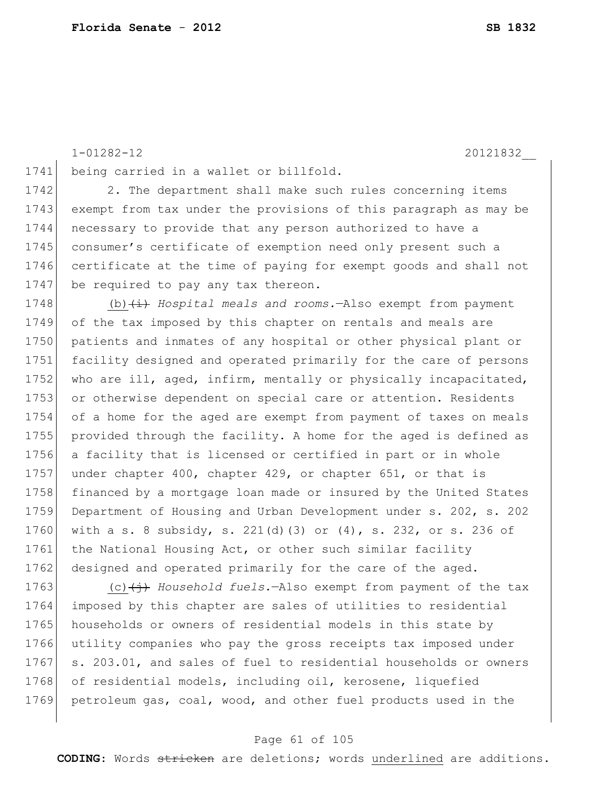1-01282-12 20121832\_\_

1741 being carried in a wallet or billfold.

1742 2. The department shall make such rules concerning items 1743 exempt from tax under the provisions of this paragraph as may be 1744 necessary to provide that any person authorized to have a 1745 consumer's certificate of exemption need only present such a 1746 certificate at the time of paying for exempt goods and shall not 1747 be required to pay any tax thereon.

1748 (b) (i) *Hospital meals and rooms.*—Also exempt from payment 1749 of the tax imposed by this chapter on rentals and meals are 1750 patients and inmates of any hospital or other physical plant or 1751 facility designed and operated primarily for the care of persons 1752 who are ill, aged, infirm, mentally or physically incapacitated, 1753 or otherwise dependent on special care or attention. Residents 1754 of a home for the aged are exempt from payment of taxes on meals 1755 provided through the facility. A home for the aged is defined as 1756 a facility that is licensed or certified in part or in whole 1757 under chapter 400, chapter 429, or chapter 651, or that is 1758 financed by a mortgage loan made or insured by the United States 1759 Department of Housing and Urban Development under s. 202, s. 202 1760 with a s. 8 subsidy, s. 221(d)(3) or (4), s. 232, or s. 236 of 1761 the National Housing Act, or other such similar facility 1762 designed and operated primarily for the care of the aged.

1763 (c)  $\leftrightarrow$  *Household fuels.*—Also exempt from payment of the tax 1764 imposed by this chapter are sales of utilities to residential 1765 households or owners of residential models in this state by 1766 utility companies who pay the gross receipts tax imposed under 1767 s. 203.01, and sales of fuel to residential households or owners 1768 of residential models, including oil, kerosene, liquefied 1769 petroleum gas, coal, wood, and other fuel products used in the

#### Page 61 of 105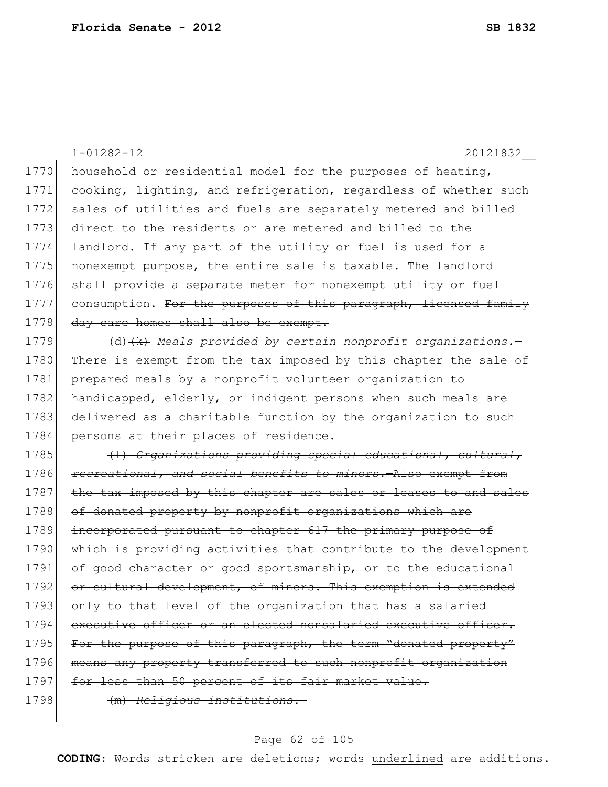1-01282-12 20121832\_\_ 1770 household or residential model for the purposes of heating, 1771 cooking, lighting, and refrigeration, regardless of whether such 1772 sales of utilities and fuels are separately metered and billed 1773 direct to the residents or are metered and billed to the 1774 landlord. If any part of the utility or fuel is used for a 1775 | nonexempt purpose, the entire sale is taxable. The landlord 1776 shall provide a separate meter for nonexempt utility or fuel 1777 consumption. For the purposes of this paragraph, licensed family 1778 day care homes shall also be exempt. 1779 (d) (k) *Meals provided by certain nonprofit organizations.*— 1780 There is exempt from the tax imposed by this chapter the sale of 1781 prepared meals by a nonprofit volunteer organization to 1782 handicapped, elderly, or indigent persons when such meals are 1783 delivered as a charitable function by the organization to such 1784 persons at their places of residence. 1785 (l) *Organizations providing special educational, cultural,*  1786 *recreational, and social benefits to minors.*—Also exempt from 1787 the tax imposed by this chapter are sales or leases to and sales 1788 of donated property by nonprofit organizations which are 1789 incorporated pursuant to chapter 617 the primary purpose of 1790 which is providing activities that contribute to the development 1791 of good character or good sportsmanship, or to the educational 1792 or cultural development, of minors. This exemption is extended 1793 only to that level of the organization that has a salaried 1794 executive officer or an elected nonsalaried executive officer. 1795 For the purpose of this paragraph, the term "donated property" 1796 means any property transferred to such nonprofit organization 1797 for less than 50 percent of its fair market value.

1798 (m) *Religious institutions.*—

#### Page 62 of 105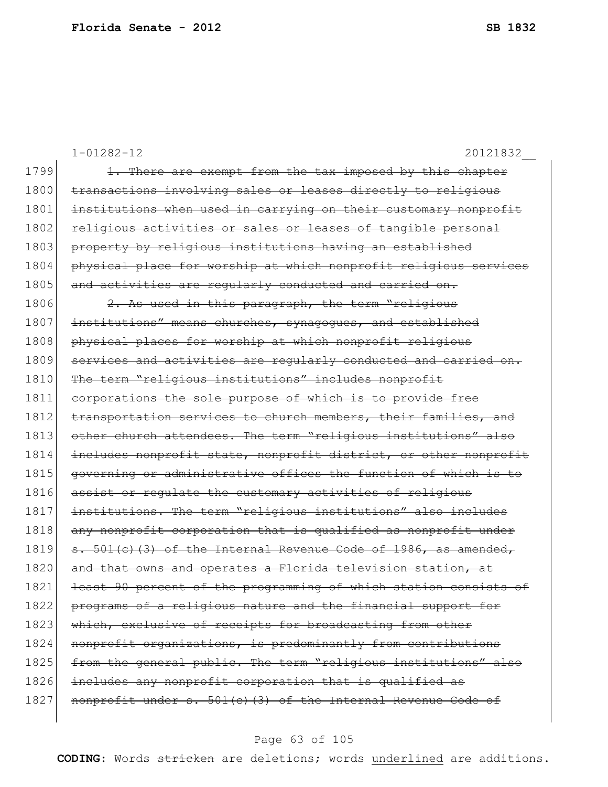|      | $1 - 01282 - 12$<br>20121832                                     |
|------|------------------------------------------------------------------|
| 1799 | 1. There are exempt from the tax imposed by this chapter         |
| 1800 | transactions involving sales or leases directly to religious     |
| 1801 | institutions when used in carrying on their customary nonprofit  |
| 1802 | religious activities or sales or leases of tangible personal     |
| 1803 | property by religious institutions having an established         |
| 1804 | physical place for worship at which nonprofit religious services |
| 1805 | and activities are reqularly conducted and carried on.           |
| 1806 | 2. As used in this paragraph, the term "religious                |
| 1807 | institutions" means churches, synagogues, and established        |
| 1808 | physical places for worship at which nonprofit religious         |
| 1809 | services and activities are regularly conducted and carried on.  |
| 1810 | The term "religious institutions" includes nonprofit             |
| 1811 | corporations the sole purpose of which is to provide free        |
| 1812 | transportation services to church members, their families, and   |
| 1813 | other church attendees. The term "religious institutions" also   |
| 1814 | includes nonprofit state, nonprofit district, or other nonprofit |
| 1815 | governing or administrative offices the function of which is to  |
| 1816 | assist or requlate the customary activities of religious         |
| 1817 | institutions. The term "religious institutions" also includes    |
| 1818 | any nonprofit corporation that is qualified as nonprofit under   |
| 1819 | s. 501(c)(3) of the Internal Revenue Code of 1986, as amended,   |
| 1820 | and that owns and operates a Florida television station, at      |
| 1821 | least 90 percent of the programming of which station consists of |
| 1822 | programs of a religious nature and the financial support for     |
| 1823 | which, exclusive of receipts for broadcasting from other         |
| 1824 | nonprofit organizations, is predominantly from contributions     |
| 1825 | from the general public. The term "religious institutions" also  |
| 1826 | includes any nonprofit corporation that is qualified as          |
| 1827 | nonprofit under s. 501(c)(3) of the Internal Revenue Code of     |
|      |                                                                  |

# Page 63 of 105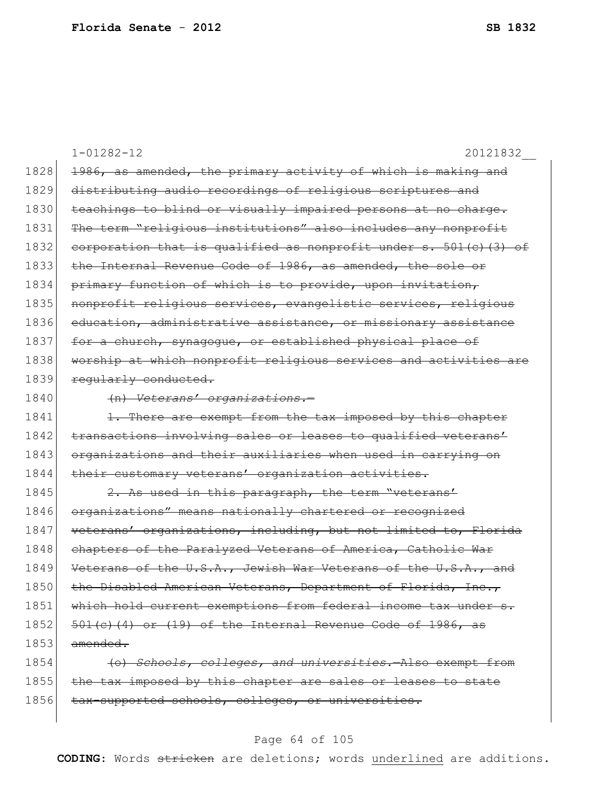|      | $1 - 01282 - 12$<br>20121832                                      |
|------|-------------------------------------------------------------------|
| 1828 | 1986, as amended, the primary activity of which is making and     |
| 1829 | distributing audio recordings of religious scriptures and         |
| 1830 | teachings to blind or visually impaired persons at no charge.     |
| 1831 | The term "religious institutions" also includes any nonprofit     |
| 1832 | corporation that is qualified as nonprofit under s. 501(c) (3) of |
| 1833 | the Internal Revenue Code of 1986, as amended, the sole or        |
| 1834 | primary function of which is to provide, upon invitation,         |
| 1835 | nonprofit religious services, evangelistic services, religious    |
| 1836 | education, administrative assistance, or missionary assistance    |
| 1837 | for a church, synagogue, or established physical place of         |
| 1838 | worship at which nonprofit religious services and activities are  |
| 1839 | regularly conducted.                                              |
| 1840 | (n) Veterans' organizations.-                                     |
| 1841 | 1. There are exempt from the tax imposed by this chapter          |
| 1842 | transactions involving sales or leases to qualified veterans'     |
| 1843 | organizations and their auxiliaries when used in carrying on      |
| 1844 | their customary veterans' organization activities.                |
| 1845 | 2. As used in this paragraph, the term "veterans"                 |
| 1846 | organizations" means nationally chartered or recognized           |
| 1847 | veterans' organizations, including, but not limited to, Florida   |
| 1848 | chapters of the Paralyzed Veterans of America, Catholic War       |
| 1849 | Veterans of the U.S.A., Jewish War Veterans of the U.S.A., and    |
| 1850 | the Disabled American Veterans, Department of Florida, Inc.       |
| 1851 | which hold current exemptions from federal income tax under s.    |
| 1852 | $501(c)$ (4) or (19) of the Internal Revenue Code of 1986, as     |
| 1853 | amended.                                                          |
| 1854 | (o) Schools, colleges, and universities. - Also exempt from       |
| 1855 | the tax imposed by this chapter are sales or leases to state      |
| 1856 | tax-supported schools, colleges, or universities.                 |

# Page 64 of 105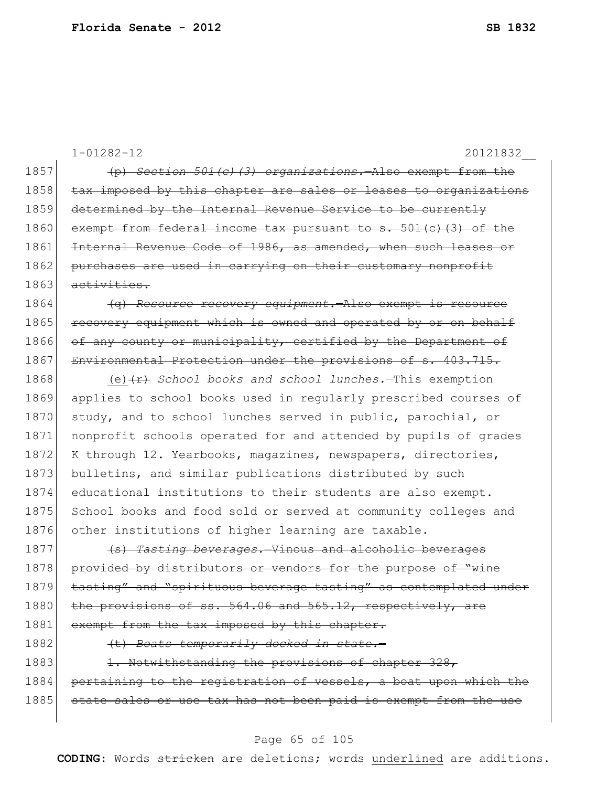|      | $1 - 01282 - 12$<br>20121832                                       |
|------|--------------------------------------------------------------------|
| 1857 | (p) Section 501(c)(3) organizations. Also exempt from the          |
| 1858 | tax imposed by this chapter are sales or leases to organizations   |
| 1859 | determined by the Internal Revenue Service to be currently         |
| 1860 | exempt from federal income tax pursuant to s. 501(c)(3) of the     |
| 1861 | Internal Revenue Code of 1986, as amended, when such leases or     |
| 1862 | purchases are used in carrying on their customary nonprofit        |
| 1863 | activities.                                                        |
| 1864 | (q) Resource recovery equipment. Also exempt is resource           |
| 1865 | recovery equipment which is owned and operated by or on behalf     |
| 1866 | of any county or municipality, certified by the Department of      |
| 1867 | Environmental Protection under the provisions of s. 403.715.       |
| 1868 | (e) $\overline{f}$ School books and school lunches. This exemption |
| 1869 | applies to school books used in regularly prescribed courses of    |
| 1870 | study, and to school lunches served in public, parochial, or       |
| 1871 | nonprofit schools operated for and attended by pupils of grades    |
| 1872 | K through 12. Yearbooks, magazines, newspapers, directories,       |
| 1873 | bulletins, and similar publications distributed by such            |
| 1874 | educational institutions to their students are also exempt.        |
| 1875 | School books and food sold or served at community colleges and     |
| 1876 | other institutions of higher learning are taxable.                 |
| 1877 | (s) Tasting beverages. Vinous and alcoholic beverages              |
| 1878 | provided by distributors or vendors for the purpose of "wine       |
| 1879 | tasting" and "spirituous beverage tasting" as contemplated under   |
| 1880 | the provisions of ss. 564.06 and 565.12, respectively, are         |
| 1881 | exempt from the tax imposed by this chapter.                       |
| 1882 | (t) Boats temporarily docked in state.-                            |
| 1883 | 1. Notwithstanding the provisions of chapter 328,                  |
| 1884 | pertaining to the registration of vessels, a boat upon which the   |
| 1885 | state sales or use tax has not been paid is exempt from the use    |
|      |                                                                    |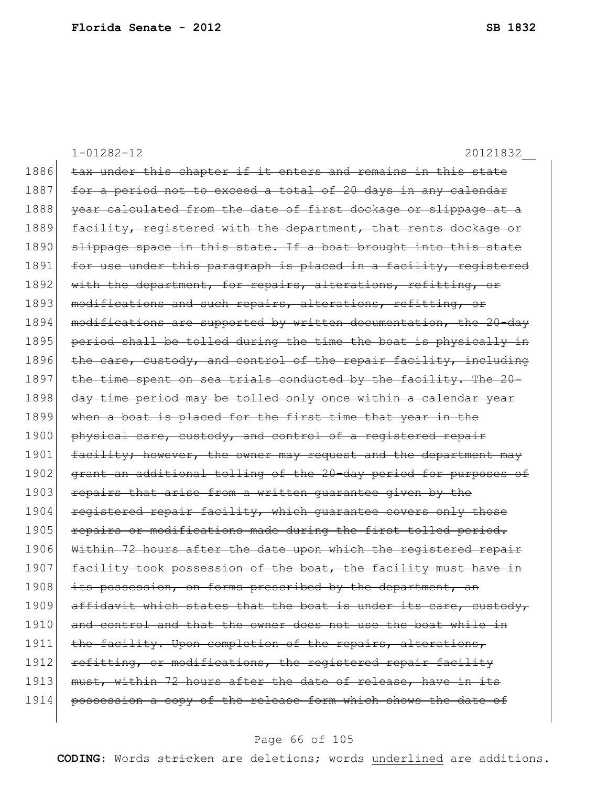1-01282-12 20121832\_\_ 1886 tax under this chapter if it enters and remains in this state 1887 for a period not to exceed a total of 20 days in any calendar 1888 year calculated from the date of first dockage or slippage at a 1889 facility, registered with the department, that rents dockage or 1890 slippage space in this state. If a boat brought into this state 1891 for use under this paragraph is placed in a facility, registered 1892 with the department, for repairs, alterations, refitting, or 1893 modifications and such repairs, alterations, refitting, or 1894 modifications are supported by written documentation, the 20-day 1895 period shall be tolled during the time the boat is physically in 1896 the care, custody, and control of the repair facility, including 1897 the time spent on sea trials conducted by the facility. The 20-1898 day time period may be tolled only once within a calendar year 1899 when a boat is placed for the first time that year in the 1900 physical care, custody, and control of a registered repair 1901 facility; however, the owner may request and the department may 1902 grant an additional tolling of the 20-day period for purposes of 1903 repairs that arise from a written quarantee given by the 1904 registered repair facility, which quarantee covers only those 1905 repairs or modifications made during the first tolled period. 1906 Within 72 hours after the date upon which the registered repair 1907 facility took possession of the boat, the facility must have in 1908 its possession, on forms prescribed by the department, an 1909 affidavit which states that the boat is under its care, custody, 1910 and control and that the owner does not use the boat while in 1911 the facility. Upon completion of the repairs, alterations, 1912 refitting, or modifications, the registered repair facility 1913 must, within 72 hours after the date of release, have in its 1914 possession a copy of the release form which shows the date of

#### Page 66 of 105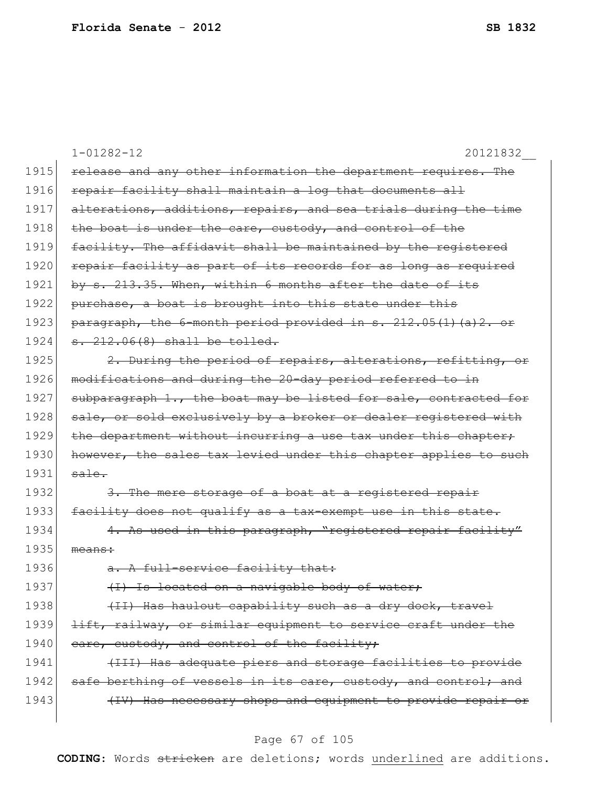|      | $1 - 01282 - 12$<br>20121832                                     |
|------|------------------------------------------------------------------|
| 1915 | release and any other information the department requires. The   |
| 1916 | repair facility shall maintain a log that documents all          |
| 1917 | alterations, additions, repairs, and sea trials during the time  |
| 1918 | the boat is under the care, custody, and control of the          |
| 1919 | facility. The affidavit shall be maintained by the registered    |
| 1920 | repair facility as part of its records for as long as required   |
| 1921 | by s. 213.35. When, within 6 months after the date of its        |
| 1922 | purchase, a boat is brought into this state under this           |
| 1923 | paragraph, the 6-month period provided in s. 212.05(1) (a) 2. or |
| 1924 | s. 212.06(8) shall be tolled.                                    |
| 1925 | 2. During the period of repairs, alterations, refitting, or      |
| 1926 | modifications and during the 20-day period referred to in        |
| 1927 | subparagraph 1., the boat may be listed for sale, contracted for |
| 1928 | sale, or sold exclusively by a broker or dealer registered with  |
| 1929 | the department without incurring a use tax under this chapter;   |
| 1930 | however, the sales tax levied under this chapter applies to such |
| 1931 | sale.                                                            |
| 1932 | 3. The mere storage of a boat at a registered repair             |
| 1933 | facility does not qualify as a tax-exempt use in this state.     |
| 1934 | 4. As used in this paragraph, "registered repair facility"       |
| 1935 | means:                                                           |
| 1936 | a. A full-service facility that:                                 |
| 1937 | (I) Is located on a navigable body of water;                     |
| 1938 | (II) Has haulout capability such as a dry dock, travel           |
| 1939 | lift, railway, or similar equipment to service craft under the   |
| 1940 | eare, custody, and control of the facility;                      |
| 1941 | (III) Has adequate piers and storage facilities to provide       |
| 1942 | safe berthing of vessels in its care, custody, and control; and  |
| 1943 | (IV) Has necessary shops and equipment to provide repair or      |
|      |                                                                  |

# Page 67 of 105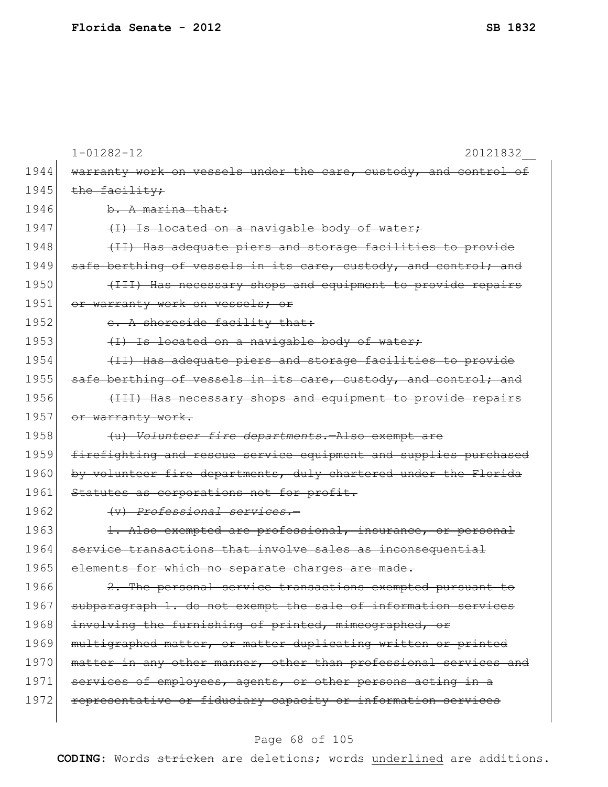|      | $1 - 01282 - 12$<br>20121832                                             |
|------|--------------------------------------------------------------------------|
| 1944 | warranty work on vessels under the care, custody, and control of         |
| 1945 | the facility;                                                            |
| 1946 | b. A marina that:                                                        |
| 1947 | (I) Is located on a navigable body of water;                             |
| 1948 | (II) Has adequate piers and storage facilities to provide                |
| 1949 | safe berthing of vessels in its care, custody, and control; and          |
| 1950 | (III) Has necessary shops and equipment to provide repairs               |
| 1951 | or warranty work on vessels; or                                          |
| 1952 | e. A shoreside facility that:                                            |
| 1953 | (I) Is located on a navigable body of water;                             |
| 1954 | (II) Has adequate piers and storage facilities to provide                |
| 1955 | safe berthing of vessels in its care, custody, and control; and          |
| 1956 | (III) Has necessary shops and equipment to provide repairs               |
| 1957 | or warranty work.                                                        |
| 1958 | (u) Volunteer fire departments.-Also exempt are                          |
| 1959 | firefighting and rescue service equipment and supplies purchased         |
| 1960 | by volunteer fire departments, duly chartered under the Florida          |
| 1961 | Statutes as corporations not for profit.                                 |
| 1962 | (v) Professional services.-                                              |
| 1963 | 1. Also exempted are professional, insurance, or personal                |
| 1964 | service transactions that involve sales as inconsequential               |
| 1965 | elements for which no separate charges are made.                         |
| 1966 | The personal service transactions exempted pursuant to<br>$\mathbf{2}$ . |
| 1967 | subparagraph 1. do not exempt the sale of information services           |
| 1968 | involving the furnishing of printed, mimeographed, or                    |
| 1969 | multigraphed matter, or matter duplicating written or printed            |
| 1970 | matter in any other manner, other than professional services and         |
| 1971 | services of employees, agents, or other persons acting in a              |
| 1972 | representative or fiduciary capacity or information services             |
|      |                                                                          |

# Page 68 of 105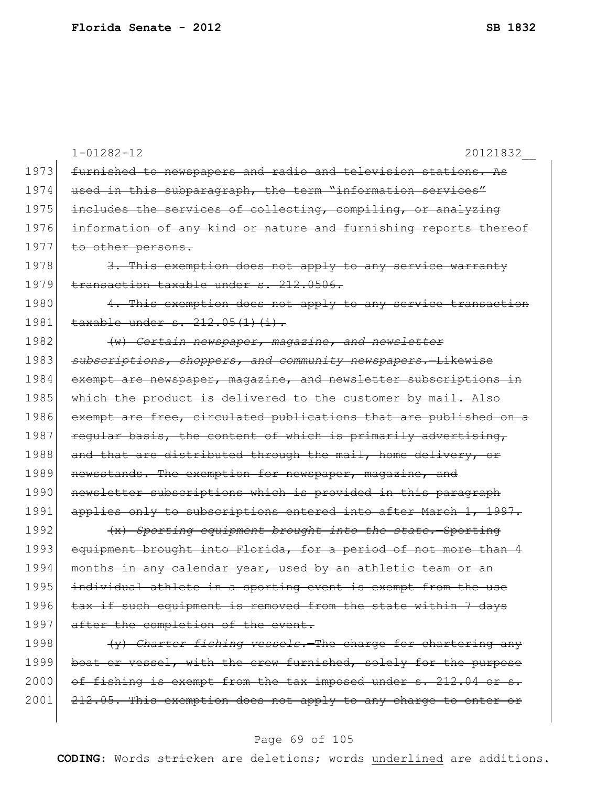|      | $1 - 01282 - 12$<br>20121832                                                 |
|------|------------------------------------------------------------------------------|
| 1973 | furnished to newspapers and radio and television stations. As                |
| 1974 | used in this subparagraph, the term "information services"                   |
| 1975 | includes the services of collecting, compiling, or analyzing                 |
| 1976 | information of any kind or nature and furnishing reports thereof             |
| 1977 | to other persons.                                                            |
| 1978 | 3. This exemption does not apply to any service warranty                     |
| 1979 | transaction taxable under s. 212.0506.                                       |
| 1980 | This exemption does not apply to any service transaction<br>$\overline{4}$ . |
| 1981 | taxable under s. 212.05(1)(i).                                               |
| 1982 | (w) Certain newspaper, magazine, and newsletter                              |
| 1983 | subscriptions, shoppers, and community newspapers.-Likewise                  |
| 1984 | exempt are newspaper, magazine, and newsletter subscriptions in              |
| 1985 | which the product is delivered to the customer by mail. Also                 |
| 1986 | exempt are free, circulated publications that are published on a             |
| 1987 | reqular basis, the content of which is primarily advertising,                |
| 1988 | and that are distributed through the mail, home delivery, or                 |
| 1989 | newsstands. The exemption for newspaper, magazine, and                       |
| 1990 | newsletter subscriptions which is provided in this paragraph                 |
| 1991 | applies only to subscriptions entered into after March 1, 1997.              |
| 1992 | (x) Sporting equipment brought into the state. Sporting                      |
| 1993 | equipment brought into Florida, for a period of not more than 4              |
| 1994 | in any calendar year, used by an athletic team or<br>months                  |
| 1995 | individual athlete in a sporting event is exempt from the use                |
| 1996 | tax if such equipment is removed from the state within 7 days                |
| 1997 | after the completion of the event.                                           |
| 1998 | (y) Charter fishing vessels. The charge for chartering any                   |
| 1999 | boat or vessel, with the crew furnished, solely for the purpose              |
| 2000 | of fishing is exempt from the tax imposed under s. 212.04 or s.              |
| 2001 | 212.05. This exemption does not apply to any charge to enter or              |
|      |                                                                              |

# Page 69 of 105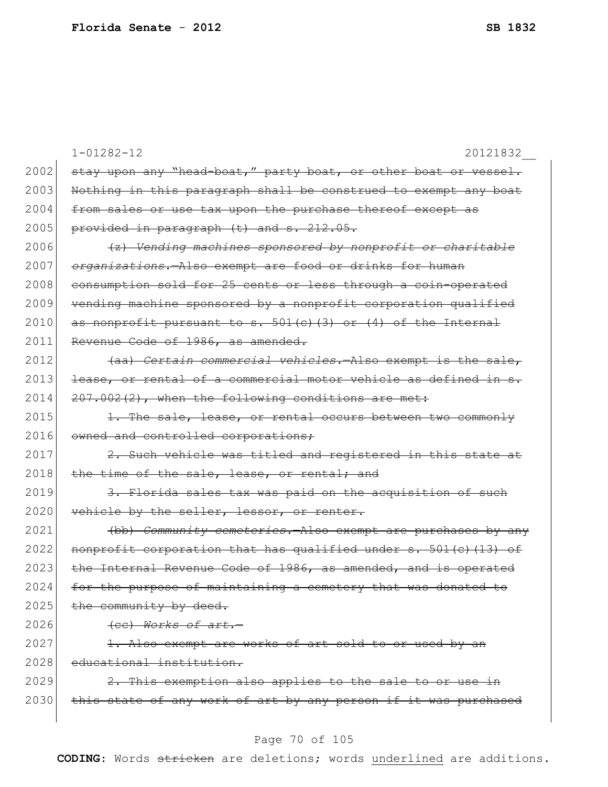|      | $1 - 01282 - 12$<br>20121832                                    |
|------|-----------------------------------------------------------------|
| 2002 | stay upon any "head-boat," party boat, or other boat or vessel. |
| 2003 | Nothing in this paragraph shall be construed to exempt any boat |
| 2004 | from sales or use tax upon the purchase thereof except as       |
| 2005 | provided in paragraph (t) and s. 212.05.                        |
| 2006 | (z) Vending machines sponsored by nonprofit or charitable       |
| 2007 | organizations.-Also exempt are food or drinks for human         |
| 2008 | consumption sold for 25 cents or less through a coin-operated   |
| 2009 | vending machine sponsored by a nonprofit corporation qualified  |
| 2010 | as nonprofit pursuant to s. $501(c)$ (3) or (4) of the Internal |
| 2011 | Revenue Code of 1986, as amended.                               |
| 2012 | (aa) Certain commercial vehicles. - Also exempt is the sale,    |
| 2013 | lease, or rental of a commercial motor vehicle as defined in s. |
| 2014 | 207.002(2), when the following conditions are met:              |
| 2015 | 1. The sale, lease, or rental occurs between two commonly       |
| 2016 | owned and controlled corporations;                              |
| 2017 | 2. Such vehicle was titled and registered in this state at      |
| 2018 | the time of the sale, lease, or rental; and                     |
| 2019 | 3. Florida sales tax was paid on the acquisition of such        |
| 2020 | vehicle by the seller, lessor, or renter.                       |
| 2021 | (bb) Community cemeteries. Also exempt are purchases by any     |
| 2022 | nonprofit corporation that has qualified under s. 501(c)(13) of |
| 2023 | the Internal Revenue Code of 1986, as amended, and is operated  |
| 2024 | for the purpose of maintaining a cemetery that was donated to   |
| 2025 | the community by deed.                                          |
| 2026 | (ee) Works of art.-                                             |
| 2027 | 1. Also exempt are works of art sold to or used by an           |
| 2028 | educational institution.                                        |
| 2029 | 2. This exemption also applies to the sale to or use in         |
| 2030 | this state of any work of art by any person if it was purchased |
|      |                                                                 |

# Page 70 of 105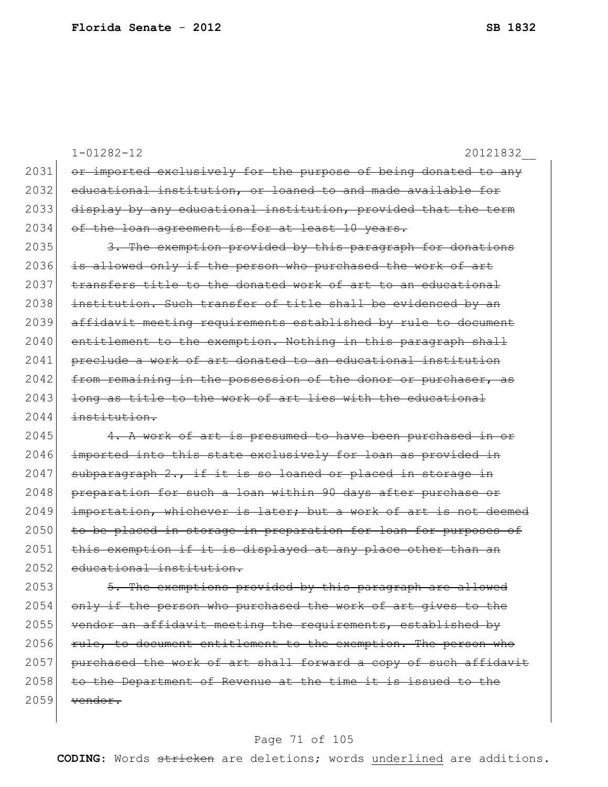|      | $1 - 01282 - 12$<br>20121832                                     |
|------|------------------------------------------------------------------|
| 2031 | or imported exclusively for the purpose of being donated to any  |
| 2032 | educational institution, or loaned to and made available for     |
| 2033 | display by any educational institution, provided that the term   |
| 2034 | of the loan agreement is for at least 10 years.                  |
| 2035 | 3. The exemption provided by this paragraph for donations        |
| 2036 | is allowed only if the person who purchased the work of art      |
| 2037 | transfers title to the donated work of art to an educational     |
| 2038 | institution. Such transfer of title shall be evidenced by an     |
| 2039 | affidavit meeting requirements established by rule to document   |
| 2040 | entitlement to the exemption. Nothing in this paragraph shall    |
| 2041 | preclude a work of art donated to an educational institution     |
| 2042 | from remaining in the possession of the donor or purchaser, as   |
| 2043 | long as title to the work of art lies with the educational       |
| 2044 | institution.                                                     |
| 2045 | 4. A work of art is presumed to have been purchased in or        |
| 2046 | imported into this state exclusively for loan as provided in     |
| 2047 | subparagraph 2., if it is so loaned or placed in storage in      |
| 2048 | preparation for such a loan within 90 days after purchase or     |
| 2049 | importation, whichever is later; but a work of art is not deemed |
| 2050 | to be placed in storage in preparation for loan for purposes of  |
| 2051 | this exemption if it is displayed at any place other than an     |
| 2052 | educational institution.                                         |
| 2053 | 5. The exemptions provided by this paragraph are allowed         |
| 2054 | only if the person who purchased the work of art gives to the    |
| 2055 | vendor an affidavit meeting the requirements, established by     |
| 2056 | rule, to document entitlement to the exemption. The person who   |
| 2057 | purchased the work of art shall forward a copy of such affidavit |
| 2058 | to the Department of Revenue at the time it is issued to the     |
| 2059 | vendor.                                                          |

# Page 71 of 105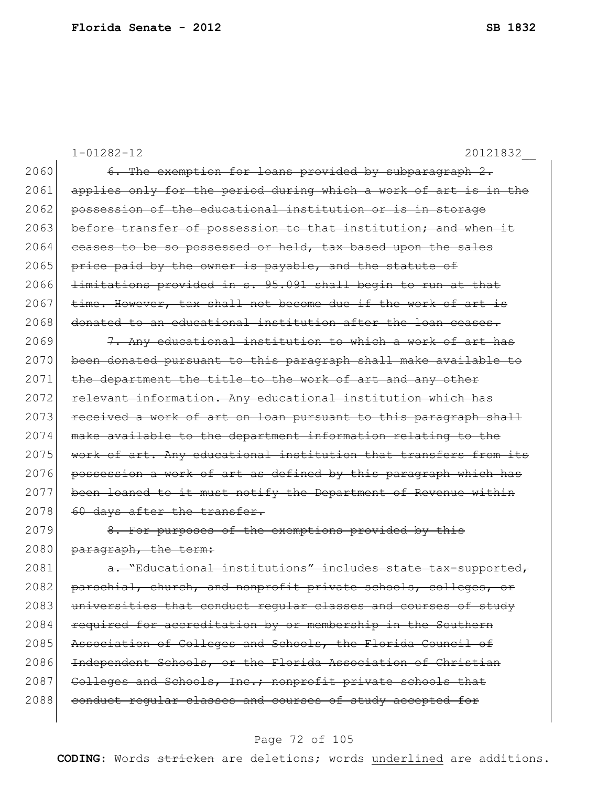|      | $1 - 01282 - 12$<br>20121832                                     |
|------|------------------------------------------------------------------|
| 2060 | 6. The exemption for loans provided by subparagraph 2.           |
| 2061 | applies only for the period during which a work of art is in the |
| 2062 | possession of the educational institution or is in storage       |
| 2063 | before transfer of possession to that institution; and when it   |
| 2064 | ceases to be so possessed or held, tax based upon the sales      |
| 2065 | price paid by the owner is payable, and the statute of           |
| 2066 | limitations provided in s. 95.091 shall begin to run at that     |
| 2067 | time. However, tax shall not become due if the work of art is    |
| 2068 | donated to an educational institution after the loan ceases.     |
| 2069 | 7. Any educational institution to which a work of art has        |
| 2070 | been donated pursuant to this paragraph shall make available to  |
| 2071 | the department the title to the work of art and any other        |
| 2072 | relevant information. Any educational institution which has      |
| 2073 | received a work of art on loan pursuant to this paragraph shall  |
| 2074 | make available to the department information relating to the     |
| 2075 | work of art. Any educational institution that transfers from its |
| 2076 | possession a work of art as defined by this paragraph which has  |
| 2077 | been loaned to it must notify the Department of Revenue within   |
| 2078 | 60 days after the transfer.                                      |
| 2079 | 8. For purposes of the exemptions provided by this               |
| 2080 | paragraph, the term:                                             |
| 2081 | a. "Educational institutions" includes state tax-supported,      |
| 2082 | parochial, church, and nonprofit private schools, colleges, or   |
| 2083 | universities that conduct regular classes and courses of study   |
| 2084 | required for accreditation by or membership in the Southern      |
| 2085 | Association of Colleges and Schools, the Florida Council of      |
| 2086 | Independent Schools, or the Florida Association of Christian     |
| 2087 | Colleges and Schools, Inc.; nonprofit private schools that       |
| 2088 | conduct reqular classes and courses of study accepted for        |
|      |                                                                  |

# Page 72 of 105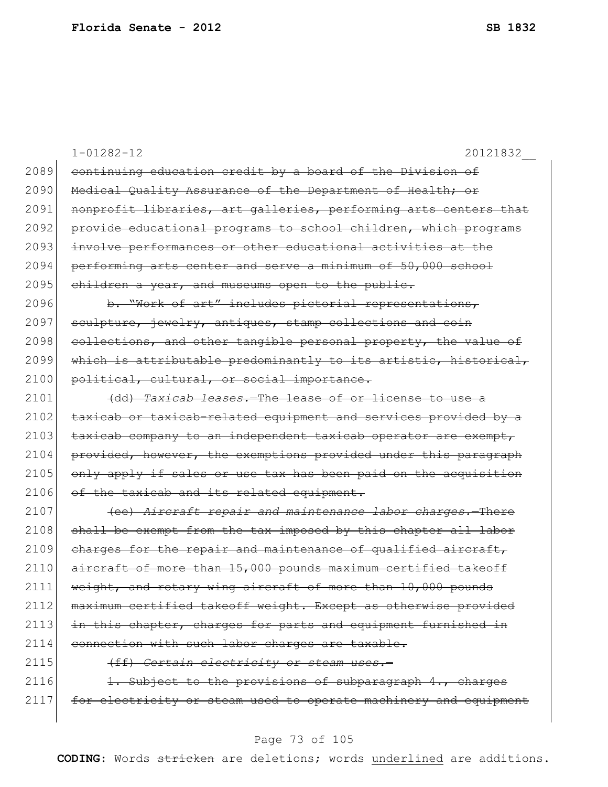|      | $1 - 01282 - 12$<br>20121832                                     |
|------|------------------------------------------------------------------|
| 2089 | continuing education credit by a board of the Division of        |
| 2090 | Medical Quality Assurance of the Department of Health; or        |
| 2091 | nonprofit libraries, art galleries, performing arts centers that |
| 2092 | provide educational programs to school children, which programs  |
| 2093 | involve performances or other educational activities at the      |
| 2094 | performing arts center and serve a minimum of 50,000 school      |
| 2095 | children a year, and museums open to the public.                 |
| 2096 | b. "Work of art" includes pictorial representations,             |
| 2097 | sculpture, jewelry, antiques, stamp collections and coin         |
| 2098 | collections, and other tangible personal property, the value of  |
| 2099 | which is attributable predominantly to its artistic, historical, |
| 2100 | political, cultural, or social importance.                       |
| 2101 | (dd) Taxicab leases. The lease of or license to use a            |
| 2102 | taxicab or taxicab-related equipment and services provided by a  |
| 2103 | taxicab company to an independent taxicab operator are exempt,   |
| 2104 | provided, however, the exemptions provided under this paragraph  |
| 2105 | only apply if sales or use tax has been paid on the acquisition  |
| 2106 | of the taxicab and its related equipment.                        |
| 2107 | (ee) Aircraft repair and maintenance labor charges. There        |
| 2108 | shall be exempt from the tax imposed by this chapter all labor   |
| 2109 | charges for the repair and maintenance of qualified aircraft,    |
| 2110 | aircraft of more than 15,000 pounds maximum certified takeoff    |
| 2111 | weight, and rotary wing aircraft of more than 10,000 pounds      |
| 2112 | maximum certified takeoff weight. Except as otherwise provided   |
| 2113 | in this chapter, charges for parts and equipment furnished in    |
| 2114 | connection with such labor charges are taxable.                  |
| 2115 | (ff) Certain electricity or steam uses.-                         |
| 2116 | 1. Subject to the provisions of subparagraph 4., charges         |
| 2117 | for electricity or steam used to operate machinery and equipment |
|      |                                                                  |

# Page 73 of 105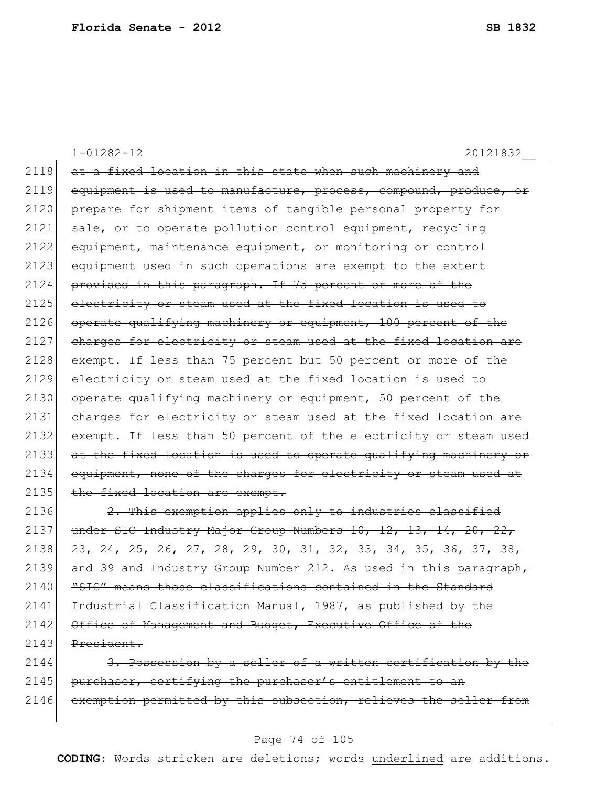1-01282-12 20121832\_\_ 2118 at a fixed location in this state when such machinery and 2119 equipment is used to manufacture, process, compound, produce, or 2120 prepare for shipment items of tangible personal property for 2121 sale, or to operate pollution control equipment, recycling 2122 equipment, maintenance equipment, or monitoring or control 2123 equipment used in such operations are exempt to the extent 2124 provided in this paragraph. If 75 percent or more of the 2125 electricity or steam used at the fixed location is used to 2126 operate qualifying machinery or equipment, 100 percent of the 2127 charges for electricity or steam used at the fixed location are 2128 exempt. If less than 75 percent but 50 percent or more of the 2129 electricity or steam used at the fixed location is used to  $2130$  operate qualifying machinery or equipment, 50 percent of the 2131 charges for electricity or steam used at the fixed location are 2132 exempt. If less than 50 percent of the electricity or steam used 2133 at the fixed location is used to operate qualifying machinery or 2134 equipment, none of the charges for electricity or steam used at 2135 the fixed location are exempt. 2136  $\vert$  2. This exemption applies only to industries classified 2137 under SIC Industry Major Group Numbers  $10, 12, 13, 14, 20, 22, 13$  $2138$   $23, 24, 25, 26, 27, 28, 29, 30, 31, 32, 33, 34, 35, 36, 37, 38,$ 

2139 and 39 and Industry Group Number 212. As used in this paragraph,  $2140$   $"SIC"$  means those classifications contained in the Standard 2141 Industrial Classification Manual, 1987, as published by the 2142 Office of Management and Budget, Executive Office of the  $2143$  President.

2144 3. Possession by a seller of a written certification by the 2145 purchaser, certifying the purchaser's entitlement to an 2146 exemption permitted by this subsection, relieves the seller from

#### Page 74 of 105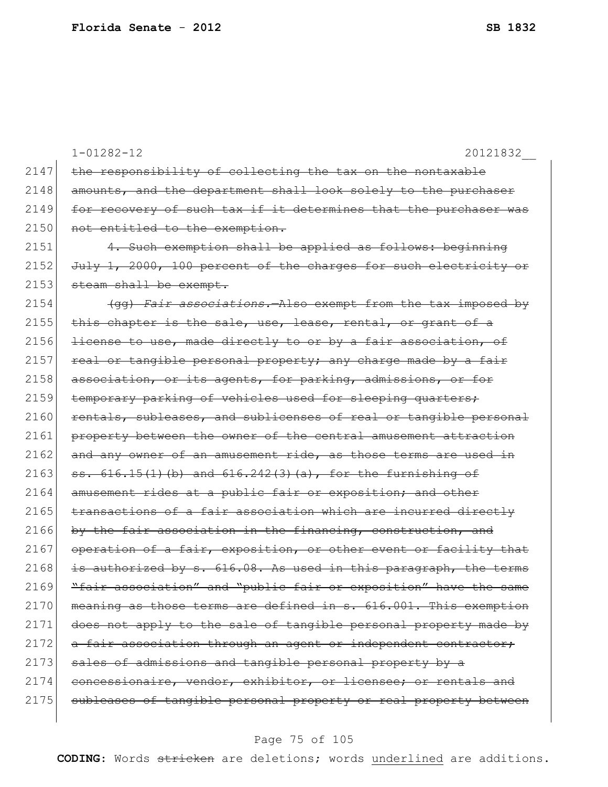|      | $1 - 01282 - 12$<br>20121832                                     |
|------|------------------------------------------------------------------|
| 2147 | the responsibility of collecting the tax on the nontaxable       |
| 2148 | amounts, and the department shall look solely to the purchaser   |
| 2149 | for recovery of such tax if it determines that the purchaser was |
| 2150 | not entitled to the exemption.                                   |
| 2151 | 4. Such exemption shall be applied as follows: beginning         |
| 2152 | July 1, 2000, 100 percent of the charges for such electricity or |
| 2153 | steam shall be exempt.                                           |
| 2154 | (qq) Fair associations. - Also exempt from the tax imposed by    |
| 2155 | this chapter is the sale, use, lease, rental, or grant of a      |
| 2156 | license to use, made directly to or by a fair association, of    |
| 2157 | real or tangible personal property; any charge made by a fair    |
| 2158 | association, or its agents, for parking, admissions, or for      |
| 2159 | temporary parking of vehicles used for sleeping quarters;        |
| 2160 | rentals, subleases, and sublicenses of real or tangible personal |
| 2161 | property between the owner of the central amusement attraction   |
| 2162 | and any owner of an amusement ride, as those terms are used in   |
| 2163 | $53.616.15(1)$ (b) and $616.242(3)$ (a), for the furnishing of   |
| 2164 | amusement rides at a public fair or exposition; and other        |
| 2165 | transactions of a fair association which are incurred directly   |
| 2166 | by the fair association in the financing, construction, and      |
| 2167 | operation of a fair, exposition, or other event or facility that |
| 2168 | authorized by s. 616.08. As used in this paragraph, the terms    |
| 2169 | "fair association" and "public fair or exposition" have the same |
| 2170 | meaning as those terms are defined in s. 616.001. This exemption |
| 2171 | does not apply to the sale of tangible personal property made by |
| 2172 | a fair association through an agent or independent contractor;   |
| 2173 | sales of admissions and tangible personal property by a          |
| 2174 | concessionaire, vendor, exhibitor, or licensee; or rentals and   |
| 2175 | subleases of tangible personal property or real property between |
|      |                                                                  |

# Page 75 of 105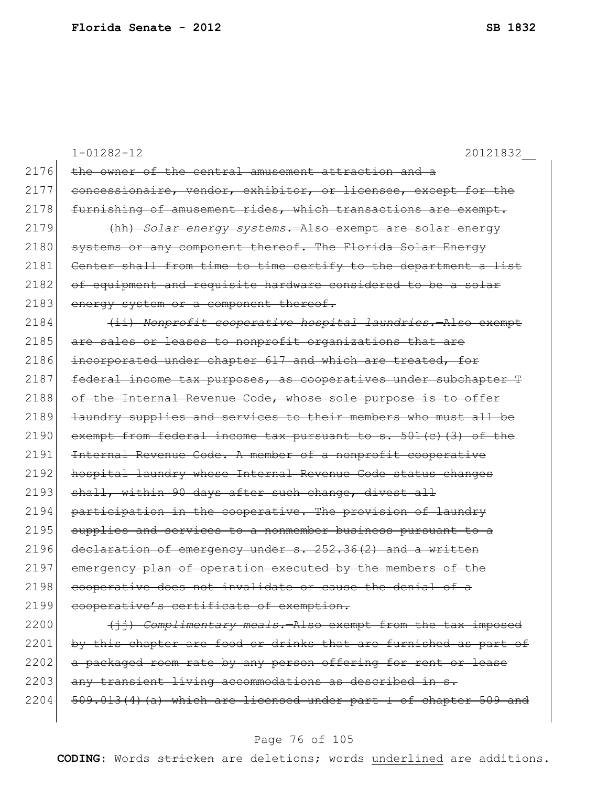|      | $1 - 01282 - 12$<br>20121832                                      |
|------|-------------------------------------------------------------------|
| 2176 | the owner of the central amusement attraction and a               |
| 2177 | concessionaire, vendor, exhibitor, or licensee, except for the    |
| 2178 | furnishing of amusement rides, which transactions are exempt.     |
| 2179 | (hh) Solar energy systems. Also exempt are solar energy           |
| 2180 | systems or any component thereof. The Florida Solar Energy        |
| 2181 | Center shall from time to time certify to the department a list   |
| 2182 | of equipment and requisite hardware considered to be a solar      |
| 2183 | energy system or a component thereof.                             |
| 2184 | (ii) Nonprofit cooperative hospital laundries. Also exempt        |
| 2185 | are sales or leases to nonprofit organizations that are           |
| 2186 | incorporated under chapter 617 and which are treated, for         |
| 2187 | federal income tax purposes, as cooperatives under subchapter T   |
| 2188 | of the Internal Revenue Code, whose sole purpose is to offer      |
| 2189 | laundry supplies and services to their members who must all be    |
| 2190 | exempt from federal income tax pursuant to s. $501(c)$ (3) of the |
| 2191 | Internal Revenue Code. A member of a nonprofit cooperative        |
| 2192 | hospital laundry whose Internal Revenue Code status changes       |
| 2193 | shall, within 90 days after such change, divest all               |
| 2194 | participation in the cooperative. The provision of laundry        |
| 2195 | supplies and services to a nonmember business pursuant to a       |
| 2196 | declaration of emergency under s. 252.36(2) and a written         |
| 2197 | emergency plan of operation executed by the members of the        |
| 2198 | <u>cooperative does not invalidate or cause the denial of a</u>   |
| 2199 | cooperative's certificate of exemption.                           |
| 2200 | (jj) Complimentary meals. Also exempt from the tax imposed        |
| 2201 | by this chapter are food or drinks that are furnished as part of  |
| 2202 | a packaged room rate by any person offering for rent or lease     |
| 2203 | any transient living accommodations as described in s.            |

 $2204$   $509.013(4)$  (a) which are licensed under part I of chapter 509 and

#### Page 76 of 105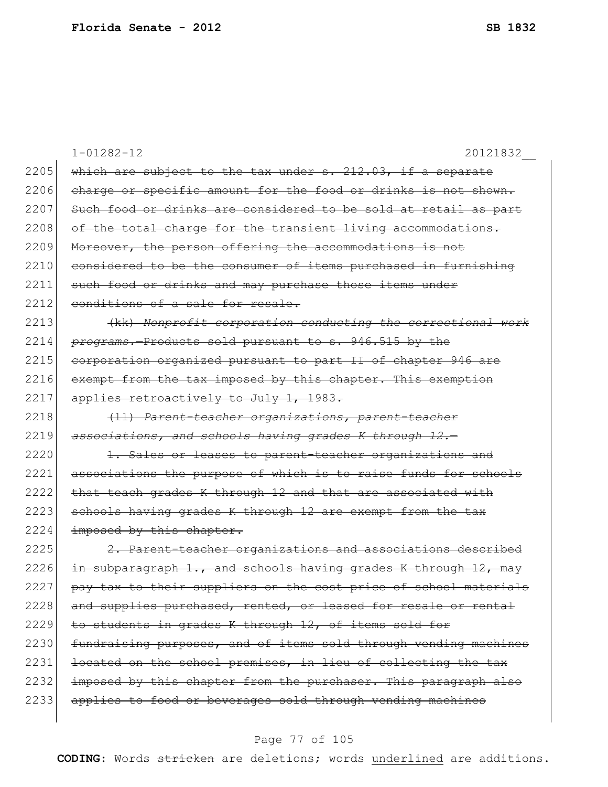|      | $1 - 01282 - 12$<br>20121832                                     |
|------|------------------------------------------------------------------|
| 2205 | which are subject to the tax under s. 212.03, if a separate      |
| 2206 | charge or specific amount for the food or drinks is not shown.   |
| 2207 | Such food or drinks are considered to be sold at retail as part  |
| 2208 | of the total charge for the transient living accommodations.     |
| 2209 | Moreover, the person offering the accommodations is not          |
| 2210 | considered to be the consumer of items purchased in furnishing   |
| 2211 | such food or drinks and may purchase those items under           |
| 2212 | conditions of a sale for resale.                                 |
| 2213 | (kk) Nonprofit corporation conducting the correctional work      |
| 2214 | programs. Products sold pursuant to s. 946.515 by the            |
| 2215 | corporation organized pursuant to part II of chapter 946 are     |
| 2216 | exempt from the tax imposed by this chapter. This exemption      |
| 2217 | applies retroactively to July 1, 1983.                           |
| 2218 | (11) Parent-teacher organizations, parent-teacher                |
| 2219 | associations, and schools having grades K through 12.-           |
| 2220 | 1. Sales or leases to parent-teacher organizations and           |
| 2221 | associations the purpose of which is to raise funds for schools  |
| 2222 | that teach grades K through 12 and that are associated with      |
| 2223 | schools having grades K through 12 are exempt from the tax       |
| 2224 | imposed by this chapter.                                         |
| 2225 | 2. Parent-teacher organizations and associations described       |
| 2226 | in subparagraph 1., and schools having grades K through 12, may  |
| 2227 | pay tax to their suppliers on the cost price of school materials |
| 2228 | and supplies purchased, rented, or leased for resale or rental   |
| 2229 | to students in grades K through 12, of items sold for            |
| 2230 | fundraising purposes, and of items sold through vending machines |
| 2231 | located on the school premises, in lieu of collecting the tax    |
| 2232 | imposed by this chapter from the purchaser. This paragraph also  |
| 2233 | applies to food or beverages sold through vending machines       |
|      |                                                                  |

# Page 77 of 105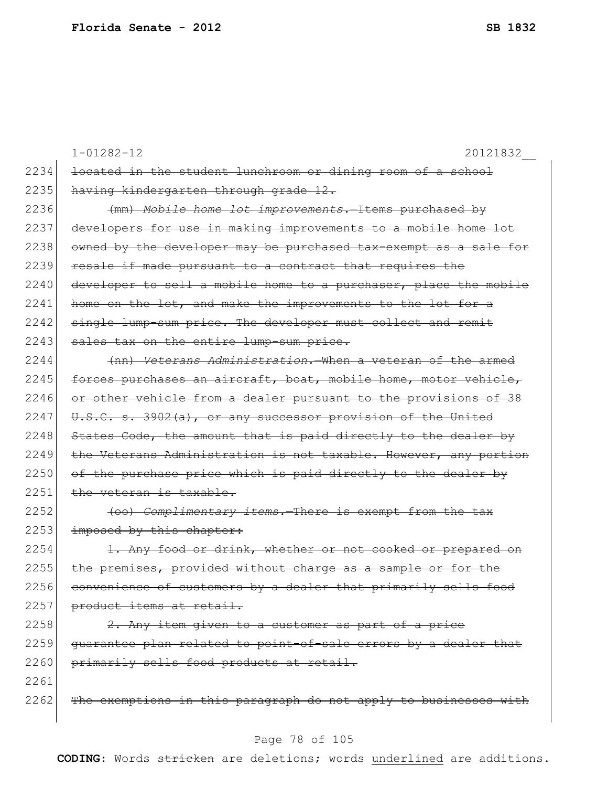|      | $1 - 01282 - 12$<br>20121832                                     |
|------|------------------------------------------------------------------|
| 2234 | located in the student lunchroom or dining room of a school      |
| 2235 | having kindergarten through grade 12.                            |
| 2236 | (mm) Mobile home lot improvements.-Items purchased by            |
| 2237 | developers for use in making improvements to a mobile home lot   |
| 2238 | owned by the developer may be purchased tax-exempt as a sale for |
| 2239 | resale if made pursuant to a contract that requires the          |
| 2240 | developer to sell a mobile home to a purchaser, place the mobile |
| 2241 | home on the lot, and make the improvements to the lot for a      |
| 2242 | single lump-sum price. The developer must collect and remit      |
| 2243 | sales tax on the entire lump-sum price.                          |
| 2244 | (nn) Veterans Administration. When a veteran of the armed        |
| 2245 | forces purchases an aircraft, boat, mobile home, motor vehicle,  |
| 2246 | or other vehicle from a dealer pursuant to the provisions of 38  |
| 2247 | U.S.C. s. 3902(a), or any successor provision of the United      |
| 2248 | States Code, the amount that is paid directly to the dealer by   |
| 2249 | the Veterans Administration is not taxable. However, any portion |
| 2250 | of the purchase price which is paid directly to the dealer by    |
| 2251 | the veteran is taxable.                                          |
| 2252 | (oo) Complimentary items. There is exempt from the tax           |
| 2253 | imposed by this chapter:                                         |
| 2254 | 1. Any food or drink, whether or not cooked or prepared on       |
| 2255 | the premises, provided without charge as a sample or for the     |
| 2256 | convenience of customers by a dealer that primarily sells food   |
| 2257 | product items at retail.                                         |
| 2258 | 2. Any item given to a customer as part of a price               |
| 2259 | guarantee plan related to point-of-sale errors by a dealer that  |
| 2260 | primarily sells food products at retail.                         |
| 2261 |                                                                  |
| 2262 | The exemptions in this paragraph do not apply to businesses with |
|      |                                                                  |

# Page 78 of 105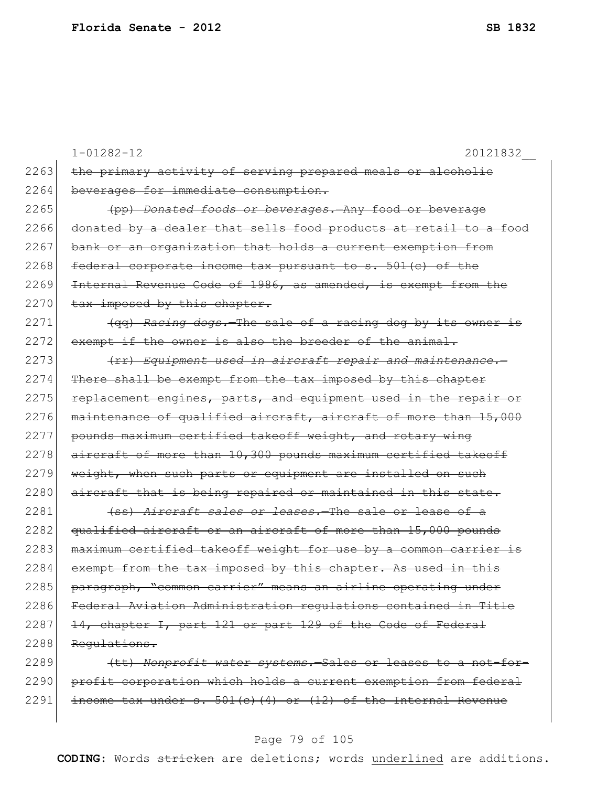|      | 20121832<br>$1 - 01282 - 12$                                     |
|------|------------------------------------------------------------------|
| 2263 | the primary activity of serving prepared meals or alcoholic      |
| 2264 | beverages for immediate consumption.                             |
| 2265 | (pp) Donated foods or beverages. Any food or beverage            |
| 2266 | donated by a dealer that sells food products at retail to a food |
| 2267 | bank or an organization that holds a current exemption from      |
| 2268 | federal corporate income tax pursuant to s. 501(c) of the        |
| 2269 | Internal Revenue Code of 1986, as amended, is exempt from the    |
| 2270 | tax imposed by this chapter.                                     |
| 2271 | (gg) Racing dogs.-The sale of a racing dog by its owner is       |
| 2272 | exempt if the owner is also the breeder of the animal.           |
| 2273 | (rr) Equipment used in aircraft repair and maintenance.-         |
| 2274 | There shall be exempt from the tax imposed by this chapter       |
| 2275 | replacement engines, parts, and equipment used in the repair or  |
| 2276 | maintenance of qualified aircraft, aircraft of more than 15,000  |
| 2277 | pounds maximum certified takeoff weight, and rotary wing         |
| 2278 | aircraft of more than 10,300 pounds maximum certified takeoff    |
| 2279 | weight, when such parts or equipment are installed on such       |
| 2280 | aircraft that is being repaired or maintained in this state.     |
| 2281 | (ss) Aircraft sales or leases. The sale or lease of a            |
| 2282 | qualified aircraft or an aircraft of more than 15,000 pounds     |
| 2283 | maximum certified takeoff weight for use by a common carrier is  |
| 2284 | exempt from the tax imposed by this chapter. As used in this     |
| 2285 | paragraph, "common carrier" means an airline operating under     |
| 2286 | Federal Aviation Administration regulations contained in Title   |
| 2287 | 14, chapter I, part 121 or part 129 of the Code of Federal       |
| 2288 | Requlations.                                                     |
| 2289 | (tt) Nonprofit water systems. Sales or leases to a not-for-      |
| 2290 | profit corporation which holds a current exemption from federal  |
| 2291 | income tax under $s. 501(e)$ (4) or (12) of the Internal Revenue |
|      |                                                                  |

# Page 79 of 105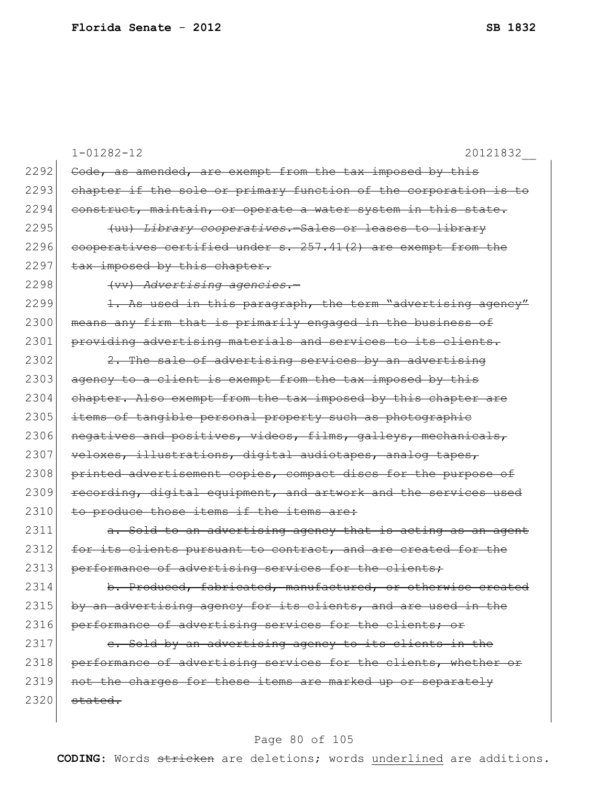|      | $1 - 01282 - 12$<br>20121832                                     |
|------|------------------------------------------------------------------|
| 2292 | Code, as amended, are exempt from the tax imposed by this        |
| 2293 | chapter if the sole or primary function of the corporation is to |
| 2294 | construct, maintain, or operate a water system in this state.    |
| 2295 | (uu) Library cooperatives. Sales or leases to library            |
| 2296 | cooperatives certified under s. 257.41(2) are exempt from the    |
| 2297 | tax imposed by this chapter.                                     |
| 2298 | (vv) Advertising agencies.-                                      |
| 2299 | 1. As used in this paragraph, the term "advertising agency"      |
| 2300 | means any firm that is primarily engaged in the business of      |
| 2301 | providing advertising materials and services to its clients.     |
| 2302 | 2. The sale of advertising services by an advertising            |
| 2303 | agency to a client is exempt from the tax imposed by this        |
| 2304 | chapter. Also exempt from the tax imposed by this chapter are    |
| 2305 | items of tangible personal property such as photographic         |
| 2306 | negatives and positives, videos, films, galleys, mechanicals,    |
| 2307 | veloxes, illustrations, digital audiotapes, analog tapes,        |
| 2308 | printed advertisement copies, compact discs for the purpose of   |
| 2309 | recording, digital equipment, and artwork and the services used  |
| 2310 | to produce those items if the items are:                         |
| 2311 | a. Sold to an advertising agency that is acting as an agent      |
| 2312 | for its clients pursuant to contract, and are created for the    |
| 2313 | performance of advertising services for the clients;             |
| 2314 | b. Produced, fabricated, manufactured, or otherwise created      |
| 2315 | by an advertising agency for its clients, and are used in the    |
| 2316 | performance of advertising services for the clients; or          |
| 2317 | e. Sold by an advertising agency to its clients in the           |
| 2318 | performance of advertising services for the clients, whether or  |
| 2319 | not the charges for these items are marked up or separately      |
| 2320 | stated.                                                          |
|      |                                                                  |

# Page 80 of 105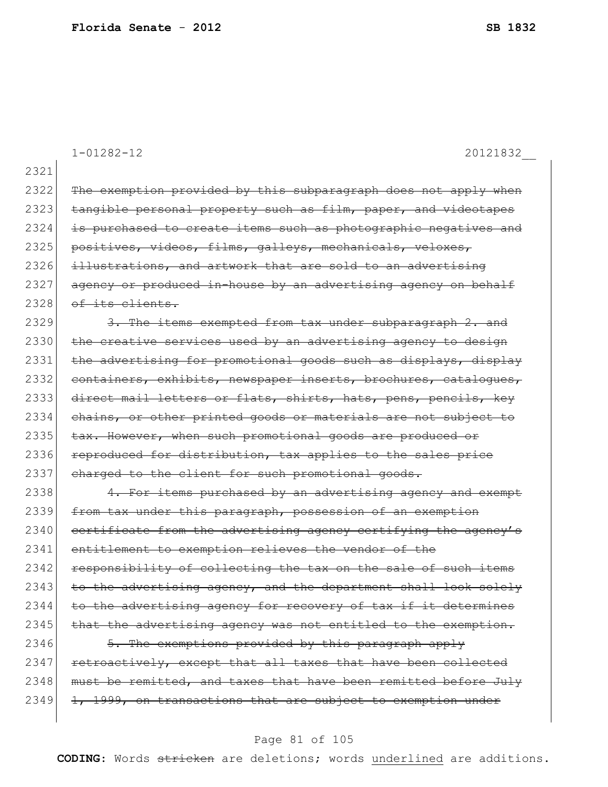1-01282-12 20121832\_\_

2321 2322 The exemption provided by this subparagraph does not apply when 2323 tangible personal property such as film, paper, and videotapes 2324 is purchased to create items such as photographic negatives and 2325 positives, videos, films, galleys, mechanicals, veloxes, 2326 illustrations, and artwork that are sold to an advertising 2327 agency or produced in-house by an advertising agency on behalf  $2328$  of its clients. 2329 3. The items exempted from tax under subparagraph 2. and 2330 the creative services used by an advertising agency to design 2331 the advertising for promotional goods such as displays, display 2332 containers, exhibits, newspaper inserts, brochures, catalogues, 2333 direct mail letters or flats, shirts, hats, pens, pencils, key 2334 chains, or other printed goods or materials are not subject to 2335 tax. However, when such promotional goods are produced or 2336 reproduced for distribution, tax applies to the sales price 2337 charged to the client for such promotional goods. 2338 4. For items purchased by an advertising agency and exempt 2339 from tax under this paragraph, possession of an exemption  $2340$  certificate from the advertising agency certifying the agency's 2341 entitlement to exemption relieves the vendor of the 2342 responsibility of collecting the tax on the sale of such items  $2343$  to the advertising agency, and the department shall look solely  $2344$  to the advertising agency for recovery of tax if it determines  $2345$  that the advertising agency was not entitled to the exemption. 2346 5. The exemptions provided by this paragraph apply 2347 retroactively, except that all taxes that have been collected 2348 must be remitted, and taxes that have been remitted before July  $2349$  1, 1999, on transactions that are subject to exemption under

#### Page 81 of 105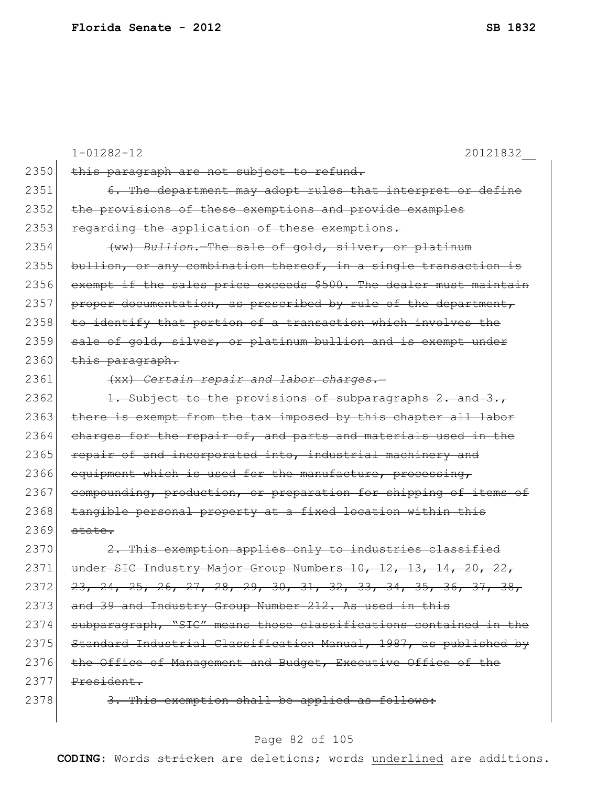$\overline{\phantom{a}}$ 

|      | $1 - 01282 - 12$<br>20121832                                                 |
|------|------------------------------------------------------------------------------|
| 2350 | this paragraph are not subject to refund.                                    |
| 2351 | 6. The department may adopt rules that interpret or define                   |
| 2352 | the provisions of these exemptions and provide examples                      |
| 2353 | regarding the application of these exemptions.                               |
| 2354 | (ww) Bullion. The sale of gold, silver, or platinum                          |
| 2355 | bullion, or any combination thereof, in a single transaction is              |
| 2356 | exempt if the sales price exceeds \$500. The dealer must maintain            |
| 2357 | proper documentation, as prescribed by rule of the department,               |
| 2358 | to identify that portion of a transaction which involves the                 |
| 2359 | sale of gold, silver, or platinum bullion and is exempt under                |
| 2360 | this paragraph.                                                              |
| 2361 | (xx) Certain repair and labor charges.-                                      |
| 2362 | 1. Subject to the provisions of subparagraphs 2. and 3.,                     |
| 2363 | there is exempt from the tax imposed by this chapter all labor               |
| 2364 | charges for the repair of, and parts and materials used in the               |
| 2365 | repair of and incorporated into, industrial machinery and                    |
| 2366 | equipment which is used for the manufacture, processing,                     |
| 2367 | compounding, production, or preparation for shipping of items of             |
| 2368 | tangible personal property at a fixed location within this                   |
| 2369 | state.                                                                       |
| 2370 | 2. This exemption applies only to industries classified                      |
| 2371 | SIC Industry Major Group Numbers 10, 12, 13, 14, 20, 22,<br><del>under</del> |
| 2372 | <del>23, 24, 25, 26, 27, 28, 29, 30, 31, 32, 33, 34, 35, 36, 37, 38,</del>   |
| 2373 | and 39 and Industry Group Number 212. As used in this                        |
| 2374 | subparagraph, "SIC" means those classifications contained in the             |
| 2375 | Standard Industrial Classification Manual, 1987, as published by             |
| 2376 | the Office of Management and Budget, Executive Office of the                 |
| 2377 | President.                                                                   |
| 2378 | 3. This exemption shall be applied as follows:                               |

# Page 82 of 105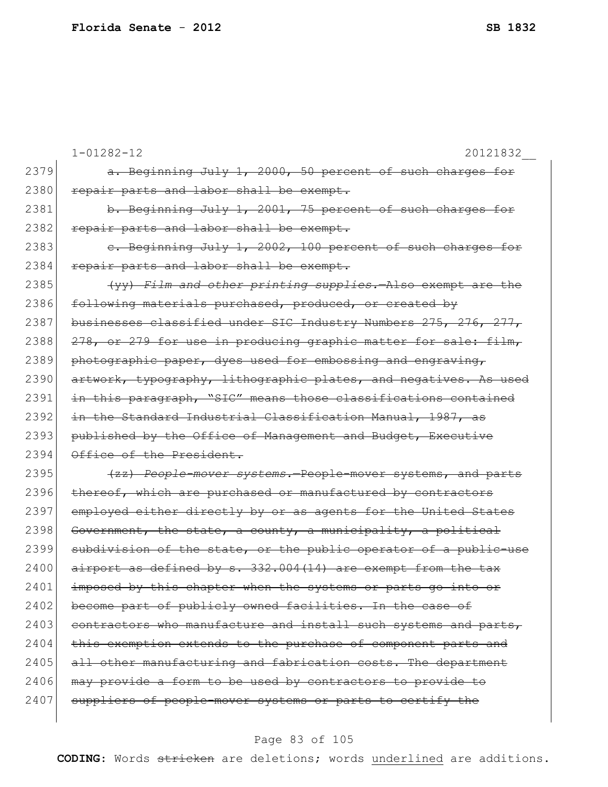|      | $1 - 01282 - 12$<br>20121832                                     |
|------|------------------------------------------------------------------|
| 2379 | a. Beginning July 1, 2000, 50 percent of such charges for        |
| 2380 | repair parts and labor shall be exempt.                          |
| 2381 | b. Beginning July 1, 2001, 75 percent of such charges for        |
| 2382 | repair parts and labor shall be exempt.                          |
| 2383 | e. Beginning July 1, 2002, 100 percent of such charges for       |
| 2384 | repair parts and labor shall be exempt.                          |
| 2385 | (yy) Film and other printing supplies. Also exempt are the       |
| 2386 | following materials purchased, produced, or created by           |
| 2387 | businesses classified under SIC Industry Numbers 275, 276, 277,  |
| 2388 | 278, or 279 for use in producing graphic matter for sale: film,  |
| 2389 | photographic paper, dyes used for embossing and engraving,       |
| 2390 | artwork, typography, lithographic plates, and negatives. As used |
| 2391 | in this paragraph, "SIC" means those classifications contained   |
| 2392 | in the Standard Industrial Classification Manual, 1987, as       |
| 2393 | published by the Office of Management and Budget, Executive      |
| 2394 | Office of the President.                                         |
| 2395 | (zz) People-mover systems. People-mover systems, and parts       |
| 2396 | thereof, which are purchased or manufactured by contractors      |
| 2397 | employed either directly by or as agents for the United States   |
| 2398 | Government, the state, a county, a municipality, a political     |
| 2399 | subdivision of the state, or the public operator of a public-use |
| 2400 | airport as defined by s. 332.004(14) are exempt from the tax     |
| 2401 | imposed by this chapter when the systems or parts go into or     |
| 2402 | become part of publicly owned facilities. In the case of         |
| 2403 | contractors who manufacture and install such systems and parts,  |
| 2404 | this exemption extends to the purchase of component parts and    |
| 2405 | all other manufacturing and fabrication costs. The department    |
| 2406 | may provide a form to be used by contractors to provide to       |
| 2407 | suppliers of people-mover systems or parts to certify the        |
|      |                                                                  |

# Page 83 of 105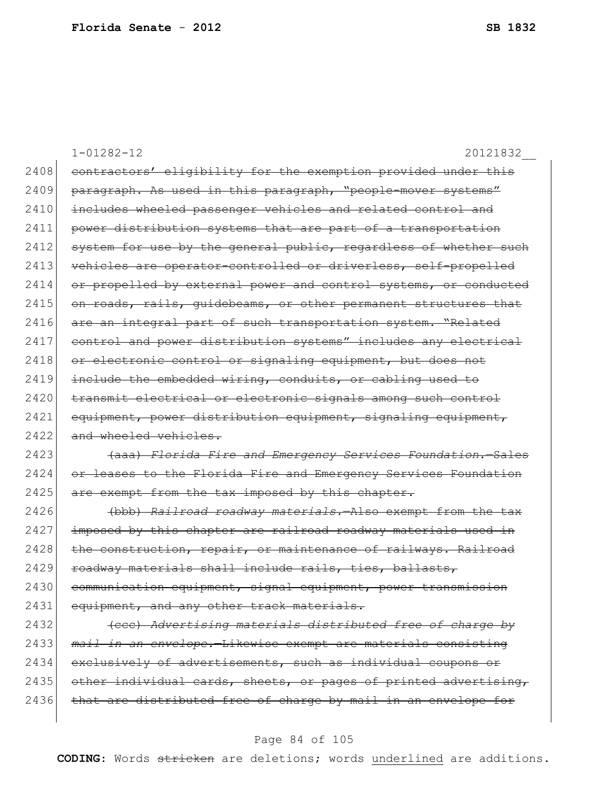1-01282-12 20121832\_\_ 2408 contractors' eligibility for the exemption provided under this 2409 paragraph. As used in this paragraph, "people-mover systems" 2410 includes wheeled passenger vehicles and related control and 2411 power distribution systems that are part of a transportation 2412 system for use by the general public, regardless of whether such 2413 vehicles are operator-controlled or driverless, self-propelled 2414 or propelled by external power and control systems, or conducted 2415 on roads, rails, quidebeams, or other permanent structures that 2416 are an integral part of such transportation system. "Related 2417 control and power distribution systems" includes any electrical 2418 or electronic control or signaling equipment, but does not 2419 include the embedded wiring, conduits, or cabling used to 2420 transmit electrical or electronic signals among such control 2421 equipment, power distribution equipment, signaling equipment, 2422 and wheeled vehicles. 2423 (aaa) *Florida Fire and Emergency Services Foundation.*—Sales 2424 or leases to the Florida Fire and Emergency Services Foundation 2425 are exempt from the tax imposed by this chapter. 2426 (bbb) *Railroad roadway materials.*—Also exempt from the tax  $2427$  imposed by this chapter are railroad roadway materials used in 2428 the construction, repair, or maintenance of railways. Railroad 2429 roadway materials shall include rails, ties, ballasts, 2430 communication equipment, signal equipment, power transmission 2431 equipment, and any other track materials. 2432 (ccc) *Advertising materials distributed free of charge by* 

2433 *mail in an envelope.*—Likewise exempt are materials consisting 2434 exclusively of advertisements, such as individual coupons or 2435 other individual cards, sheets, or pages of printed advertising, 2436 that are distributed free of charge by mail in an envelope for

#### Page 84 of 105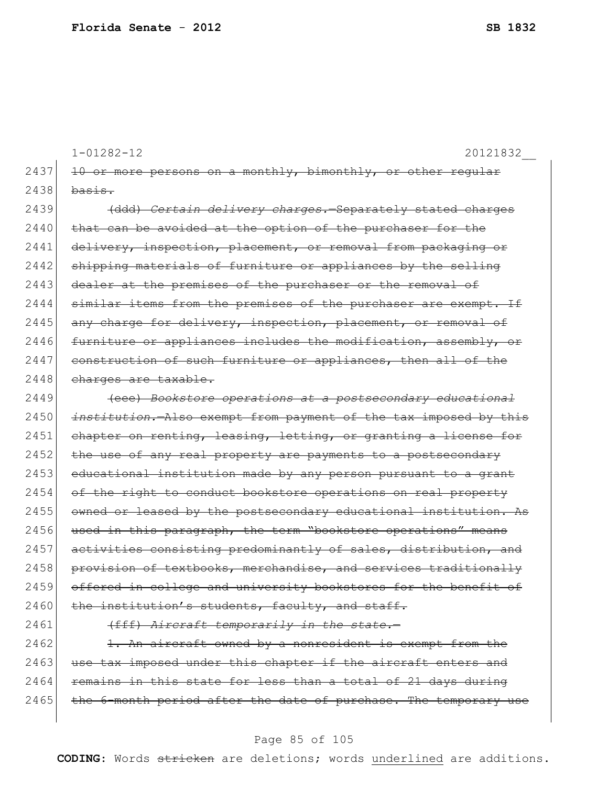|      | $1 - 01282 - 12$<br>20121832                                               |
|------|----------------------------------------------------------------------------|
| 2437 | 10 or more persons on a monthly, bimonthly, or other<br><del>reqular</del> |
| 2438 | <del>basis.</del>                                                          |
| 2439 | (ddd) Certain delivery charges.-Separately stated charges                  |
| 2440 | that can be avoided at the option of the purchaser for the                 |
| 2441 | delivery, inspection, placement, or removal from packaging or              |
| 2442 | shipping materials of furniture or appliances by the selling               |
| 2443 | dealer at the premises of the purchaser or the removal of                  |
| 2444 | similar items from the premises of the purchaser are exempt. If            |
| 2445 | any charge for delivery, inspection, placement, or removal of              |
| 2446 | furniture or appliances includes the modification, assembly, or            |
| 2447 | construction of such furniture or appliances, then all of the              |
| 2448 | charges are taxable.                                                       |
| 2449 | (eee) Bookstore operations at a postsecondary educational                  |
| 2450 | institution. Also exempt from payment of the tax imposed by this           |
| 2451 | chapter on renting, leasing, letting, or granting a license for            |
| 2452 | the use of any real property are payments to a postsecondary               |
| 2453 | educational institution made by any person pursuant to a grant             |
| 2454 | of the right to conduct bookstore operations on real property              |
| 2455 | owned or leased by the postsecondary educational institution. As           |
| 2456 | used in this paragraph, the term "bookstore operations" means              |
| 2457 | activities consisting predominantly of sales, distribution, and            |
| 2458 | provision of textbooks, merchandise, and services traditionally            |
| 2459 | offered in college and university bookstores for the benefit of            |
| 2460 | the institution's students, faculty, and staff.                            |
| 2461 | (fff) Aircraft temporarily in the state.-                                  |
| 2462 | 1. An aircraft owned by a nonresident is exempt from the                   |
| 2463 | use tax imposed under this chapter if the aircraft enters and              |
| 2464 | remains in this state for less than a total of 21 days during              |

# Page 85 of 105

2465 the 6-month period after the date of purchase. The temporary use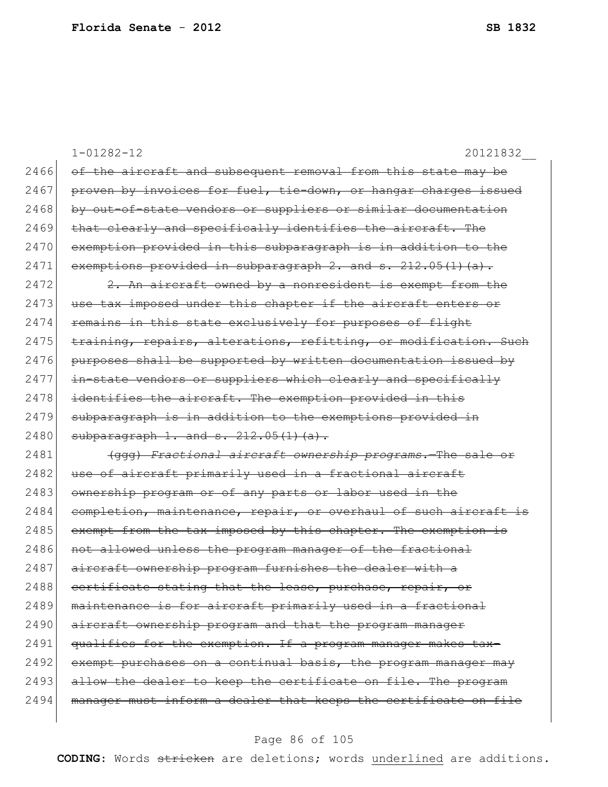|      | $1 - 01282 - 12$<br>20121832                                     |
|------|------------------------------------------------------------------|
| 2466 | of the aircraft and subsequent removal from this state may be    |
| 2467 | proven by invoices for fuel, tie-down, or hangar charges issued  |
| 2468 | by out-of-state vendors or suppliers or similar documentation    |
| 2469 | that clearly and specifically identifies the aircraft. The       |
| 2470 | exemption provided in this subparagraph is in addition to the    |
| 2471 | exemptions provided in subparagraph 2. and s. $212.05(1)(a)$ .   |
| 2472 | 2. An aircraft owned by a nonresident is exempt from the         |
| 2473 | use tax imposed under this chapter if the aircraft enters or     |
| 2474 | remains in this state exclusively for purposes of flight         |
| 2475 | training, repairs, alterations, refitting, or modification. Such |
| 2476 | purposes shall be supported by written documentation issued by   |
| 2477 | in-state vendors or suppliers which clearly and specifically     |
| 2478 | identifies the aircraft. The exemption provided in this          |
| 2479 | subparagraph is in addition to the exemptions provided in        |
| 2480 | subparagraph $1.$ and $s.$ $212.05(1)(a)$ .                      |
| 2481 | (ggg) Fractional aircraft ownership programs. The sale or        |
| 2482 | use of aircraft primarily used in a fractional aircraft          |
| 2483 | ownership program or of any parts or labor used in the           |
| 2484 | completion, maintenance, repair, or overhaul of such aircraft is |
| 2485 | exempt from the tax imposed by this chapter. The exemption is    |
| 2486 | not allowed unless the program manager of the fractional         |
| 2487 | aircraft ownership program furnishes the dealer with a           |
| 2488 | certificate stating that the lease, purchase, repair, or         |
| 2489 | maintenance is for aircraft primarily used in a fractional       |
| 2490 | aircraft ownership program and that the program manager          |
| 2491 | qualifies for the exemption. If a program manager makes tax-     |
| 2492 | exempt purchases on a continual basis, the program manager may   |
| 2493 | allow the dealer to keep the certificate on file. The program    |
| 2494 | manager must inform a dealer that keeps the certificate on file  |
|      |                                                                  |

# Page 86 of 105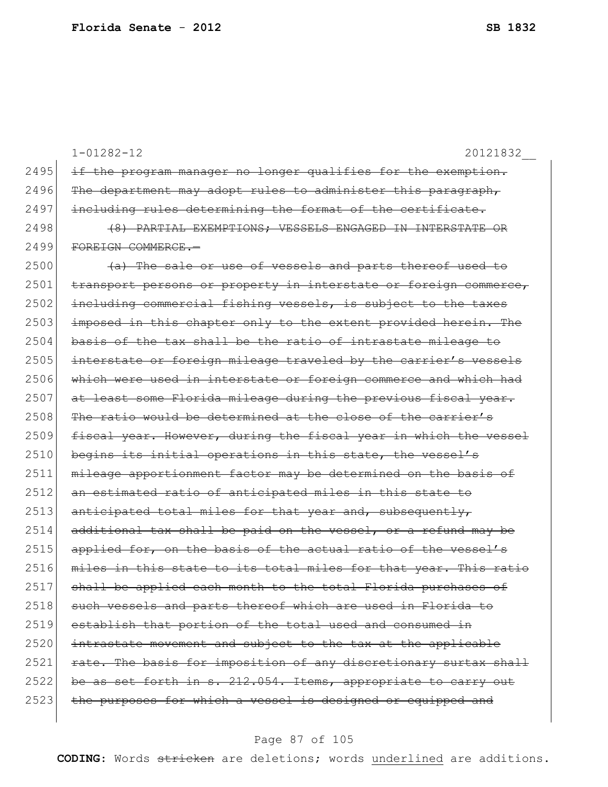|      | $1 - 01282 - 12$<br>20121832                                     |
|------|------------------------------------------------------------------|
| 2495 | if the program manager no longer qualifies for the exemption.    |
| 2496 | The department may adopt rules to administer this paragraph,     |
| 2497 | including rules determining the format of the certificate.       |
| 2498 | (8) PARTIAL EXEMPTIONS: VESSELS ENGAGED IN INTERSTATE OR         |
| 2499 | FOREIGN COMMERCE.-                                               |
| 2500 | (a) The sale or use of vessels and parts thereof used to         |
| 2501 | transport persons or property in interstate or foreign commerce, |
| 2502 | including commercial fishing vessels, is subject to the taxes    |
| 2503 | imposed in this chapter only to the extent provided herein. The  |
| 2504 | basis of the tax shall be the ratio of intrastate mileage to     |
| 2505 | interstate or foreign mileage traveled by the carrier's vessels  |
| 2506 | which were used in interstate or foreign commerce and which had  |
| 2507 | at least some Florida mileage during the previous fiscal year.   |
| 2508 | The ratio would be determined at the close of the carrier's      |
| 2509 | fiscal year. However, during the fiscal year in which the vessel |
| 2510 | begins its initial operations in this state, the vessel's        |
| 2511 | mileage apportionment factor may be determined on the basis of   |
| 2512 | an estimated ratio of anticipated miles in this state to         |
| 2513 | anticipated total miles for that year and, subsequently,         |
| 2514 | additional tax shall be paid on the vessel, or a refund may be   |
| 2515 | applied for, on the basis of the actual ratio of the vessel's    |
| 2516 | miles in this state to its total miles for that<br>vear.         |
| 2517 | shall be applied each month to the total Florida purchases of    |
| 2518 | such vessels and parts thereof which are used in Florida to      |
| 2519 | establish that portion of the total used and consumed in         |
| 2520 | intrastate movement and subject to the tax at the applicable     |
| 2521 | rate. The basis for imposition of any discretionary surtax shall |
| 2522 | be as set forth in s. 212.054. Items, appropriate to carry out   |
| 2523 | the purposes for which a vessel is designed or equipped and      |
|      |                                                                  |

# Page 87 of 105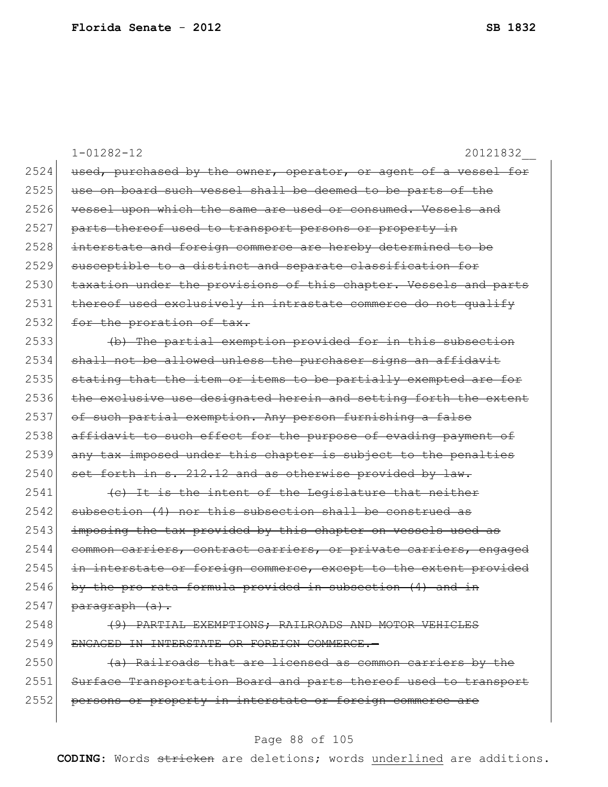|      | $1 - 01282 - 12$<br>20121832                                           |
|------|------------------------------------------------------------------------|
| 2524 | used, purchased by the owner, operator, or agent of a vessel for       |
| 2525 | use on board such vessel shall be deemed to be parts of the            |
| 2526 | vessel upon which the same are used or consumed. Vessels and           |
| 2527 | parts thereof used to transport persons or property in                 |
| 2528 | interstate and foreign commerce are hereby determined to be            |
| 2529 | susceptible to a distinct and separate classification for              |
| 2530 | taxation under the provisions of this chapter. Vessels and parts       |
| 2531 | thereof used exclusively in intrastate commerce do not qualify         |
| 2532 | for the proration of tax.                                              |
| 2533 | (b) The partial exemption provided for in this subsection              |
| 2534 | shall not be allowed unless the purchaser signs an affidavit           |
| 2535 | stating that the item or items to be partially exempted are for        |
| 2536 | the exclusive use designated herein and setting forth the extent       |
| 2537 | of such partial exemption. Any person furnishing a false               |
| 2538 | affidavit to such effect for the purpose of evading payment of         |
| 2539 | any tax imposed under this chapter is subject to the penalties         |
| 2540 | set forth in s. 212.12 and as otherwise provided by law.               |
| 2541 | (c) It is the intent of the Legislature that neither                   |
| 2542 | subsection (4) nor this subsection shall be construed as               |
| 2543 | imposing the tax provided by this chapter on vessels used as           |
| 2544 | common carriers, contract carriers, or private carriers, engaged       |
| 2545 | interstate or foreign commerce, except to the extent provided<br>$+n-$ |
| 2546 | by the pro rata formula provided in subsection (4) and in              |
| 2547 | paragraph (a).                                                         |
| 2548 | (9) PARTIAL EXEMPTIONS; RAILROADS AND MOTOR VEHICLES                   |
| 2549 | ENGAGED IN INTERSTATE OR FOREIGN COMMERCE.-                            |
| 2550 | (a) Railroads that are licensed as common carriers by the              |
| 2551 | Surface Transportation Board and parts thereof used to transport       |
| 2552 | persons or property in interstate or foreign commerce are              |
|      |                                                                        |

# Page 88 of 105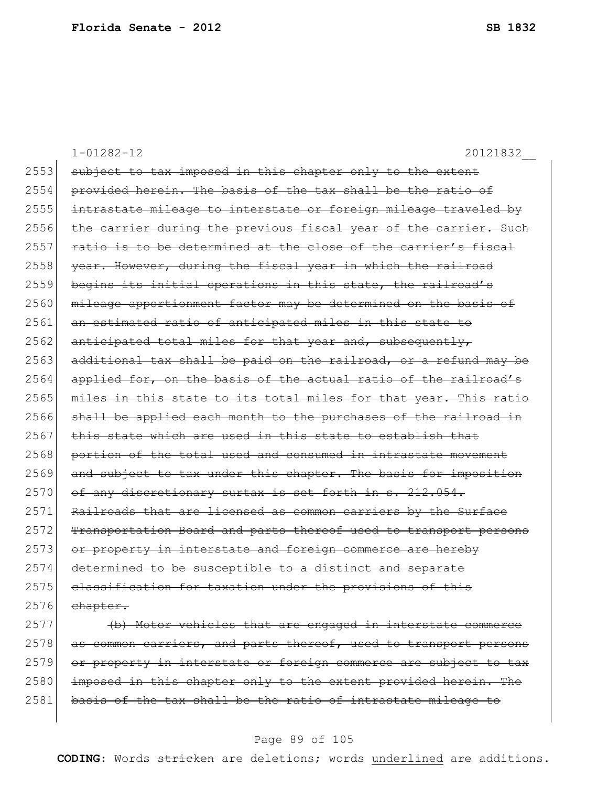|      | $1 - 01282 - 12$<br>20121832                                     |
|------|------------------------------------------------------------------|
| 2553 | subject to tax imposed in this chapter only to the extent        |
| 2554 | provided herein. The basis of the tax shall be the ratio of      |
| 2555 | intrastate mileage to interstate or foreign mileage traveled by  |
| 2556 | the carrier during the previous fiscal year of the carrier. Such |
| 2557 | ratio is to be determined at the close of the carrier's fiscal   |
| 2558 | year. However, during the fiscal year in which the railroad      |
| 2559 | begins its initial operations in this state, the railroad's      |
| 2560 | mileage apportionment factor may be determined on the basis of   |
| 2561 | an estimated ratio of anticipated miles in this state to         |
| 2562 | anticipated total miles for that year and, subsequently,         |
| 2563 | additional tax shall be paid on the railroad, or a refund may be |
| 2564 | applied for, on the basis of the actual ratio of the railroad's  |
| 2565 | miles in this state to its total miles for that year. This ratio |
| 2566 | shall be applied each month to the purchases of the railroad in  |
| 2567 | this state which are used in this state to establish that        |
| 2568 | portion of the total used and consumed in intrastate movement    |
| 2569 | and subject to tax under this chapter. The basis for imposition  |
| 2570 | of any discretionary surtax is set forth in s. 212.054.          |
| 2571 | Railroads that are licensed as common carriers by the Surface    |
| 2572 | Transportation Board and parts thereof used to transport persons |
| 2573 | or property in interstate and foreign commerce are hereby        |
| 2574 | determined to be susceptible to a distinct and separate          |
| 2575 | classification for taxation under the provisions of this         |
| 2576 | chapter.                                                         |
| 2577 | (b) Motor vehicles that are engaged in interstate commerce       |

2578 as common carriers, and parts thereof, used to transport persons 2579 or property in interstate or foreign commerce are subject to tax 2580 imposed in this chapter only to the extent provided herein. The basis of the tax shall be the ratio of intrastate mileage to

#### Page 89 of 105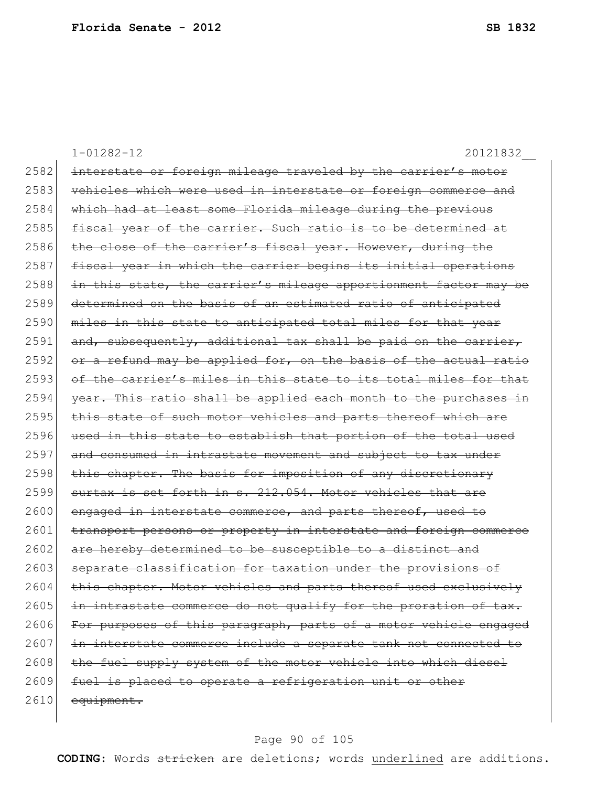|      | $1 - 01282 - 12$<br>20121832                                     |
|------|------------------------------------------------------------------|
| 2582 | interstate or foreign mileage traveled by the carrier's motor    |
| 2583 | vehicles which were used in interstate or foreign commerce and   |
| 2584 | which had at least some Florida mileage during the previous      |
| 2585 | fiscal year of the carrier. Such ratio is to be determined at    |
| 2586 | the close of the carrier's fiscal year. However, during the      |
| 2587 | fiscal year in which the carrier begins its initial operations   |
| 2588 | in this state, the carrier's mileage apportionment factor may be |
| 2589 | determined on the basis of an estimated ratio of anticipated     |
| 2590 | miles in this state to anticipated total miles for that year     |
| 2591 | and, subsequently, additional tax shall be paid on the carrier,  |
| 2592 | or a refund may be applied for, on the basis of the actual ratio |
| 2593 | of the carrier's miles in this state to its total miles for that |
| 2594 | year. This ratio shall be applied each month to the purchases in |
| 2595 | this state of such motor vehicles and parts thereof which are    |
| 2596 | used in this state to establish that portion of the total used   |
| 2597 | and consumed in intrastate movement and subject to tax under     |
| 2598 | this chapter. The basis for imposition of any discretionary      |
| 2599 | surtax is set forth in s. 212.054. Motor vehicles that are       |
| 2600 | engaged in interstate commerce, and parts thereof, used to       |
| 2601 | transport persons or property in interstate and foreign commerce |
| 2602 | are hereby determined to be susceptible to a distinct and        |
| 2603 | separate classification for taxation under the provisions of     |
| 2604 | this chapter. Motor vehicles and parts thereof used exclusively  |
| 2605 | in intrastate commerce do not qualify for the proration of tax.  |
| 2606 | For purposes of this paragraph, parts of a motor vehicle engaged |
| 2607 | in interstate commerce include a separate tank not connected to  |
| 2608 | the fuel supply system of the motor vehicle into which diesel    |
| 2609 | fuel is placed to operate a refrigeration unit or other          |
| 2610 | equipment.                                                       |
|      |                                                                  |

# Page 90 of 105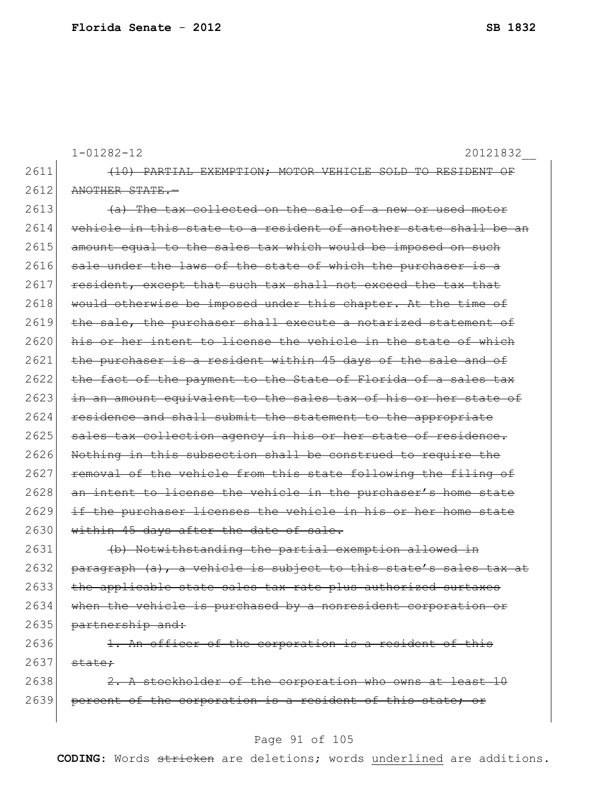|      | $1 - 01282 - 12$<br>20121832                                     |
|------|------------------------------------------------------------------|
| 2611 | (10) PARTIAL EXEMPTION; MOTOR VEHICLE SOLD TO RESIDENT OF        |
| 2612 | ANOTHER STATE.-                                                  |
| 2613 | (a) The tax collected on the sale of a new or used motor         |
| 2614 | vehicle in this state to a resident of another state shall be an |
| 2615 | amount equal to the sales tax which would be imposed on such     |
| 2616 | sale under the laws of the state of which the purchaser is a     |
| 2617 | resident, except that such tax shall not exceed the tax that     |
| 2618 | would otherwise be imposed under this chapter. At the time of    |
| 2619 | the sale, the purchaser shall execute a notarized statement of   |
| 2620 | his or her intent to license the vehicle in the state of which   |
| 2621 | the purchaser is a resident within 45 days of the sale and of    |
| 2622 | the fact of the payment to the State of Florida of a sales tax   |
| 2623 | in an amount equivalent to the sales tax of his or her state of  |
| 2624 | residence and shall submit the statement to the appropriate      |
| 2625 | sales tax collection agency in his or her state of residence.    |
| 2626 | Nothing in this subsection shall be construed to require the     |
| 2627 | removal of the vehicle from this state following the filing of   |
| 2628 | an intent to license the vehicle in the purchaser's home state   |
| 2629 | if the purchaser licenses the vehicle in his or her home state   |
| 2630 | within 45 days after the date of sale.                           |
| 2631 | (b) Notwithstanding the partial exemption allowed in             |
| 2632 | paragraph (a), a vehicle is subject to this state's sales tax at |
| 2633 | the applicable state sales tax rate plus authorized surtaxes     |
| 2634 | when the vehicle is purchased by a nonresident corporation or    |
| 2635 | partnership and:                                                 |
| 2636 | 1. An officer of the corporation is a resident of this           |
| 2637 | state:                                                           |
| 2638 | 2. A stockholder of the corporation who owns at least 10         |
| 2639 | percent of the corporation is a resident of this state; or       |
|      |                                                                  |

# Page 91 of 105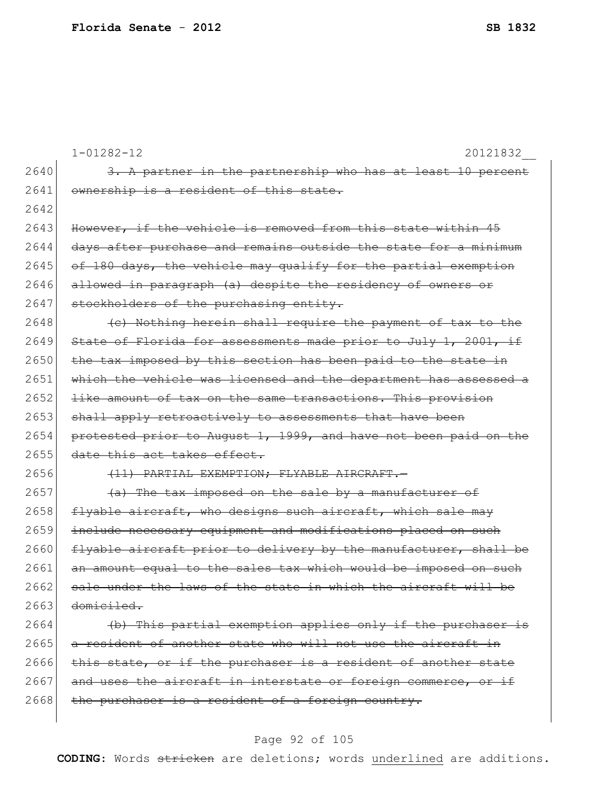|      | $1 - 01282 - 12$<br>20121832                                          |
|------|-----------------------------------------------------------------------|
| 2640 | 3. A partner in the partnership who has at least 10 percent           |
| 2641 | ownership is a resident of this state.                                |
| 2642 |                                                                       |
| 2643 | However, if the vehicle is removed from this state within 45          |
| 2644 | days after purchase and remains outside the state for a minimum       |
| 2645 | of 180 days, the vehicle may qualify for the partial exemption        |
| 2646 | allowed in paragraph (a) despite the residency of owners or           |
| 2647 | stockholders of the purchasing entity.                                |
| 2648 | (c) Nothing herein shall require the payment of tax to the            |
| 2649 | State of Florida for assessments made prior to July 1, 2001, if       |
| 2650 | the tax imposed by this section has been paid to the state in         |
| 2651 | which the vehicle was licensed and the department has assessed a      |
| 2652 | like amount of tax on the same transactions. This provision           |
| 2653 | shall apply retroactively to assessments that have been               |
| 2654 | protested prior to August 1, 1999, and have not been paid on the      |
| 2655 | date this act takes effect.                                           |
| 2656 | (11) PARTIAL EXEMPTION; FLYABLE AIRCRAFT.                             |
| 2657 | (a) The tax imposed on the sale by a manufacturer of                  |
| 2658 | flyable aircraft, who designs such aircraft, which sale may           |
| 2659 | include necessary equipment and modifications placed on such          |
| 2660 | flyable aircraft prior to delivery by the manufacturer, shall be      |
| 2661 | an amount equal to the sales tax which would be imposed on such       |
| 2662 | <u>sale under the laws of the state in which the aircraft will be</u> |
| 2663 | domiciled.                                                            |
| 2664 | (b) This partial exemption applies only if the purchaser is           |
| 2665 | a resident of another state who will not use the aircraft in          |
| 2666 | this state, or if the purchaser is a resident of another state        |
| 2667 | and uses the aircraft in interstate or foreign commerce, or if        |
| 2668 | the purchaser is a resident of a foreign country.                     |
|      |                                                                       |

# Page 92 of 105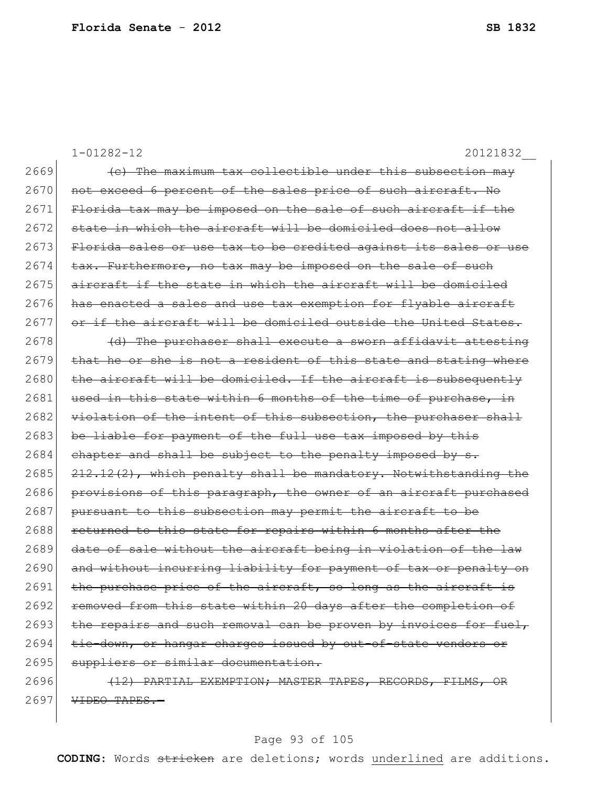1-01282-12 20121832\_\_  $2669$  (c) The maximum tax collectible under this subsection may 2670 not exceed 6 percent of the sales price of such aircraft. No 2671 Florida tax may be imposed on the sale of such aircraft if the  $2672$  state in which the aircraft will be domiciled does not allow 2673 Florida sales or use tax to be credited against its sales or use  $2674$  tax. Furthermore, no tax may be imposed on the sale of such  $2675$  aircraft if the state in which the aircraft will be domiciled 2676 has enacted a sales and use tax exemption for flyable aircraft 2677 or if the aircraft will be domiciled outside the United States.  $2678$  (d) The purchaser shall execute a sworn affidavit attesting  $2679$  that he or she is not a resident of this state and stating where  $2680$  the aircraft will be domiciled. If the aircraft is subsequently 2681 used in this state within 6 months of the time of purchase, in 2682 violation of the intent of this subsection, the purchaser shall 2683 be liable for payment of the full use tax imposed by this  $2684$  chapter and shall be subject to the penalty imposed by s. 2685 212.12(2), which penalty shall be mandatory. Notwithstanding the 2686 provisions of this paragraph, the owner of an aircraft purchased  $2687$  pursuant to this subsection may permit the aircraft to be 2688 returned to this state for repairs within 6 months after the 2689 date of sale without the aircraft being in violation of the law 2690 and without incurring liability for payment of tax or penalty on  $2691$  the purchase price of the aircraft, so long as the aircraft is 2692 removed from this state within 20 days after the completion of 2693 the repairs and such removal can be proven by invoices for fuel, 2694 tie-down, or hangar charges issued by out-of-state vendors or 2695 suppliers or similar documentation. 2696 **(12) PARTIAL EXEMPTION; MASTER TAPES, RECORDS, FILMS, OR**  $2697$  VIDEO TAPES.

#### Page 93 of 105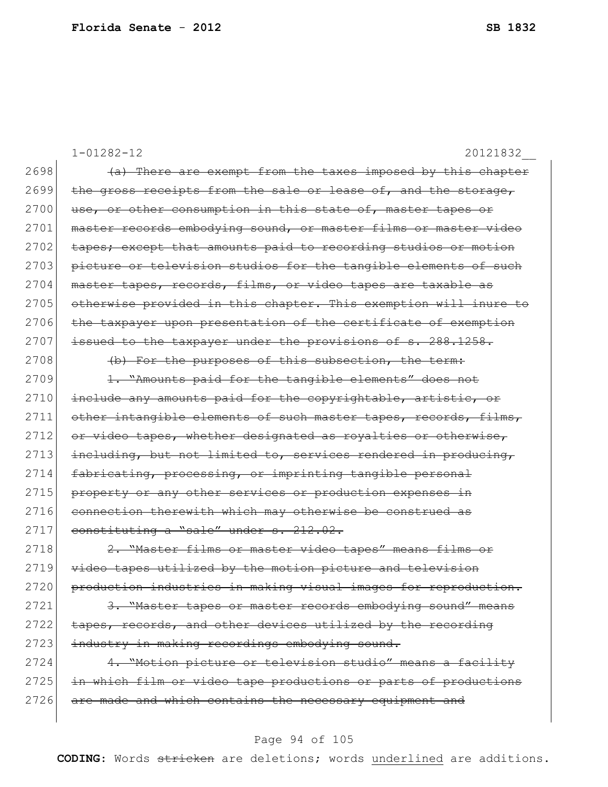1-01282-12 20121832\_\_  $2698$  (a) There are exempt from the taxes imposed by this chapter 2699 the gross receipts from the sale or lease of, and the storage, 2700 use, or other consumption in this state of, master tapes or 2701 master records embodying sound, or master films or master video 2702 tapes; except that amounts paid to recording studios or motion 2703 picture or television studios for the tangible elements of such 2704 master tapes, records, films, or video tapes are taxable as 2705 otherwise provided in this chapter. This exemption will inure to 2706 the taxpayer upon presentation of the certificate of exemption 2707 issued to the taxpayer under the provisions of s. 288.1258. 2708 (b) For the purposes of this subsection, the term: 2709 1. "Amounts paid for the tangible elements" does not 2710 include any amounts paid for the copyrightable, artistic, or 2711 other intangible elements of such master tapes, records, films, 2712 or video tapes, whether designated as royalties or otherwise, 2713 including, but not limited to, services rendered in producing, 2714 fabricating, processing, or imprinting tangible personal 2715 property or any other services or production expenses in 2716 connection therewith which may otherwise be construed as 2717 constituting a "sale" under s. 212.02. 2718 2. "Master films or master video tapes" means films or 2719 video tapes utilized by the motion picture and television 2720 production industries in making visual images for reproduction. 2721 3. "Master tapes or master records embodying sound" means  $2722$  tapes, records, and other devices utilized by the recording 2723 industry in making recordings embodying sound. 2724 4. "Motion picture or television studio" means a facility 2725 in which film or video tape productions or parts of productions 2726 are made and which contains the necessary equipment and

#### Page 94 of 105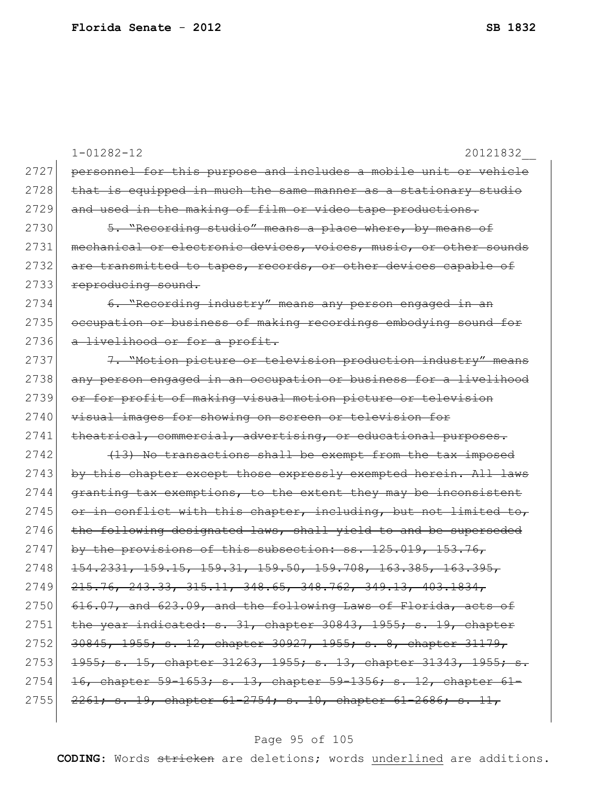|      | $1 - 01282 - 12$<br>20121832                                     |
|------|------------------------------------------------------------------|
| 2727 | personnel for this purpose and includes a mobile unit or vehicle |
| 2728 | that is equipped in much the same manner as a stationary studio  |
| 2729 | and used in the making of film or video tape productions.        |
| 2730 | 5. "Recording studio" means a place where, by means of           |
| 2731 | mechanical or electronic devices, voices, music, or other sounds |
| 2732 | are transmitted to tapes, records, or other devices capable of   |
| 2733 | reproducing sound.                                               |
| 2734 | 6. "Recording industry" means any person engaged in an           |
| 2735 | occupation or business of making recordings embodying sound for  |
| 2736 | a livelihood or for a profit.                                    |
| 2737 | 7. "Motion picture or television production industry" means      |
| 2738 | any person engaged in an occupation or business for a livelihood |
| 2739 | or for profit of making visual motion picture or television      |
| 2740 | visual images for showing on screen or television for            |
| 2741 | theatrical, commercial, advertising, or educational purposes.    |
| 2742 | (13) No transactions shall be exempt from the tax imposed        |
| 2743 | by this chapter except those expressly exempted herein. All laws |
| 2744 | granting tax exemptions, to the extent they may be inconsistent  |
| 2745 | or in conflict with this chapter, including, but not limited to, |
| 2746 | the following designated laws, shall yield to and be superseded  |
| 2747 | by the provisions of this subsection: $ss.$ 125.019, 153.76,     |
| 2748 | $154.2331, 159.15, 159.31, 159.50, 159.708, 163.385, 163.395,$   |
| 2749 | 215.76, 243.33, 315.11, 348.65, 348.762, 349.13, 403.1834,       |
| 2750 | 616.07, and 623.09, and the following Laws of Florida, acts of   |
| 2751 | the year indicated: s. 31, chapter 30843, 1955; s. 19, chapter   |
| 2752 | 30845, 1955; s. 12, chapter 30927, 1955; s. 8, chapter 31179,    |
| 2753 | 1955; s. 15, chapter 31263, 1955; s. 13, chapter 31343, 1955; s. |
| 2754 | 16, chapter 59-1653; s. 13, chapter 59-1356; s. 12, chapter 61-  |
| 2755 | 2261; s. 19, chapter 61-2754; s. 10, chapter 61-2686; s. 11,     |
|      |                                                                  |

# Page 95 of 105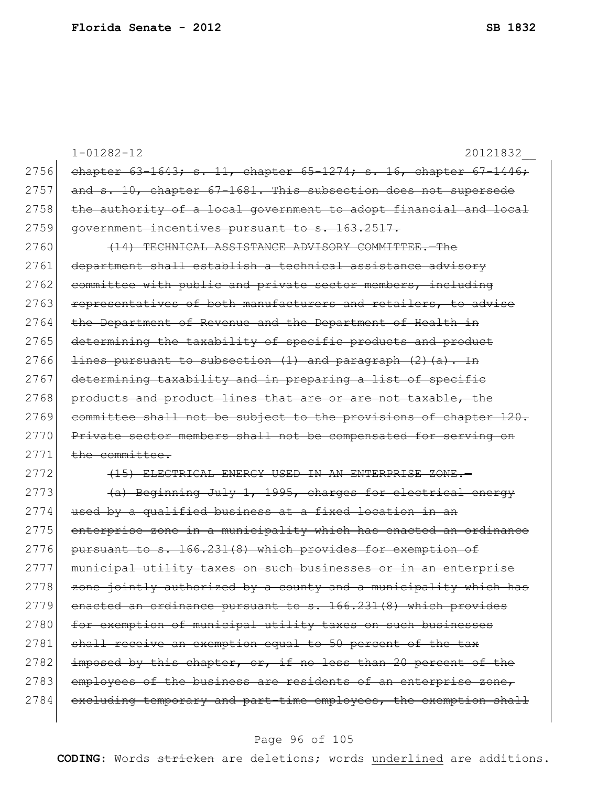|      | $1 - 01282 - 12$<br>20121832                                              |
|------|---------------------------------------------------------------------------|
| 2756 | chapter $63-1643$ ; s. 11, chapter $65-1274$ ; s. 16, chapter $67-1446$ ; |
| 2757 | and s. 10, chapter 67-1681. This subsection does not supersede            |
| 2758 | the authority of a local government to adopt financial and local          |
| 2759 | government incentives pursuant to s. 163.2517.                            |
| 2760 | (14) TECHNICAL ASSISTANCE ADVISORY COMMITTEE.-The                         |
| 2761 | department shall establish a technical assistance advisory                |
| 2762 | committee with public and private sector members, including               |
| 2763 | representatives of both manufacturers and retailers, to advise            |
| 2764 | the Department of Revenue and the Department of Health in                 |
| 2765 | determining the taxability of specific products and product               |
| 2766 | lines pursuant to subsection (1) and paragraph (2) (a). In                |
| 2767 | determining taxability and in preparing a list of specific                |
| 2768 | products and product lines that are or are not taxable, the               |
| 2769 | committee shall not be subject to the provisions of chapter 120.          |
| 2770 | Private sector members shall not be compensated for serving on            |
| 2771 | the committee.                                                            |
| 2772 | (15) ELECTRICAL ENERGY USED IN AN ENTERPRISE ZONE.-                       |
| 2773 | (a) Beginning July 1, 1995, charges for electrical energy                 |
| 2774 | used by a qualified business at a fixed location in an                    |
| 2775 | enterprise zone in a municipality which has enacted an ordinance          |
| 2776 | pursuant to s. 166.231(8) which provides for exemption of                 |
| 2777 | municipal utility taxes on such businesses or in an enterprise            |
| 2778 | zone jointly authorized by a county and a municipality which has          |
| 2779 | enacted an ordinance pursuant to s. 166.231(8) which provides             |
| 2780 | for exemption of municipal utility taxes on such businesses               |
| 2781 | shall receive an exemption equal to 50 percent of the tax                 |
| 2782 | imposed by this chapter, or, if no less than 20 percent of the            |
| 2783 | employees of the business are residents of an enterprise zone,            |
| 2784 | excluding temporary and part-time employees, the exemption shall          |
|      |                                                                           |

# Page 96 of 105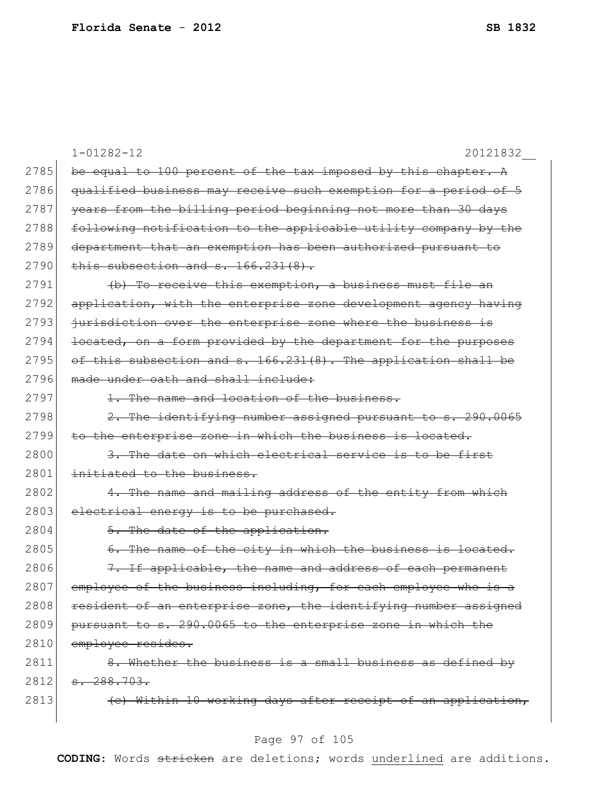|      | $1 - 01282 - 12$<br>20121832                                    |
|------|-----------------------------------------------------------------|
| 2785 | be equal to 100 percent of the tax imposed by this chapter. A   |
| 2786 | qualified business may receive such exemption for a period of 5 |
| 2787 | years from the billing period beginning not more than 30 days   |
| 2788 | following notification to the applicable utility company by the |
| 2789 | department that an exemption has been authorized pursuant to    |
| 2790 | this subsection and s. 166.231(8).                              |
| 2791 | (b) To receive this exemption, a business must file an          |
| 2792 | application, with the enterprise zone development agency having |
| 2793 | jurisdiction over the enterprise zone where the business is     |
| 2794 | located, on a form provided by the department for the purposes  |
| 2795 | of this subsection and s. 166.231(8). The application shall be  |
| 2796 | made under eath and shall include:                              |
| 2797 | 1. The name and location of the business.                       |
| 2798 | 2. The identifying number assigned pursuant to s. 290.0065      |
| 2799 | to the enterprise zone in which the business is located.        |
| 2800 | 3. The date on which electrical service is to be first          |
| 2801 | initiated to the business.                                      |
| 2802 | 4. The name and mailing address of the entity from which        |
| 2803 | electrical energy is to be purchased.                           |
| 2804 | 5. The date of the application.                                 |
| 2805 | 6. The name of the city in which the business is located.       |
| 2806 | 7. If applicable, the name and address of each permanent        |
| 2807 | employee of the business including, for each employee who is a  |
| 2808 | resident of an enterprise zone, the identifying number assigned |
| 2809 | pursuant to s. 290.0065 to the enterprise zone in which the     |
| 2810 | employee resides.                                               |
| 2811 | 8. Whether the business is a small business as defined by       |
| 2812 | $-288.703.$                                                     |
| 2813 | (c) Within 10 working days after receipt of an application,     |
|      |                                                                 |

# Page 97 of 105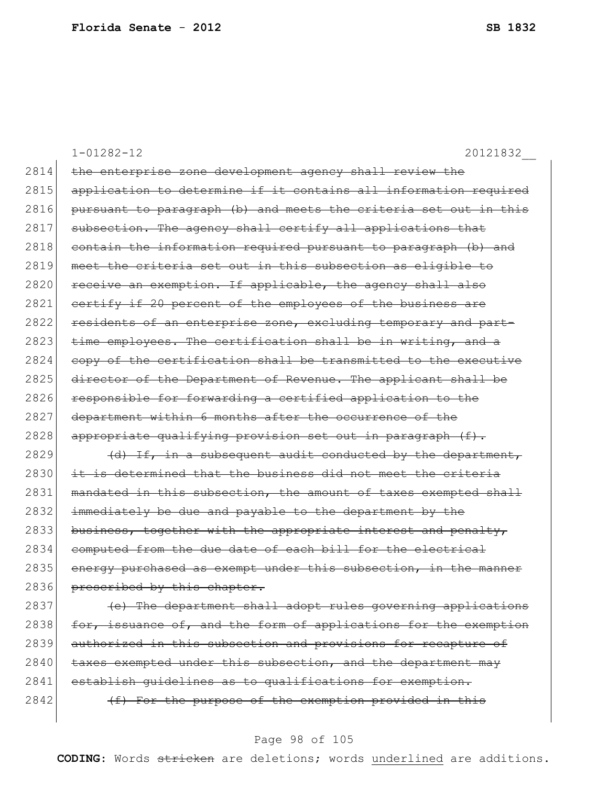1-01282-12 20121832\_\_ 2814 the enterprise zone development agency shall review the 2815 application to determine if it contains all information required 2816 pursuant to paragraph (b) and meets the criteria set out in this  $2817$  subsection. The agency shall certify all applications that 2818 contain the information required pursuant to paragraph (b) and 2819 meet the criteria set out in this subsection as eligible to 2820 receive an exemption. If applicable, the agency shall also 2821 certify if 20 percent of the employees of the business are 2822 residents of an enterprise zone, excluding temporary and part-2823 time employees. The certification shall be in writing, and a  $2824$  copy of the certification shall be transmitted to the executive 2825 director of the Department of Revenue. The applicant shall be 2826 responsible for forwarding a certified application to the 2827 department within 6 months after the occurrence of the  $2828$  appropriate qualifying provision set out in paragraph (f).  $2829$  (d) If, in a subsequent audit conducted by the department, 2830 it is determined that the business did not meet the criteria 2831 mandated in this subsection, the amount of taxes exempted shall 2832 immediately be due and payable to the department by the 2833 business, together with the appropriate interest and penalty, 2834 computed from the due date of each bill for the electrical  $2835$  energy purchased as exempt under this subsection, in the manner 2836 prescribed by this chapter. 2837 (e) The department shall adopt rules governing applications 2838  $f$  for, issuance of, and the form of applications for the exemption 2839 authorized in this subsection and provisions for recapture of  $2840$  taxes exempted under this subsection, and the department may 2841 establish quidelines as to qualifications for exemption.  $2842$  (f) For the purpose of the exemption provided in this

#### Page 98 of 105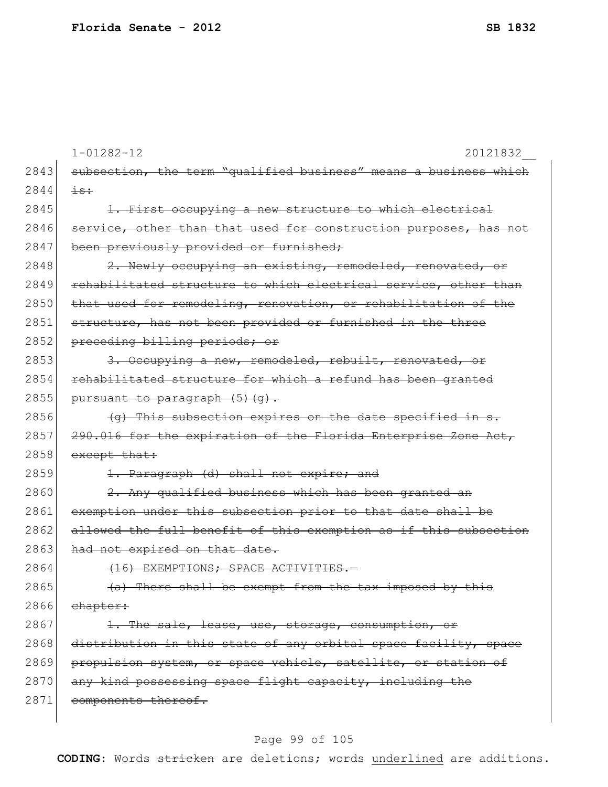|      | $1 - 01282 - 12$<br>20121832                                     |
|------|------------------------------------------------------------------|
| 2843 | subsection, the term "qualified business" means a business which |
| 2844 | $\pm$ s:                                                         |
| 2845 | 1. First occupying a new structure to which electrical           |
| 2846 | service, other than that used for construction purposes, has not |
| 2847 | been previously provided or furnished;                           |
| 2848 | 2. Newly occupying an existing, remodeled, renovated, or         |
| 2849 | rehabilitated structure to which electrical service, other than  |
| 2850 | that used for remodeling, renovation, or rehabilitation of the   |
| 2851 | structure, has not been provided or furnished in the three       |
| 2852 | preceding billing periods; or                                    |
| 2853 | 3. Occupying a new, remodeled, rebuilt, renovated, or            |
| 2854 | rehabilitated structure for which a refund has been granted      |
| 2855 | pursuant to paragraph (5) (g).                                   |
| 2856 | (g) This subsection expires on the date specified in s.          |
| 2857 | 290.016 for the expiration of the Florida Enterprise Zone Act,   |
| 2858 | except that:                                                     |
| 2859 | 1. Paragraph (d) shall not expire; and                           |
| 2860 | 2. Any qualified business which has been granted an              |
| 2861 | exemption under this subsection prior to that date shall be      |
| 2862 | allowed the full benefit of this exemption as if this subsection |
| 2863 | had not expired on that date.                                    |
| 2864 | (16) EXEMPTIONS; SPACE ACTIVITIES.-                              |
| 2865 | (a) There shall be exempt from the tax imposed by this           |
| 2866 | chapter:                                                         |
| 2867 | 1. The sale, lease, use, storage, consumption, or                |
| 2868 | distribution in this state of any orbital space facility, space  |
| 2869 | propulsion system, or space vehicle, satellite, or station of    |
| 2870 | any kind possessing space flight capacity, including the         |
| 2871 | components thereof.                                              |
|      |                                                                  |

# Page 99 of 105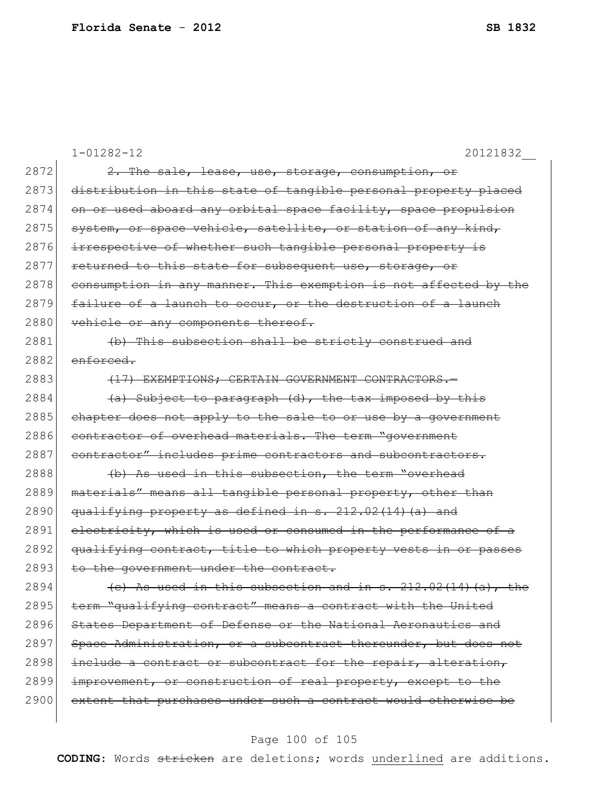|      | $1 - 01282 - 12$<br>20121832                                     |
|------|------------------------------------------------------------------|
| 2872 | 2. The sale, lease, use, storage, consumption, or                |
| 2873 | distribution in this state of tangible personal property placed  |
| 2874 | on or used aboard any orbital space facility, space propulsion   |
| 2875 | system, or space vehicle, satellite, or station of any kind,     |
| 2876 | irrespective of whether such tangible personal property is       |
| 2877 | returned to this state for subsequent use, storage, or           |
| 2878 | consumption in any manner. This exemption is not affected by the |
| 2879 | failure of a launch to occur, or the destruction of a launch     |
| 2880 | vehicle or any components thereof.                               |
| 2881 | (b) This subsection shall be strictly construed and              |
| 2882 | enforced.                                                        |
| 2883 | (17) EXEMPTIONS: CERTAIN GOVERNMENT CONTRACTORS.-                |
| 2884 | (a) Subject to paragraph (d), the tax imposed by this            |
| 2885 | chapter does not apply to the sale to or use by a government     |
| 2886 | contractor of overhead materials. The term "government           |
| 2887 | contractor" includes prime contractors and subcontractors.       |
| 2888 | (b) As used in this subsection, the term "overhead               |
| 2889 | materials" means all tangible personal property, other than      |
| 2890 | qualifying property as defined in s. 212.02(14) (a) and          |
| 2891 | electricity, which is used or consumed in the performance of a   |
| 2892 | qualifying contract, title to which property vests in or passes  |
| 2893 | the government under the contract.                               |
| 2894 | (c) As used in this subsection and in $s. 212.02(14)(a)$ , the   |
| 2895 | term "qualifying contract" means a contract with the United      |
| 2896 | States Department of Defense or the National Aeronautics and     |
| 2897 | Space Administration, or a subcontract thereunder, but does not  |
| 2898 | include a contract or subcontract for the repair, alteration,    |
| 2899 | improvement, or construction of real property, except to the     |
| 2900 | extent that purchases under such a contract would otherwise be   |
|      |                                                                  |

# Page 100 of 105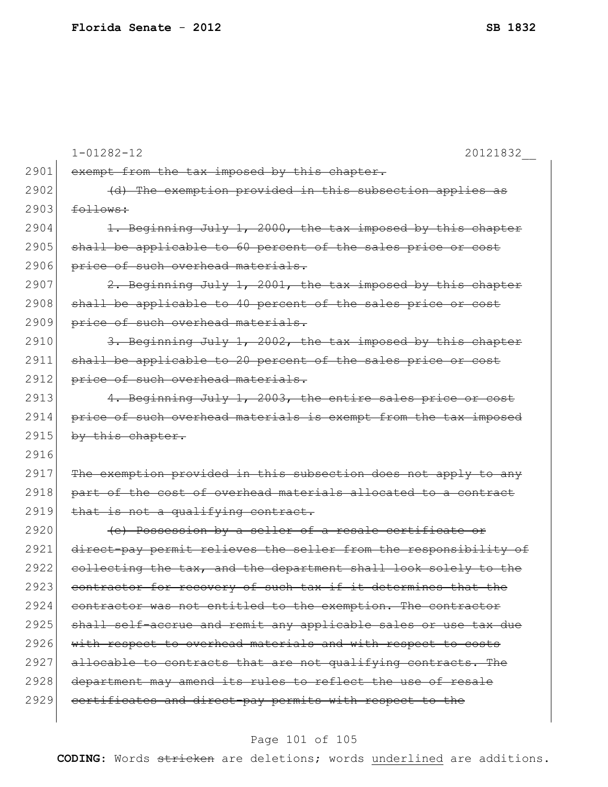|      | $1 - 01282 - 12$<br>20121832                                     |
|------|------------------------------------------------------------------|
| 2901 | exempt from the tax imposed by this chapter.                     |
| 2902 | (d) The exemption provided in this subsection applies as         |
| 2903 | follows:                                                         |
| 2904 | 1. Beginning July 1, 2000, the tax imposed by this chapter       |
| 2905 | shall be applicable to 60 percent of the sales price or cost     |
| 2906 | price of such overhead materials.                                |
| 2907 | 2. Beginning July 1, 2001, the tax imposed by this chapter       |
| 2908 | shall be applicable to 40 percent of the sales price or cost     |
| 2909 | price of such overhead materials.                                |
| 2910 | 3. Beginning July 1, 2002, the tax imposed by this chapter       |
| 2911 | shall be applicable to 20 percent of the sales price or cost     |
| 2912 | price of such overhead materials.                                |
| 2913 | 4. Beginning July 1, 2003, the entire sales price or cost        |
| 2914 | price of such overhead materials is exempt from the tax imposed  |
| 2915 | by this chapter.                                                 |
| 2916 |                                                                  |
| 2917 | The exemption provided in this subsection does not apply to any  |
| 2918 | part of the cost of overhead materials allocated to a contract   |
| 2919 | that is not a qualifying contract.                               |
| 2920 | (e) Possession by a seller of a resale certificate or            |
| 2921 | direct-pay permit relieves the seller from the responsibility of |
| 2922 | collecting the tax, and the department shall look solely to the  |
| 2923 | contractor for recovery of such tax if it determines that the    |
| 2924 | contractor was not entitled to the exemption. The contractor     |
| 2925 | shall self-accrue and remit any applicable sales or use tax due  |
| 2926 | with respect to overhead materials and with respect to costs     |
| 2927 | allocable to contracts that are not qualifying contracts. The    |
| 2928 | department may amend its rules to reflect the use of resale      |
| 2929 | certificates and direct-pay permits with respect to the          |
|      |                                                                  |

# Page 101 of 105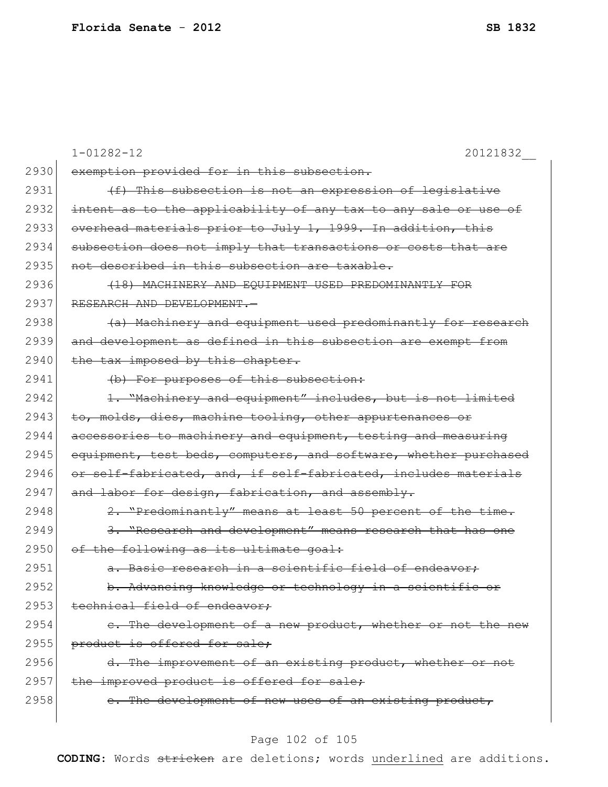|      | $1 - 01282 - 12$<br>20121832                                     |
|------|------------------------------------------------------------------|
| 2930 | exemption provided for in this subsection.                       |
| 2931 | (f) This subsection is not an expression of legislative          |
| 2932 | intent as to the applicability of any tax to any sale or use of  |
| 2933 | overhead materials prior to July 1, 1999. In addition, this      |
| 2934 | subsection does not imply that transactions or costs that are    |
| 2935 | not described in this subsection are taxable.                    |
| 2936 | (18) MACHINERY AND EQUIPMENT USED PREDOMINANTLY FOR              |
| 2937 | RESEARCH AND DEVELOPMENT.-                                       |
| 2938 | (a) Machinery and equipment used predominantly for research      |
| 2939 | and development as defined in this subsection are exempt from    |
| 2940 | the tax imposed by this chapter.                                 |
| 2941 | (b) For purposes of this subsection:                             |
| 2942 | 1. "Machinery and equipment" includes, but is not limited        |
| 2943 | to, molds, dies, machine tooling, other appurtenances or         |
| 2944 | accessories to machinery and equipment, testing and measuring    |
| 2945 | equipment, test beds, computers, and software, whether purchased |
| 2946 | or self-fabricated, and, if self-fabricated, includes materials  |
| 2947 | and labor for design, fabrication, and assembly.                 |
| 2948 | 2. "Predominantly" means at least 50 percent of the time.        |
| 2949 | 3. "Research and development" means research that has one        |
| 2950 | of the following as its ultimate goal:                           |
| 2951 | a. Basic research in a scientific field of endeavor:             |
| 2952 | b. Advancing knowledge or technology in a scientific or          |
| 2953 | technical field of endeavor;                                     |
| 2954 | e. The development of a new product, whether or not the new      |
| 2955 | product is offered for sale;                                     |
| 2956 | d. The improvement of an existing product, whether or not        |
| 2957 | the improved product is offered for sale;                        |
| 2958 | The development of new uses of an existing product,              |
|      |                                                                  |

# Page 102 of 105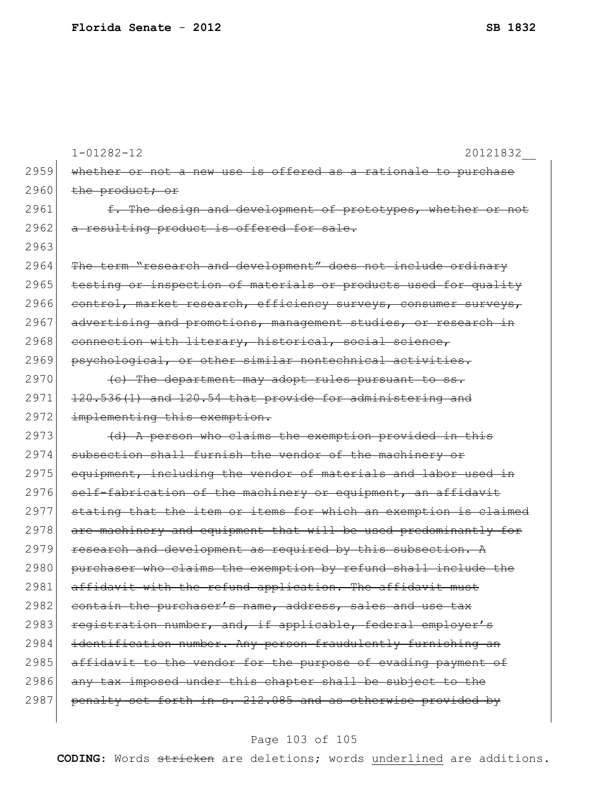|      | $1 - 01282 - 12$<br>20121832                                     |
|------|------------------------------------------------------------------|
| 2959 | whether or not a new use is offered as a rationale to purchase   |
| 2960 | the product; or                                                  |
| 2961 | f. The design and development of prototypes, whether or not      |
| 2962 | a resulting product is offered for sale.                         |
| 2963 |                                                                  |
| 2964 | The term "research and development" does not include ordinary    |
| 2965 | testing or inspection of materials or products used for quality  |
| 2966 | control, market research, efficiency surveys, consumer surveys,  |
| 2967 | advertising and promotions, management studies, or research in   |
| 2968 | connection with literary, historical, social science,            |
| 2969 | psychological, or other similar nontechnical activities.         |
| 2970 | (c) The department may adopt rules pursuant to ss.               |
| 2971 | 120.536(1) and 120.54 that provide for administering and         |
| 2972 | implementing this exemption.                                     |
| 2973 | (d) A person who claims the exemption provided in this           |
| 2974 | subsection shall furnish the vendor of the machinery or          |
| 2975 | equipment, including the vendor of materials and labor used in   |
| 2976 | self-fabrication of the machinery or equipment, an affidavit     |
| 2977 | stating that the item or items for which an exemption is claimed |
| 2978 | are machinery and equipment that will be used predominantly for  |
| 2979 | research and development as required by this subsection. A       |
| 2980 | purchaser who claims the exemption by refund shall include the   |
| 2981 | affidavit with the refund application. The affidavit must        |
| 2982 | contain the purchaser's name, address, sales and use tax         |
| 2983 | registration number, and, if applicable, federal employer's      |
| 2984 | identification number. Any person fraudulently furnishing an     |
| 2985 | affidavit to the vendor for the purpose of evading payment of    |
| 2986 | any tax imposed under this chapter shall be subject to the       |
| 2987 | penalty set forth in s. 212.085 and as otherwise provided by     |
|      |                                                                  |

# Page 103 of 105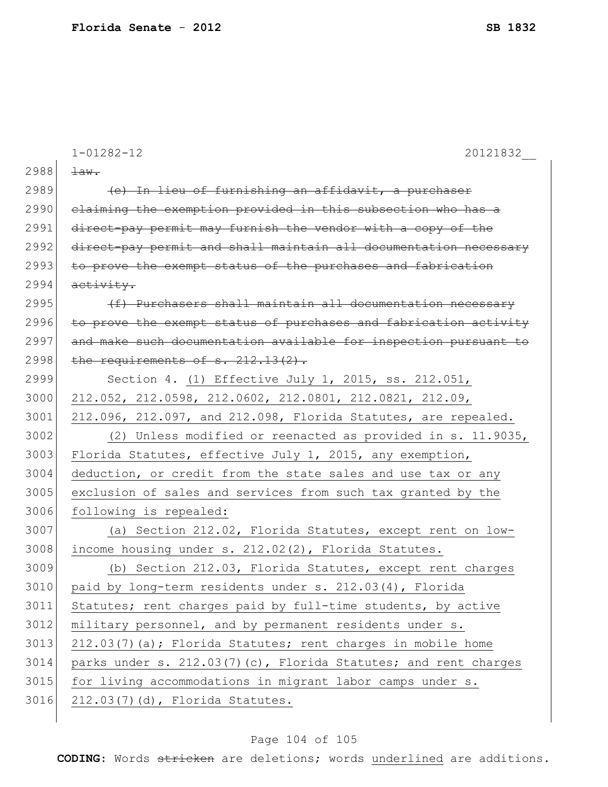|      | $1 - 01282 - 12$<br>20121832                                     |
|------|------------------------------------------------------------------|
| 2988 | $\pm$ aw.                                                        |
| 2989 | (e) In lieu of furnishing an affidavit, a purchaser              |
| 2990 | claiming the exemption provided in this subsection who has a     |
| 2991 | direct-pay permit may furnish the vendor with a copy of the      |
| 2992 | direct-pay permit and shall maintain all documentation necessary |
| 2993 | to prove the exempt status of the purchases and fabrication      |
| 2994 | activity.                                                        |
| 2995 | (f) Purchasers shall maintain all documentation necessary        |
| 2996 | to prove the exempt status of purchases and fabrication activity |
| 2997 | and make such documentation available for inspection pursuant to |
| 2998 | the requirements of s. 212.13(2).                                |
| 2999 | Section 4. (1) Effective July 1, 2015, ss. 212.051,              |
| 3000 | 212.052, 212.0598, 212.0602, 212.0801, 212.0821, 212.09,         |
| 3001 | 212.096, 212.097, and 212.098, Florida Statutes, are repealed.   |
| 3002 | (2) Unless modified or reenacted as provided in s. 11.9035,      |
| 3003 | Florida Statutes, effective July 1, 2015, any exemption,         |
| 3004 | deduction, or credit from the state sales and use tax or any     |
| 3005 | exclusion of sales and services from such tax granted by the     |
| 3006 | following is repealed:                                           |
| 3007 | (a) Section 212.02, Florida Statutes, except rent on low-        |
| 3008 | income housing under s. 212.02(2), Florida Statutes.             |
| 3009 | (b) Section 212.03, Florida Statutes, except rent charges        |
| 3010 | paid by long-term residents under s. 212.03(4), Florida          |
| 3011 | Statutes; rent charges paid by full-time students, by active     |
| 3012 | military personnel, and by permanent residents under s.          |
| 3013 | 212.03(7)(a); Florida Statutes; rent charges in mobile home      |
| 3014 | parks under s. 212.03(7)(c), Florida Statutes; and rent charges  |
| 3015 | for living accommodations in migrant labor camps under s.        |
| 3016 | 212.03(7)(d), Florida Statutes.                                  |

# Page 104 of 105